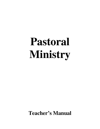# **Pastoral Ministry**

**Teacher's Manual**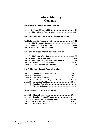# **Pastoral Ministry Contents**

# **The Biblical Basis for Pastoral Ministry**

# **The Individual that God Uses in Pastoral Ministry**

# **The Personal Disciplines of Pastoral Ministry**

| Lesson 9 – The Pastor's Apparel, Poise and Mannerisms57-64 |  |
|------------------------------------------------------------|--|
|                                                            |  |
|                                                            |  |

# **The Public Functions of Pastoral Ministry**

| Lesson 16 – Pre-Marital Counseling Guidelines for Pastors97-109 |  |
|-----------------------------------------------------------------|--|
|                                                                 |  |
|                                                                 |  |
|                                                                 |  |

# **Other Functions of Pastoral Ministry**

| Lesson 21 – Training a Pastoral Team134-141       |  |
|---------------------------------------------------|--|
| Lesson 22 – Pastoring through Small Groups142-148 |  |
| Lesson 23 – Working with an Eldership149-151      |  |
|                                                   |  |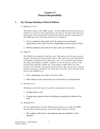# **Lesson 1-2 Pastoral Responsibility**

# **I. Key Passages Relating to Pastoral Ministry**

A. Numbers 27:15-17

*Then Moses spoke to the LORD, saying: "Let the LORD, the God of the spirits of all flesh, set a man over the congregation, who may go out before them and go in before them, who may lead them out and bring them in, that the congregation of the LORD may not be like sheep which have no shepherd."* 

- 1. God is a shepherd to His people, but God's people also need a human representative of the Lord to exercise a shepherding care and concern for them.
- 2. Without shepherds, sheep will not be able to take care of themselves.
- B. Psalm 23

*The LORD is my shepherd; I shall not want. 2 He makes me to lie down in green pastures; He leads me beside the still waters. 3 He restores my soul; He leads me in the paths of righteousness for His name's sake. 4 Yea, though I walk through the valley of the shadow of death, I will fear no evil; for You are with me; Your rod and Your staff, they comfort me. 5 You prepare a table before me in the presence of my enemies; You anoint my head with oil; My cup runs over. 6 Surely goodness and mercy shall follow me all the days of my life; and I will dwell in the house of the LORD forever.* 

- 1. God's shepherding care relates to all areas of life.
- 2. When sheep are truly cared for they do not lack but live an abundant life.
- C. Proverbs 27:23

*Be diligent to know the state of your flocks, and attend to your herds…* 

- 1. Tending sheep is work.
- 2. Tending sheep requires alertness and diligence regarding the condition of the flock.
- D. Jeremiah 10:21

*For the shepherds have become dull-hearted, and have not sought the LORD; therefore they shall not prosper, and all their flocks shall be scattered.* 

1. The condition of the flock is often dependent upon the faithfulness of the shepherd.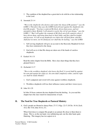- 2. The condition of the shepherd has a great deal to do with his or her relationship to the Lord.
- E. Jeremiah 23:1-4

*"Woe to the shepherds who destroy and scatter the sheep of My pasture!" says the LORD. 2 Therefore thus says the LORD God of Israel against the shepherds who feed My people: "You have scattered My flock, driven them away, and not attended to them. Behold, I will attend to you for the evil of your doings," says the LORD. 3 "But I will gather the remnant of My flock out of all countries where I have driven them, and bring them back to their folds; and they shall be fruitful and increase. 4 I will set up shepherds over them who will feed them; and they shall fear no more, nor be dismayed, nor shall they be lacking," says the LORD.* 

- 1. Self-serving shepherds will give an account to the Heavenly Shepherd for how they have ministered to the sheep.
- 2. God will see to it that His sheep are taken out of the hands of careless shepherds.
- F. Ezekiel 34:1-31

Read the entire chapter from the Bible. Have class share things that they have gleaned from it.

G. Zechariah 11:17

*"Woe to the worthless shepherd, who leaves the flock! A sword shall be against his arm and against his right eye; his arm shall completely wither, and his right eye shall be totally blinded."* 

- 1. God's judgment and sword will come against worthless shepherds.
- 2. Worthless shepherds will lose their influence (arms) and their vision (eyes).
- H. John 10:1-29

In John 10 Jesus contrasts the true shepherd from the hireling. As you read this chapter have the class watch for characteristic of each.

## **II. The Need for True Shepherds or Pastoral Ministry**

A. God's people are likened to sheep (Num. 27:17; I Kgs. 22:17; II Chr. 18:16; Zech. 10:2; Mt. 9:36; John 10:14, 27).

 When God chose to compare His people to an animal, He chose to liken them to sheep. This is, on the one hand, very unflattering and, one the other hand, quite flattering. This imagery has two aspects to it.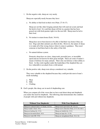1. On the negative side, sheep are very needy.

Sheep are especially needy because they have:

a. No ability to find food on their own (Num. 27:16-17).

Sheep are not like other foraging animals that will send out scouts and lead the herd to food. It is said that sheep will die in a pasture that has been grazed out with fresh pasture right over the next hill. Sheep must be led to their food.

b. No instinct to return home (Ezek. 34:6-8).

Sheep have never been known to be able to find their way home if they are lost. Dogs and other animals can often do this. However, the nature of sheep is to make all of the wrong choices when it comes to guidance. They need someone to lead them back to the safety of the fold.

c. No natural defense system.

Domestic sheep have no claws, sharp teeth, powerful jaws, or incredible speed and are not known for their great strength. These are some of nature's means of defense for many animals. Their only real defense is their ability to flock. As they stick together under the leadership of the shepherd they are less vulnerable to an attack from a wild animal.

2. On the positive side, sheep were always considered very valuable.

They were valuable to the shepherd because they could provide most of man's needs including:

- a. Meat
- b. Milk
- c. Clothing
- B. God's people, like sheep, are in need of shepherding care.

When you compare all of the verses that we have read about sheep and shepherds you realize the need for shepherds. The following chart demonstrates the condition of people with and without true shepherds.

| <b>Without True Shepherds</b>                  | <b>With True Shepherds</b>                     |
|------------------------------------------------|------------------------------------------------|
| Sheep are scattered (Zech. 13:7; Ezek. 34:5-6) | Sheep receive provision (Ps. 23:1-2)           |
| Sheep wander (Ezek. 34:6)                      | Sheep receive direction (Num. 27:17; Ps. 80:1) |
| Sheep are lacking (Jer. 23:4)                  | Sheep are fruitful (Jer. 23:3)                 |
| Sheep are devoured (Ezek. 34:5)                | Sheep are kept $(Jer. 31:10)$                  |
| Sheep are weak (Mt. 9:36)                      | Sheep are strengthened (Ezek. 34:4, 16)        |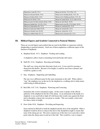| Sheep have want (Ps. 23:1)                    | Sheep are fed (Jer. 23:4; I Pet. 5:2)           |
|-----------------------------------------------|-------------------------------------------------|
| Sheep are diseased (Ezek. 34:4)               | Sheep receive healing (Ezek. 34:4, 16)          |
| Sheep are broken (Ezek. 34:4)                 | Sheep receive binding up (Ezek. 34:4, 16)       |
| Sheep are lost (Ezek. 34:4)                   | Sheep are found (Ezek. $34:15$ ; John $10:16$ ) |
| Sheep are prey for their enemies (Ezek. 34:8) | Sheep are safe (Ezek. 34:25)                    |
| Sheep are fearful (Jer. 23:4; Ps. 23:4)       | Sheep receive rest $(Ps. 23:2; Ezek. 34:15)$    |
| Sheep are despondent (Jer. 23:3)              | Sheep are comforted (Ps. 23:4)                  |
| Sheep are destroyed (John 10:10)              | Sheep are restored (Ps. 23:3)                   |
| Sheep are divided (Acts 20:30)                | Sheep are visited (Jer. 23:2)                   |
| Sheep are robbed (John 10:1-2)                | Sheep receive increase (Jer. 23:3)              |

## **III. Biblical Figures and Symbols Connected to Pastoral Ministry**

There are several figures and symbols that are used in the Bible in connection with the shepherding or pastoral ministry. Each one of them emphasizes a different aspect of the function of shepherds.

A. Shepherd (Ezek. 34:7). Emphasis: Feeding and Leading

A shepherd is able to lead to nourishing food and beside still waters.

B. Staff (Ps. 23:4). Emphasis: Rescuing and Guiding

The staff was a long stick that often had a hook on it. It was used for rescuing a sheep from the thicket. Because of its height, it could be seen from a distance and would be a guide as well.

C. Stay. Emphasis: Supporting and Upholding

 The stay was a different name for the same instrument as the staff. When called a "stay" the emphasis was on the use by the shepherd as a walking stick to help ensure solid footing in difficult places.

D. Rod (Mic. 6:9; 7:14). Emphasis: Protecting and Correcting

 Sometimes this word is translated scepter. In this sense it speaks of the official authority of the shepherd in the life of the sheep. As an instrument in the hands of a shepherd, it was used both to fight off wild beasts that would come against the flock and to discipline a sheep who was prone to wander. This was usually a short stick less than a meter in length.

E. Door (John 10:9). Emphasis: Providing and Inspecting

 Jesus referred to Himself as both the shepherd and the door of the sheepfold. Often a shepherd would lie down or sleep in the door to the sheepfold at night to ensure that none of the sheep got out. The more common use of the door was to provide a check point when the sheep came in and out of the fold. This would be a way to inspect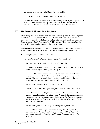each one to see if they were all without injury and healthy.

F. Elder (Acts 20:17, 28). Emphasis: Watching and Maturing

 The ministry of elders in the New Testament was to provide shepherding care to the flock. The implication is that they were to help the sheep to become elders or "mature ones" themselves by virtue of their faithfulness to this ministry.

## **IV. The Responsibilities of True Shepherds**

The ministry of a pastor or shepherd is one that is defined by the Bible itself. If you are going to take on a job, you want to see a job description for that job so that you can insure that you are indeed fulfilling it according to the expectations of your employer. Those who pastor God's flock work for God Himself and He is the one to whom they answer. He is the one who determines the job description.

The Bible outlines nine areas of function for a true shepherd. These nine functions of pastoral ministry serve as the foundation for the rest of our study in this course.

#### **A. Feeding the Sheep (Ezekiel 34:2, 13-15)**

The word "shepherd" or "pastor" literally means "one who feeds."

1. Feeding involves rightly dividing the word (II Tim. 2:15).

*Be diligent to present yourself approved to God, a worker who does not need to be ashamed, rightly dividing the word of truth.* 

It is critical that those who would be pastors become familiar with the Bible and tools of biblical study. The word of God is food, not the word of the pastor. The more we preach God's word the way He meant it, the more sustenance and spiritual nutrition our preaching contains.

2. Proper feeding involves a balanced diet (Ps. 85:10).

*Mercy and truth have met together; righteousness and peace have kissed.* 

If the sheep are to be healthy they need a balanced diet fed to them. In the natural we need more than one miracle food. We need a balance of meat, fruit, vegetables, etc. In the spiritual realm it is the same. The feeding of the pastor needs to be a balance of mercy and truth, law and grace, Word and the Spirit, theoretical and practical.

3. Proper feeding will bring authority and cause gathering (Ezek. 34:13).

*And I will bring them out from the peoples and gather them from the countries, and will bring them to their own land; I will feed them on the mountains of Israel, in the valleys and in all the inhabited places of the country.*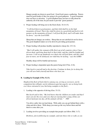Hungry people are drawn to good food. Good food causes a gathering. Pastors must be good feeders if they are going to be good gatherers. A good restaurant does not have to advertise. A good shepherd does not have to talk about his authority all of the time; he just needs to provide "green pastures."

4. Proper feeding will bring rest to the flock (Ezek. 34:14-15).

*"I will feed them in good pasture, and their fold shall be on the high mountains of Israel. There they shall lie down in a good fold and feed in rich pasture on the mountains of Israel. I will feed My flock, and I will make them lie down," says the Lord GOD.* 

 Sheep that are hungry are restless. Sheep that are not satisfied do not lie down. The good shepherd makes us to lie down by providing good pasture.

5. Proper feeding will produce healthy reproductive sheep (Jer. 23:3-4).

*"But I will gather the remnant of My flock out of all countries where I have driven them, and bring them back to their folds; and they shall be fruitful and increase. I will set up shepherds over them who will feed them; and they shall fear no more, nor be dismayed, nor shall they be lacking," says the LORD.* 

Healthy sheep will be fruitful and increase.

6. Proper feeding is dependent upon the pastor being fed (I Tim. 4:16).

*Take heed to yourself and to the doctrine. Continue in them, for in doing this you will save both yourself and those who hear you.*

## **B. Leading by Example (I Pet. 5:2-3).**

*Shepherd the flock of God which is among you, serving as overseers, not by compulsion but willingly, not for dishonest gain but eagerly; nor as being lords over those entrusted to you, but being examples to the flock…* 

1. Leading is the opposite of driving (Gen. 33:13).

*But Jacob said to him, "My lord knows that the children are tender and that I must care for the ewes and cows that are nursing their young. If they are driven hard just one day, all the animals will die."* –NIV

You drive cattle, but you lead sheep. With cattle you can get behind them with a whip and drive them. With sheep you must go the way before them and bid them to come after you.

2. Leading involves providing an example that people can follow (Phil. 3:17).

*Brethren, join in following my example, and note those who so walk, as you*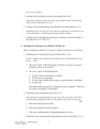*have us for a pattern.* 

3. Leading involves going the way before the people (John 10:4).

*And when he brings out his own sheep, he goes before them; and the sheep follow him, for they know his voice.* 

4. Leading involves demonstrating your faith before the sheep (Hebrews 13:7).

*Remember those who rule over you, who have spoken the word of God to you, whose faith follow, considering the outcome of their conduct.* 

5. Leading involves maintaining a good report or testimony inside and outside of the church (Acts 6:3; I Tim. 3:7).

#### **C. Watching Over the Flock (Acts 20:28, 31; II Tim. 4:5).**

Elders or bishops are called to be "overseers" or those who look out over the flock.

1. Watching involves knowing the state of the flock (Pro. 27:23).

*Be sure you know the condition of your flocks, give careful attention to your herds…* --NIV

- a. The word "watch" in the Greek means "to hold to, to turn to, to turn one's attention to; hence, to give heed to."
- b. The word "watch" in the English means:
	- To look or observe attentively or carefully.
	- To look and wait expectantly.
	- To stay awake at night while serving as a guard, sentinel or watchman.
	- To keep vigil

The shepherd had to get good at "sleeping with one eye opened!" When you are a pastor, everything is your business.

2. Watching involves judging the saints (I Cor. 5:3).

*Even though I am not physically present, I am with you in spirit. And I have already passed judgment on the one who did this, just as if I were present.*

–NIV

- a. This means being ready for action.
- b. This means getting involved in negatives.
- c. This means warning people of impending danger and wolves.
- 3. Watching involves inspecting the sheep and being aware of needs (Rev. 2:2 , 9,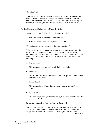13,19; 3:l, 8,15).

 A shepherd is more than a pulpiteer. Jesus the Great Shepherd inspected all seven of the churches of Asia. He was aware of their needs and ministered directly to those needs. As a pastor it is not good enough just to preach good sermons, but we must give people what is needful—"meat in due season."

## **D. Reaching Out and Delivering the Needy (Ps. 23:1).**

*You, LORD, are my shepherd. I will never be in need.* –CEV

*The LORD is my shepherd, I shall not be in want.* –NIV

*The LORD is my shepherd; I have everything I need.* –NLT

1. God sent pastors to meet the needs of His people (Jer. 23:1-4).

This does not necessarily imply that pastors are to provide personally for the needs of the sheep, but they are to be concerned about these needs and do everything that they can to mobilize the saints to meet the pressing needs of the flock. This means that the pastor must be concerned about all areas of need including:

a. Physical needs

This includes things like health, food, clothing and shelter.

b. Emotional needs

 This may include counseling in areas of addictions, personal stability, grief and stress related issues.

c. Financial needs

 This includes issues of provision, prosperity, employment and future planning.

d. Spiritual needs

 This includes personal growth and maturity, family success and relationships between God and man.

2. Pastors are not to wait until the people come (Ezek. 34:4, 16).

*The weak you have not strengthened, nor have you healed those who were sick, nor bound up the broken, nor brought back what was driven away, nor sought what was lost; but with force and cruelty you have ruled them…* 

Ezekiel 34:4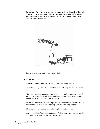Pastors are to be proactive when it comes to ministering to the needs of the flock. They are not to be ones who build a hospital at the bottom of a cliff to minister to the fallen ones; they are to build a strong fence at the top of the cliff and post warning signs (See diagram).



3. Pastors must be able to give wise counsel (Is. 1:26).

## **E. Maturing the Flock**

1. Maturing involves correcting and disciplining when needed (Tit. 2:15).

*Speak these things, exhort, and rebuke with all authority. Let no one despise you.* 

*You must teach these things and encourage your people to do them, correcting them when necessary. You have the authority to do this, so don't let anyone ignore you or disregard what you say.* – NLT

 Pastors cannot be afraid to confront people in areas of lifestyle. Pastors who will not confront will have to live with many problems for a long, long time.

2. Maturing involves teaching practical principles of life (Ex. 18:20).

*And you shall teach them the statutes and the laws, and show them the way in which they must walk and the work they must do.*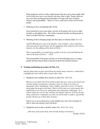Many people do not live as they ought because they have never been taught what to do or they have never seen anyone who does what is right. Pastors must not shy away from teaching practical principles of living in the area of family, finances and responsibility. There is a way to walk and a work to do for God's people.

3. Maturing involves discipleship (Mt. 28:20).

Jesus instructed us not to just make converts of all nations, but we are to make disciples or disciplined ones. Part of this command includes teaching people to observe all that Christ has commanded.

4. Maturing involves bringing people into their place of ministry (Eph. 4:11-12).

*And He Himself gave some to be apostles, some prophets, some evangelists, and some pastors and teachers, for the equipping of the saints for the work of ministry, for the edifying of the body of Christ…* 

*Their responsibility is to equip God's people to do his work and build up the church, the body of Christ…* —NLT

The responsibility of the pastor and the rest of the leadership team is to equip people and then release them to function in their God-ordained ministry.

## **F. Training and Raising up Leaders (II Tim. 2:2).**

*And the things that you have heard from me among many witnesses, commit these to faithful men who will be able to teach others also.* 

1. Shepherds must multiply their ministry in others (Ex. 18:21-23).

*Moreover you shall select from all the people able men, such as fear God, men of truth, hating covetousness; and place such over them to be rulers of thousands, rulers of hundreds, rulers of fifties, and rulers of tens. 22 And let them judge the people at all times. Then it will be that every great matter they shall bring to you, but every small matter they themselves shall judge. So it will be easier for you, for they will bear the burden with you. 23 If you do this thing, and God so commands you, then you will be able to endure, and all this people will also go to their place in peace.* 

Pastors are to invest themselves in the faithful ones who will eventually be able to share the ministry load with them.

2. Shepherds must be able to identify leaders (Ex. 18:21: Tit. 1:5-6).

*…able men, such as fear God, men of truth, hating covetousness…*

Exodus 18:21b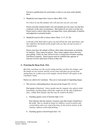God gives qualifications for such leaders so that we can more easily identify them.

3. Shepherds must impart their vision to others (Phil. 2:20).

*For I have no one like-minded, who will sincerely care for your state.* 

Pastors need like-minded leaders who will naturally give the same care that they would give in the same circumstances. But leaders do not come to us that way. Pastors need a context where they can impart their vision, philosophy of ministry and judgments to potential leaders.

4. Shepherds must be able to release others (Num. 11:17, 25, 29).

*I will take of the Spirit that is upon you and will put the same upon them; and they shall bear the burden of the people with you, that you may not bear it yourself alone.*

 Pastors must have the attitude of Moses when others demonstrate an anointing for ministry. They cannot be jealous. They cannot suppress those who have great gifting. If they do, they will never have a strong team of leaders standing with them in ministry. Senior pastors must be confident (the opposite of insecure) in God's placement of them in their role.

#### **G. Protecting the Sheep (Ezek. 33:6).**

*But if the watchman sees the sword coming and does not blow the trumpet, and the people are not warned, and the sword comes and takes any person from among them, he is taken away in his iniquity; but his blood I will require at the watchman's hand.* 

Pastors are called to be watchmen. They are to warn people of impending danger.

1. This involves withstanding those who pervert the Gospel (Tit. 1:9-13).

Paul speaks of deceivers *"whose mouths must be stopped, who subvert whole households, teaching things which they ought not, for the sake of dishonest gain…rebuke them sharply, that they may be sound in the faith…"* 

a. Guarding against cycles of doctrine (Eph. 4:14).

Paul indicates that the ministry of pastors and other leaders should have the result *"that we should no longer be children, tossed to and fro and carried about with every wind of doctrine, by the trickery of men, in the cunning craftiness of deceitful plotting…"* 

b. Guarding against a mixed Gospel (Gal. 1:9).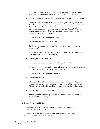*As we have said before, so now I say again, if anyone preaches any other gospel to you than what you have received, let him be accursed.* 

c. Guarding against wolves who would make spoil of the flock (Acts 20:28-30).

*Therefore take heed to yourselves and to all the flock, among which the Holy Spirit has made you overseers, to shepherd the church of God which He purchased with His own blood. For I know this, that after my departure savage wolves will come in among you, not sparing the flock. Also from among yourselves men will rise up, speaking perverse things, to draw away the disciples after themselves.* 

- 2. This involves protecting them from each other.
	- a. Guarding their relationships (Gal. 5:15).

*But if you bite and devour one another, beware lest you be consumed by one another!* 

People can be cruel to each other. Sometimes pastors have to get involved to help people resolve relational conflicts.

b. Guarding their unity (Eph. 4:3).

*…endeavoring to keep the unity of the Spirit in the bond of peace.* 

No matter how large a church is, it must have unity to succeed. Unity does not come naturally; it must be worked at to achieve.

- 3. This involves protecting them from themselves.
	- a. Guarding their schedule.

 This means that pastors must not put unreasonable demands on the people. At times they must protect the people from their own willingness to serve. The people need to live balanced lives in order to endure for the long term.

b. Guarding their priorities (Mt. 6:33).

*But seek first the kingdom of God and His righteousness, and all these things shall be added to you.* 

## **H. Keeping Pure (Acts 20:28).**

*Therefore take heed to yourselves and to all the flock, among which the Holy Spirit has made you overseers…*

The first job or responsibility of the pastor is him or herself. The second responsibility is that of his or her family.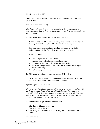1. Morally pure (I Tim. 5:22)

*Do not lay hands on anyone hastily, nor share in other people's sins; keep yourself pure.* 

2. Financially pure (I Tim. 6:10)

*For the love of money is a root of all kinds of evil, for which some have strayed from the faith in their greediness, and pierced themselves through with many sorrows.* 

a. This means great care in handling finances (I Pet. 5:2).

*Shepherd the flock of God which is among you, serving as overseers, not by compulsion but willingly, not for dishonest gain but eagerly…* 

Paul always used great care in the handling of finances as seen in his gathering of the offering for the Jerusalem church (Acts 20:4).

A few tips include…

- Don't get yourself into personal debt.
- Keep accurate books of all income and expenses.
- Let someone else keep the books and sign the checks.
- Have a team of people count the money, make out the deposit slips and deposit the money.
- Be financially accountable.
- b. This means being free from get rich schemes (II Tim. 2:4).

*No one engaged in warfare entangles himself with the affairs of this life, that he may please him who enlisted him as a soldier.* 

3. Spiritually pure (I Tim. 4:14-16)

*Do not neglect the gift that is in you, which was given to you by prophecy with the laying on of the hands of the eldership. Meditate on these things; give yourself entirely to them, that your progress may be evident to all. Take heed to yourself and to the doctrine. Continue in them, for in doing this you will save both yourself and those who hear you.* 

If you fail or fall as a pastor in any of these areas…

- The church will never be the same.
- You will never be the same.
- You will give an account to the Great Shepherd at the Judgment Seat of Christ.

Is it really worth it?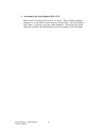## **I. Accounting to the Great Shepherd (Heb. 13:17).**

Pastors need to avoid using terms such as "my sheep." When we think something belongs to us, we feel that we can do whatever we want with it. All of the sheep are God's sheep. As pastors we are only "under-shepherds." God has put some of His sheep into our hands. He will ultimately ask for an accounting of our stewardship.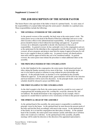# **THE JOB DESCRIPTION OF THE SENIOR PASTOR**

The Senior Pastor is the equivalent of the father or head of a spiritual family. As such, many of the responsibilities of a natural father fall upon the senior pastor's shoulders in a spiritual sense. These responsibilities include the following:

## **1. THE GENERAL OVERSEER OF THE ASSEMBLY**

 As the general overseer of the assembly, the buck stops at the senior pastor's desk. The senior pastor serves as the head of the Board of Directors (eldership) and serves as the chief executive officer in his administrational responsibility. As the general overseer, no person should be hired or fired without his knowledge and approval. As general overseer, he is ultimately responsible to decide who functions in what area of responsibility. As general overseer, he has a principle voice in the congregation and acts as the spokesman for the eldership to the congregation and the outside world. As general overseer, all new programs and projects must bear his stamp of approval because he will have to give support to them in a public way. As general overseer, all church policies must meet with his approval before they are to be considered ratified. As general overseer, the senior pastor must initiate the procedure to ordain additional elders in the assembly.

## **2. THE PRINCIPLE FEEDER OF THE CONGREGATION**

 As the chief shepherd in the congregation, the senior pastor should preach and teach often, taking the Sunday morning service most of the time. As the principle feeder, no one is to be asked to preach or minister in song without his prior knowledge and approval. As the principle feeder, no doctrine is to be expounded in the assembly without his approval. As the principle feeder, guest ministries will be left to his selection and local ministries will be used at his discretion. As the principle feeder, much of his schedule should be released to prayer and Bible study.

## **3. THE FIRST EXAMPLE TO THE CONGREGATION**

 As the chief example to the flock, the senior pastor must be a model in every aspect of congregational life including prayer life, worship life, social life, domestic life, and servanthood. He should demonstrate to the congregation, by his example, what is expected of a model believer and how to live victoriously in Christ in this present world.

## **4. THE SPIRITUAL HEAD OF THE ASSEMBLY**

 As the spiritual head of the assembly, the senior pastor is responsible to establish the principle vision for the house. As the spiritual head, he must discern the present needs of the body and feed the flock accordingly with meat in due season. As the spiritual head of the family, he is to lead the congregation into their place of destiny. As the spiritual head of the assembly, the senior pastor must minister careful, individual care to all those elders who would serve with him. As the spiritual head of the assembly, all public meetings will be under his direction or the direction of his appointed representative.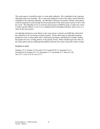The senior pastor, it should be noted, is a man under authority. He is submitted to the corporate eldership in the local assembly. He is a personal shepherd to each of the elders, but he himself is submitted to the corporate eldership. An eldership working in association with the senior pastor would be prepared to acknowledge the divine placement of the senior pastor and try to flow with his vision. The eldership serves to assist the senior pastor to fulfill his goals, to add to his vision, to bring a greater fullness, to serve as a sounding board for thoughts and ideas, and to serve as a check to the senior pastor.

An eldership should give some liberty to the senior pastor so that he can fulfill that which God has called him to do, not being too detail oriented. On the other hand, an eldership should be prepared to resist a senior pastor who is abusing his privileges, tarnishing his example, leading the people into error, or being abusive to the people of God. Elders should respect the office of the senior pastor and not challenge him publicly until they have done it privately with no results.

#### Scriptures to study:

Numbers 27:17; Psalms 23; Proverbs 27:23; Isaiah 56:10-11; Jeremiah 23:1-4; Jeremiah 10:24; Ezekiel 34:1-31; Zechariah 11:17; Zechariah 13:7; John 10:1-29; Acts 12:17; Acts 15:4-22; Acts 21:17.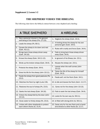# **THE SHEPHERD VERSES THE HIRELING**

The following chart shows the biblical contrast between a true shepherd and a hireling:

|    | <b>A TRUE SHEPHERD</b>                                                             | A HIRELING                                                                                |
|----|------------------------------------------------------------------------------------|-------------------------------------------------------------------------------------------|
|    | 1. Has a personal interest in the general<br>well-being of the sheep (Pro. 27:23). | 1. Neglects the sheep (Ezek. 34:4).                                                       |
| 2. | Leads the sheep (Ps. 80:1).                                                        | 2. A hireling drives the sheep for his own<br>personal gain (Ezek. 34:4).                 |
| 3. | Causes the sheep to lie down and rest<br>(Ezek. 43:11).                            | 3. Rules with cruelty and force (Ezek. 34:4).                                             |
| 4. | Brings back those sheep driven away<br>(Ezek. 34:16).                              | Fails to bring back those sheep driven<br>4.<br>away (Ezek. 34:4).                        |
| 5. | Knows the sheep (Ezek. 34:11-12).                                                  | Is ignorant of his Sheep (Jer. 23:1).<br>5.                                               |
| 6. | Binds up the broken sheep (Ezek. 34:4).                                            | Abuses the sheep (Jer. 23:1).<br>6.                                                       |
| 7. | Protects the sheep (Ezek. 34:4).                                                   | Leaves when the wolf comes (John<br>7.<br>$10:12$ ).                                      |
| 8. | Gives his life for the sheep (John 10:11).                                         | Takes the life of the sheep for himself<br>8.<br>(Ezek. 34:3).                            |
| 9. | Feeds the sheep from good pastures (Ps.<br>$23:2$ ).                               | 9.<br>Feeds self, not the flock (Ezek. 34:1).                                             |
|    | 10. Watches the flock by night (Luke 2:8).                                         | 10. Is idle and leaves the flock (Zech. 11:17).                                           |
|    | 11. Restores the soul of sheep (Ps. 23:3).                                         | 11. Cares not for the sheep (John 10:13).                                                 |
|    | 12. Seeks the lost sheep (Ezek. 34:16).                                            | 12. Fails to seek the lost sheep (Ezek. 34:4).                                            |
|    | 13. Enters the sheep-fold by the door (John<br>$10:14$ ).                          | 13. Looks for his own way (ls. 56:11).                                                    |
|    | 14. Gives water to thirsty sheep (Ps. 23:2).                                       | 14. Is filled with strong drink (Is. 56:11).                                              |
|    | 15. Unites with other shepherds to protect<br>each other's flocks (ls. 31:4).      | 15. Cares only for his own flock and is harsh<br>and divisive to other flocks (Ex. 2:17). |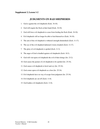## **Supplement 3, Lesson 1-2**

# **JUDGMENTS ON BAD SHEPHERDS**

- 1. God is against the evil shepherds (Ezek. 34:10).
- 2. God will require the flock at their hand (Ezek. 34:10).
- 3. God will force evil shepherds to cease from feeding the flock (Ezek. 34:10).
- 4. Evil shepherds will no longer be able to feed themselves (Ezek. 34:10).
- 5. The arm of the evil shepherd is withered (strength diminished) (Zech. 11:17).
- 6. The eye of the evil shepherd darkened (vision clouded) (Zech. 11:17).
- 7. The glory of evil shepherds is spoiled (Zech. 11:3).
- 8. The anger of God is kindled against evil shepherds (Zech. 10:3).
- 9. God will visit upon evil shepherds the evil of their doings (Jer. 23:2).
- 10. God causes the pasture of evil shepherds to be spoiled (Jer. 25:34).
- 11. God causes evil shepherds to howl and cry (Jer. 25:34).
- 12. God comes upon evil shepherds as a lion (Jer. 25:34).
- 13. Evil shepherds have no way of escape from judgment (Jer. 25:34).
- 14. Evil shepherds are cut off (Zech. 11:8).
- 15. God loathes evil shepherds (Zech. 11:8).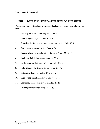# **Supplement 4, Lesson 1-2**

# **THE 12 BIBILICAL RESPONSIBILITIES OF THE SHEEP**

The responsibility of the sheep toward the Shepherd can be summarized in twelve areas:

- 1. **Hearing** the voice of the Shepherd (John 10:3).
- 2. **Following** the Shepherd (John 10:4, 9).
- 3. **Knowing** the Shepherd's voice against other voices (John 10:4).
- 4. **Ignoring** the stranger's voice (John 10:5).
- 5. **Recognizing** the true value of the Shepherd (Num. 27:16-17).
- 6. **Realizing** their helpless state alone (Is. 53:6).
- 7. **Understanding** their need of the fold (John 10:16).
- 8. **Submitting** to the Shepherd's rod (Ezek. 20:37).
- 9. **Esteeming** them very highly (I Th. 5:13).
- 10. **Supporting** them financially (I Cor. 9:11-14).
- 11. **Criticizing** them cautiously (I Tim. 5:1, 19-20).
- 12. **Praying** for them regularly (I Th. 5:25).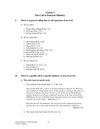# **Lesson 3 The Call to Pastoral Ministry**

# **I. There is a general calling that we all experience from God.**

- A. We are called:
	- 1. With a Holy Calling (II Tim. 1:9)
	- 2. By Grace (Gal. 1:15)
	- 3. By the Gospel (II Th. 2:14)
- B. We are called unto:
	- 1. His Purpose (Rom. 8:28)
	- 2. Liberty (Gal. 5:13)
	- 3. Peace (I Cor. 7:15)
	- 4. Fellowship (I Cor. 1:9)
	- 5. His Kingdom and Glory (I Th. 2:12)
	- 6. Eternal life (I Tim. 6:12)
	- 7. Glory and Virtue (II Pet. 1:3)
	- 8. Blessing (II Peter 3:9)
- C. We are called to be:
	- 1. Saints (Rom 1:7; I Cor. 1:2)
	- 2. Sons (I John 3:1)
	- 3. Disciples (Mt. 28:18-20)

## **II. There is a specific call to a specific ministry or area of service.**

## **A. This call is based on specific needs.**

1. The condition of the people (Eph. 2:1-3; Mt. 9:36)

*And you He made alive, who were dead in trespasses and sins, in which you once walked according to the course of this world, according to the prince of the power of the air, the spirit who now works in the sons of disobedience, among whom also we all once conducted ourselves in the lusts of our flesh, fulfilling the desires of the flesh and of the mind, and were by nature children of wrath, just as the others.* Ephesians 2:1-3

*But when He saw the multitudes, He was moved with compassion for them, because they were weary and scattered, like sheep having no shepherd.* Matthew 9:36

2. The extent of the field (Luke 4:42-44; Acts 1:8)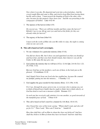*Now when it was day, He departed and went into a deserted place. And the crowd sought Him and came to Him, and tried to keep Him from leaving them; but He said to them, "I must preach the kingdom of God to the other cities also, because for this purpose I have been sent." And He was preaching in the synagogues of Galilee.* Luke 4:42-44

3. The ripeness of the harvest (John 4:35)

*Do you not say, "There are still four months and then comes the harvest'? Behold, I say to you, lift up your eyes and look at the fields, for they are already white for harvest!"* 

4. The urgency of the hour (John 9:4)

*I must work the works of Him who sent Me while it is day; the night is coming when no one can work.* 

#### **B. This call is based on God's sovereignty.**

1. No one volunteers for a particular ministry (John 15:16).

*You did not choose Me, but I chose you and appointed you that you should go and bear fruit, and that your fruit should remain, that whatever you ask the Father in My name He may give you.* 

2. God ordains the ministry that we will have (I Cor. 12:18; Eph. 2:8-10; Col. 1:23, 25; I Tim. 1:12).

*But now God has set the members, each one of them, in the body just as He pleased*. I Corinthians 12:18

*And I thank Christ Jesus our Lord who has enabled me, because He counted me faithful, putting me into the ministry…* I Timothy 1:12

3. God supplies the grace needed for that ministry (Rom. 12:3; I Pet. 4:10).

*For I say, through the grace given to me, to everyone who is among you, not to think of himself more highly than he ought to think, but to think soberly, as God has dealt to each one a measure of faith.* Romans 12:3

*As each one has received a gift, minister it to one another, as good stewards of the manifold grace of God.* I Peter 4:10

4. This call is based on God's need for a channel (Is. 6:8; Rom. 10:14-15).

*Also I heard the voice of the Lord, saying: "Whom shall I send, and who will go for Us?" Then I said, "Here am I! Send me."* Isaiah 6:8

*How then shall they call on Him in whom they have not believed? And how shall they believe in Him of whom they have not heard? And how shall they*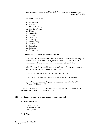*hear without a preacher? And how shall they preach unless they are sent?* Romans 10:14-15a

He needs a channel for:

- a. Intercession
- b. Healing
- c. Miracle Working
- d. Showing of Mercy
- e. Giving
- f. Comforting
- g. Serving
- h. Governing
- i. Teaching
- j. Evangelizing
- k. Guiding
- l. Grounding
- m. Fathering
- n. Shepherding

#### **C. This call is an individual, personal and specific.**

1. The word "call" comes from the Greek word *klesis*, a forensic term meaning, "to summon to court" with the idea of giving an account. The word does not emphasize a call to service but a call to accountability (I Cor. 9:16).

*For if I preach the gospel, I have nothing to boast of, for necessity is laid upon me; yes, woe is me if I do not preach the gospel!* 

2. This call can be known (I Tim. 2:7; II Tim. 1:11; Tit. 1:3).

*…for which I was appointed a preacher and an apostle…* I Timothy 2:7a

*…to which I was appointed a preacher, an apostle, and a teacher of the Gentiles*. II Timothy 1:11

Principle: The specific call of God can only be discovered and realized as one is cooperating with God to fulfill the general call of God.

## **III. God uses various ways and means to issue this call.**

#### **A. By an audible voice**

- 3. Joshua (Josh. 1:1)
- 4. Jeremiah (Jer. 1:4)
- 5. Jonah (Jonah 1:1)

#### **B. By Vision**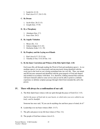- 1. Isaiah (Is. 6:1-8)
- 2. Paul (Acts 9:3-7; 26:13-19)

## **C. By Dream**

- 1. Jacob (Gen. 28:12-13)
- 2. Joseph (Gen. 37:5f)

## **D. By a Theophany**

- 1. Abraham (Gen. 2:7)
- 2. Isaac (Gen. 26:2)

## **E. By Angelic Visitation**

- 1. Moses (Ex. 3:2)
- 2. Gideon (Judges 6:11-22)
- 3. Zacharias (Luke 1:11, 19)

## **F. By Prophecy and the Laying on of Hands**

- 1. Paul (Acts 9:17; 22:12-16)
- 2. Timothy (I Tim. 4:14; II Tim. 1:6)

## **G. By the Inner Conviction and Witness of the Holy Spirit (Eph. 1:18)**

God issues His call through reading the Word of God and meditation upon it. As we meditate upon it, we are consciously and unconsciously being identified with the word, just as the food we eat is being assimilated into our very life. Thus, our minds and life become saturated and identified with the great purpose of God and shaped and molded in accordance with them. It is, therefore, nothing unusual that someone will know himself called to some service and yet not be able to point to a definite experience or definite scripture passage through which God extended the call to the person.

## **IV. There will always be a confirmation of our call.**

A. The Holy Spirit bears witness with our spirit through the peace of God (Col. 3:15).

*And let the peace of God rule in your hearts, to which also you were called in one body; and be thankful.* 

Someone has once said, "If you can do anything else and have peace of mind, do it!"

- B. Leadership over me bears witness (Heb. 13:17).
- C. The gifts and graces in my life bear witness (I Tim. 3:2).
- D. The people of God bear witness (Acts 6:3).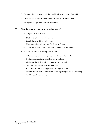- E. The prophetic ministry and the laying on of hands bear witness (I Tim. 4:14).
- F. Circumstances or open and closed doors confirm the call (I Cor. 16:9).

*For a great and effective door has opened to me…* 

# **V. How does one get into the pastoral ministry?**

- A. From a personal point of view.
	- 1. Start meeting the needs of the people.
	- 2. Start laying your life down for others.
	- 3. Make yourself a ready volunteer for all kinds of tasks.
	- 4. As you are faithful, God will give you opportunities to touch more.
- B. From the local church leadership point of view.
	- 1. Take advantage of the training programs offered by the church.
	- 2. Distinguish yourself as a faithful servant in the house.
	- 3. Get involved with the small group ministry of the church.
	- 4. Share your burden with the leadership team.
	- 5. Co-operate will all of the suggestions that are given to you.
	- 6. Seek the confirmation of the leadership team regarding the call and the timing.
	- 7. Wait for God to open the right door.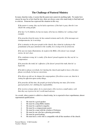# **The Challenge of Pastoral Ministry**

In many churches today, it seems that the pastor just cannot do anything right. No matter how sincere he may be or how hard he tries, there are always some who stand ready to find fault and to criticize. Someone has expressed the situation in this way:

*If the pastor is young, they say he lacks experience; if his hair is gray, then he's too old for the young people.* 

*If he has 5 or 6 children, he has too many; if he has no children, he's setting a bad example.* 

*If he preaches from his notes, he has canned sermons and is dry; if his messages are extemporaneous, he is not deep.* 

*If he is attentive to the poor people in the church, they claim he is playing to the grandstand; if he pays attention to the wealthy, he is trying to be an aristocrat.* 

*If he uses too many illustrations, he neglects the Bible; if he doesn't use enough stories, he isn't clear.* 

*If he condemns wrong, he's cranky; if he doesn't preach against sin, they say he's a compromiser.* 

*If he preaches the truth, he's offensive; if he doesn't preach the truth, then he's a hypocrite.* 

*If he fails to please everybody, he's hurting the church and ought to leave; if he does please everybody, he has no convictions.* 

*If he drives an old car, he shames his congregation; if he drives a new car, then he is setting his affection upon earthy things.* 

*If he preaches all the time, the people get tired of hearing one man; if he invites guest preachers, he's shirking his responsibility.* 

*If he receives a large salary, he is a mercenary; if he receives a small salary, well, then they say it proves he isn't worth much anyway.*

As a result, when a pastor is called to a church today, he is expected to have superhuman, almost supernatural qualifications.

- 1. He must be a good speaker.
- 2. He must be a deep Bible student.
- 3. He must be a spirited evangelist.
- 4. He must be a compassionate pastor.
- 5. He must be a man with the wisdom of Solomon.
- 6. He must be one who has a pleasing personality.
- 7. He must be good-looking.
- 8. He must have a wife who is compatible with all the members of the church.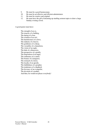- 9. He must be a good businessman.
- 10. He must be an effective and efficient administrator.
- 11. He must be creative and original.
- 12. He must have the gift of dreaming up startling sermon topics to draw a large Sunday evening crowd.

A good pastor must have:

 The strength of an ox, The tenacity of a bulldog, The daring of a lion, The wisdom of an owl, The harmlessness of a dove, The industry of a beaver, The gentleness of a sheep, The versatility of a chameleon, The vision of an eagle, The hide of a rhinoceros, The perspective of a giraffe, The disposition of an angel, The endurance of a camel, The bounce of a kangaroo, The stomach of a horse, The loyalty of an apostle, The faithfulness of a prophet, The tenderness of a shepherd, The fervency of an evangelist, The devotion of a mother, And then, he would not please everybody!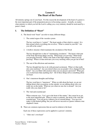# **Lesson 4 The Heart of the Pastor**

All ministry springs out of your heart. For this reason the development of the heart of a pastor is the most important part of the preparation process in becoming a pastor. Actually, no matter what ministry to which you feel the Lord is calling you, every ministry should be motivated by a pastor's heart.

# **I. The Definition of "Heart"**

A. The literal word "heart" can refer to many different things.

1. The central organ of the vascular system

 The key word here is "central." The heart speaks of that which is central. It is that around which everything else revolves. What is central in your life? Are you still at the center?

2. A hollow structure which maintains the circulation of the blood

 The key thought here is that of "maintaining circulation." The heart is that part of the body that keeps things moving. What keeps you moving? What keeps you pressing forward? What is the mark of the high calling to which you are pressing? What is it that motivates you every morning when you get out of bed?

3. The seat of the affections and emotions

 The key thought here has to do with personal excitement. What is it that really stirs your emotions? Are you stirred when you see people's lives changed for the better? Are you filled with emotion when you see prayers answered? What gets you excited more than anything else? All of these things tell us something about our heart.

4. One's innermost thoughts and feelings

 The key word here is "innermost." When we talk about the heart, we are not talking about what you portray on the outside; we are talking about who you really are on the inside. What are you when no one else is around? Are you really who you claim to be?

5. The vital and essential part

When someone says, "Let's get to the heart of the matter," they mean let us get to the most important part. When it comes to ministry, the heart is the vital and essential part. You can get by without a lot of external things. You can even make it with limited gifting, but you will never succeed as a pastor without a true shepherd's heart.

B. There are common expressions that are used in relation to the heart.

Each one of these expressions can be applied to a person's ministry.

1. "After one's own heart"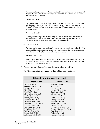When something is said to be "after your heart" it means that it is perfectly suited to you. It means that it conforms to your ideas and tastes. We want a ministry that is after our own heart.

2. "From one's heart"

When something is said to be done "from the heart" it means that it is done with all sincerity and no hypocrisy. We are not interested in putting on a ministry "show." We are not interested in acting the part. We want a ministry that comes from the heart.

3. "To have at heart"

When you say that you have something "at heart" it means that you cherish it and are earnestly concerned for it. What are you earnestly concerned about? Whatever is at your heart will be the object of your ministry.

4. "To take to heart"

When you take something "to heart" it means that you take it very seriously. It is not something that you do in a casual way. The ministry of a pastor can not be a casual endeavor. It is hard work and it is serious work.

5. "With all one's heart"

Pursuing the ministry of the pastor cannot be a hobby or something that we do in a careless or lazy fashion. When we do something "with all of our heart" we do it intensely, thoroughly and completely.

C. There are many conditions of the heart that are described in the Bible.

The following chart gives a summary of these biblical heart conditions.

| <b>Biblical Conditions of the Heart</b> |                               |
|-----------------------------------------|-------------------------------|
| <b>Negative Side</b>                    | <b>Positive Side</b>          |
| Hard (Mark $6:52$ )                     | Tender (II Kings $22:19$ )    |
| Obstinate (Deut. 2:30)                  | Willing (Ex. 35:29)           |
| Proud (Pro. 16:5)                       | Humble (Ps. 69:32)            |
| Hateful (Lev. 19:17)                    | Loving (Mark $12:30$ )        |
| Double $(Ps. 12:2)$                     | Single (Jer. 32:39)           |
| Hypocritical (Mt. 15:8)                 | Integrity (Ps. $78:72$ )      |
| Foolish (Rom. $1:21$ )                  | Wise (Ex. 36:2)               |
| Stony (Ezek. 11:19)                     | Soft (II Chr. 34:27)          |
| Withered $(Ps. 102:4)$                  | <b>Enlarged (Ps. 119:32)</b>  |
| Deceitful (Pro. 17:20)                  | Meek (Mt. 11:29)              |
| Unbelieving (Mk. 16:14)                 | Believing (Acts 8:37)         |
| Restless (Eccl. 2:23)                   | Free (II Chr. 29:31)          |
| Uncircumcised (Acts 7:51)               | Circumcised (Rom. 2:29)       |
| Rebellious (Jer. 5:23)                  | Contrite / Broken (Ps. 34:18) |
| Wicked (Pro. 10:20                      | Pure (Pro. 22:11)             |
| Erring (Heb. $3:10$ )                   | Perfect (Ps. 101:2)           |
| Adulterous (Ezek. 6:9)                  | Faithful (Neh. 9:8)           |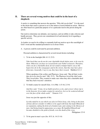# **II. There are several wrong motives that could be in the heart of a shepherd.**

A motive is something that answers the question, "Why did you do that?" It is the need or the desire that causes a person to act or the intent or reason behind an action. Motives are often based on a particular purpose of or a particular need in the person doing the action.

Our motives determine our attitudes, our responses, and our ability to take criticism and handle pressure. They govern our commitment level and intensity level regarding a specific activity.

As leaders we need to be willing to constantly hold our motives up to the searchlight of God's word and the standard presented to us in Jesus Christ.

A. A person could be motivated by personal ambition.

Personal ambition is characterized by several inward desires including:

1. To be in the limelight (Mt. 6:1-5; 23:5)

*Take heed that you do not do your charitable deeds before men, to be seen by them. Otherwise you have no reward from your Father in heaven. Therefore, when you do a charitable deed, do not sound a trumpet before you as the hypocrites do in the synagogues and in the streets, that they may have glory from men. Assuredly, I say to you, they have their reward.* Matthew 6:1-2

When speaking of the scribes and Pharisees, Jesus said, "But all their works they do to be seen by men" (Mt. 23:5). The Pharisees loved the chief seats. They loved titles. They wanted to make sure when they did a charitable deed that they had everyone's attention.

2. To build a name for oneself (Gen. 11:4; Phil. 1:15-16; 2:3-9)

*And they said, "Come, let us build ourselves a city, and a tower whose top is in the heavens; let us make a name for ourselves, lest we be scattered abroad over the face of the whole earth."* Genesis 11:4

Jesus was just the opposite of this.

Let this mind be in you which was also in Christ Jesus, who, being in the form *of God, did not consider it robbery to be equal with God, but made Himself of no reputation, taking the form of a bondservant, and coming in the likeness of men. And being found in appearance as a man, He humbled Himself and became obedient to the point of death, even the death of the cross.*

Philippians 2:5-8

3. To be great in man's eyes (Jer. 45:5; Is. 14:13-14)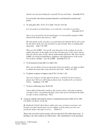*And do you seek great things for yourself? Do not seek them…* Jeremiah 45:5a

 It was Lucifer who tried to promote himself or exalt himself to position and power.

4. To seek glory (Pro. 25:27; 27:2; John 7:18; Jer. 9:23-24)

*It is not good to eat much honey; so to seek one's own glory is not glory.* Proverbs 25:27

*Just as it is not good to eat too much honey, it is not good for people to think about all the honors they deserve. –*NLT

*He who speaks on his own does so to gain honor for himself, but he who works for the honor of the one who sent him is a man of truth; there is nothing false about him.* John 7:18, NIV

*Thus says the LORD: "Let not the wise man glory in his wisdom, let not the mighty man glory in his might, nor let the rich man glory in his riches; but let him who glories glory in this, that he understands and knows Me, that I am the LORD, exercising lovingkindness, judgment, and righteousness in the earth. For in these I delight," says the LORD.* Jeremiah 9:23-24

5. To be honored of men (Mt. 6:2; John 5:44)

*How can you believe if you accept praise from one another, yet make no effort to obtain the praise that comes from the only God?* John 5:44, NIV

6. To please or please or impress men (I Th. 2:4; Gal. 1:10)

*Am I now trying to win the approval of men, or of God? Or am I trying to please men? If I were still trying to please men, I would not be a servant of Christ.* Galatians 1:10, NIV

7. To have a following (Acts 20:29-30)

*I know full well that false teachers, like vicious wolves, will come in among you after I leave, not sparing the flock. Even some of you will distort the truth in order to draw a following.* –NLT

B. A person could be motivated by money or material possessions (John 10:12; I Pet. 5:2; II Pet. 2:3; II Cor. 12:16-19).

*Be shepherds of God's flock that is under your care, serving as overseers--not because you must, but because you are willing, as God wants you to be; not greedy for money, but eager to serve…* I Peter 5:2

Those who serve the Lord for money will serve the devil if he offers them more. A hireling is one who is paid to do what he does. His commitment is to his paycheck.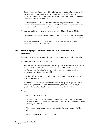He uses the Gospel for gain and will manipulate people for the sake of money. No one starts out this way, but it is easy to let money or the lack of it become the primary motivating factor in the things that we do. Do you ever make decisions on the basis of "what is in it for you?"

The true shepherd is what he is whether there is money involved or not. Many pastors in certain countries are not legally aloud to take money for pastoring. Would that fact change how you view pastoral ministry?

C. A person could be motivated by power or authority (I Pet. 5:3; Mt. 20:20-28).

*…nor as being lords over those entrusted to you, but being examples to the flock…* I Peter 5:3

James and John wanted to sit on thrones and be served, rather than humble themselves to serve (Mt. 20:20-29).

# **III. There are proper motives that should be in the heart of every shepherd.**

There are positive things that should be in our heart to motivate our ministry including:

A. Glorifying God (I Pet. 4:11; I Cor. 10:31)

*If anyone speaks, let him speak as the oracles of God. If anyone ministers, let him do it as with the ability which God supplies, that in all things God may be glorified through Jesus Christ, to whom belong the glory and the dominion forever and ever. Amen.* I Peter 4:11

*Therefore, whether you eat or drink, or whatever you do, do all to the glory of God.* I Corinthians 10:31

In the Book of Acts, the apostles ministered in such a way that the people who saw the miracles glorified God for what had been done (Acts 3:8; 4:21). In fact, the apostles refused to take the glory to themselves (Acts 3:12; 14:11-15).

- B. Love
	- 1. Love for God (John 21:15-17)

*He said to him again a second time, "Simon, son of Jonah, do you love Me?" He said to Him, "Yes, Lord; You know that I love You." He said to him, "Tend My sheep."* John 21:16

The best way for us to demonstrate our love for the Lord is to care for His children.

2. Love for People (I Th. 2:5-8; Phil. 1:7-8)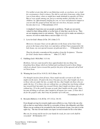*For neither at any time did we use flattering words, as you know, nor a cloak for covetousness--God is witness. Nor did we seek glory from men, either from you or from others, when we might have made demands as apostles of Christ. But we were gentle among you, just as a nursing mother cherishes her own children. So, affectionately longing for you, we were well pleased to impart to you not only the gospel of God, but also our own lives, because you had become dear to us.* I Thessalonians 2:5-8

 A shepherd's heart does not see people as problems. People are not merely valued for their tithing ability or on the basis of what they can do for us. They are not stepping stones to our ministry. They do not exist to make our ministry a success; we exist to make them a success (Eph. 4:11-12).

3. Love for God's House (I Chr. 29:3; John 2:17)

*Moreover, because I have set my affection on the house of my God, I have given to the house of my God, over and above all that I have prepared for the holy house, my own special treasure of gold and silver…* I Chronicles 29:3

*Then his disciples remembered this prophecy from the Scriptures: "Passion for God's house burns within me."* John 2:17, NLT

C. Fulfilling God's Will (Phil. 3:13-14)

*Brethren, I do not count myself to have apprehended; but one thing I do, forgetting those things which are behind and reaching forward to those things which are ahead, I press toward the goal for the prize of the upward call of God in Christ Jesus.* 

D. Winning the Lost (I Cor. 9:19-23; 10:33; Rom. 10:1)

*For though I am free from all men, I have made myself a servant to all, that I might win the more; 20 and to the Jews I became as a Jew, that I might win Jews; to those who are under the law, as under the law, that I might win those who are under the law; 21 to those who are without law, as without law (not being without law toward God, but under law toward Christ), that I might win those who are without law; 22 to the weak I became asweak, that I might win the weak. I have become all things to all men, that I might by all means save some. 23 Now this I do for the gospel's sake, that I may be partaker of it with you.* 

I Corinthians 9:19-23

E. Rewards (Hebrews 11:6; II Chr. 15:7; I Cor. 3:8-15)

Even though serving for rewards might seem selfish in a way, God is the one who tells us that we must believe that He is a rewarder of those who diligently seek Him. When you are seeking to be rewarded by the Lord instead of man, you seek it in the right way. The true servant leader can expect several rewards for his or her labor.

*But you, be strong and do not let your hands be weak, for your work shall be rewarded!* II Chronicles 15:7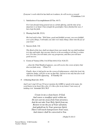*If anyone's work which he has built on it endures, he will receive a reward.* I Corinthians 3:14

1. Satisfaction of Accomplishment (II Tim. 4:6-7)

*For I am already being poured out as a drink offering, and the time of my departure is at hand. I have fought the good fight, I have finished the race, I have kept the faith.* 

2. Pleasing God (Mt. 25:21)

*His lord said to him, "Well done, good and faithful servant; you were faithful over a few things, I will make you ruler over many things. Enter into the joy of your lord."* 

3. Success (Josh. 1:8)

*This Book of the Law shall not depart from your mouth, but you shall meditate in it day and night, that you may observe to do according to all that is written in it. For then you will make your way prosperous, and then you will have good success.* 

4. Crown of Victory (I Pet. 5:4; II Tim 4:6-8; I Cor. 9:24-27)

*…when the Chief Shepherd appears, you will receive the crown of glory that does not fade away.* I Peter 5:4

*Finally, there is laid up for me the crown of righteousness, which the Lord, the righteous Judge, will give to me on that Day, and not to me only but also to all who have loved His appearing.* II Timothy 4:8

F. A Burning Heart (Jer. 20:9)

*And I can't stop! If I say I'll never mention the LORD or speak in his name, his word burns in my heart like a fire. It's like a fire in my bones! I am weary of holding it in!* Jeremiah 20:9, NLT

> *Create in me a clean heart, O God, And renew a steadfast spirit within me. Do not cast me away from Your presence, And do not take Your Holy Spirit from me. Restore to me the joy of Your salvation, And uphold me by Your generous Spirit. Then I will teach transgressors Your ways, And sinners shall be converted to You.*

> > $-$ -Psalm 51:10-13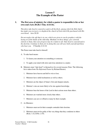# **Lesson 5 The Example of the Pastor**

# **I. The first area of ministry for which a pastor is responsible is his or her own soul (Acts 20:28; I Tim. 4:14-16).**

*Therefore take heed to yourselves and to all the flock, among which the Holy Spirit has made you overseers, to shepherd the church of God which He purchased with His own blood.* Acts 20:28

*Do not neglect the gift that is in you, which was given to you by prophecy with the laying on of the hands of the eldership. Meditate on these things; give yourself entirely to them, that your progress may be evident to all. Take heed to yourself and to the doctrine. Continue in them, for in doing this you will save both yourself and those who hear you.* I Timothy 4:14-16

The Pastor must take heed to himself.

- A. To take heed means:
	- 1. To fasten your attention on something or someone.
	- 2. To apply your mind with strict and close attention to a matter.
- B. Ministers must "take heed" to themselves for several reasons (Note: The following list is taken from *The Reformed Pastor* by Richard Baxter).
	- 1. Ministers have heaven and hell to win or lose.
	- 2. Ministers have sinful inclinations as well as others.
	- 3. Ministers are the object of Satan's first and sharpest attacks.
	- 4. Minister's sins are more likely to be sins against knowledge.
	- 5. Ministers bear the honor of the Lord in their actions more than others.
	- 6. Ministers are watched more closely than others.
	- 7. Ministers can save or offend so many by their example.
- C. As Ministers:
	- 1. Ministers must not let their example contradict their doctrine.
	- 2. Ministers must not be guilty of the very things that they condemn in others (Rom. 1:32; II Pet. 2:19).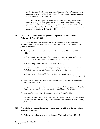*…who, knowing the righteous judgment of God, that those who practice such things are deserving of death, not only do the same but also approve of those who practice them.* Romans 1:32

*For when they speak great swelling words of emptiness, they allure through the lusts of the flesh, through lewdness, the ones who have actually escaped from those who live in error. While they promise them liberty, they themselves are slaves of corruption; for by whom a person is overcome, by him also he is brought into bondage.* II Peter 2:18-19

# **II. Christ, the Good Shepherd, provided a perfect example to His followers (I Pet. 2:21-22).**

*For to this you were called, because Christ also suffered for us, leaving us an example, that you should follow His steps: "Who committed no sin, Nor was deceit found in His mouth."* 

A. Part of Christ's mission was to demonstrate the principles of the Word of God (John 1:14).

*And the Word became flesh and dwelt among us, and we beheld His glory, the glory as of the only begotten of the Father, full of grace and truth.* 

Jesus came to put a face on God (John 14:9; Col. 1:15)

*Jesus said to him, "Have I been with you so long, and yet you have not known Me, Philip? He who has seen Me has seen the Father…"* John 14:9

*He is the image of the invisible God, the firstborn over all creation*.

Colossians 1:15

B. We are not only saved by Christ's death, we are saved by His life that He lived in front of us (Rom. 5:10).

*For if when we were enemies we were reconciled to God through the death of His Son, much more, having been reconciled, we shall be saved by His life.* 

C. Sheep are followers and need an example to follow (John 10:4, 27).

*And when he brings out his own sheep, he goes before them; and the sheep follow him, for they know his voice…My sheep hear My voice, and I know them, and they follow Me.* 

# **III. One of the greatest things that a pastor can provide for the sheep is an example to follow.**

A. God's people are instructed to follow the faith of their leaders (Heb. 6:12; 13:7).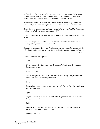*And we desire that each one of you show the same diligence to the full assurance of hope until the end, that you do not become sluggish, but imitate those who through faith and patience inherit the promises.* Hebrews 6:11-12

*Remember those who rule over you, who have spoken the word of God to you, whose faith follow, considering the outcome of their conduct.* Hebrews 13:7

*Remember your leaders, who spoke the word of God to you. Consider the outcome of their way of life and imitate their faith.* –NIV

B. Leaders are to be balanced Christians and examples for the flock in every area of life (I Tim. 4:12)

Let no one despise your youth, but be an example to the believers in word, in *conduct, in love, in spirit, in faith, in purity.* 

*Don't let anyone make fun of you, just because you are young. Set an example for other followers by what you say and do, as well as by your love, faith, and purity.* –CEV

Leaders are to be an example in:

1. Word

 Does your speech betray you? How do you talk? People naturally pick up a leader's expressions.

2. Lifestyle or Conduct

 Is your lifestyle balanced? Is it conducted the same way you expect others to live? Does your life confirm your word?

3. Love

 Do you lead the way in expressing love in action? Do you show the people how by leading the way?

4. Spirit

 Is your spirit liberated and free in the Lord? Do you show enthusiasm for the things of the Lord?

5. Faith

 Do your words and actions inspire and lift? Do you lift the congregation to a place of trusting God in difficult times?

6. Purity (I Tim. 5:22)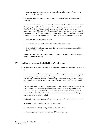Are you warring a good warfare in personal areas of temptation? Are you in control of the internet?

C. The greatest thing that a pastor can provide for the sheep is his or her example (I Peter 5:1-4).

*The elders who are among you I exhort, I who am a fellow elder and a witness of the sufferings of Christ, and also a partaker of the glory that will be revealed: 2 Shepherd the flock of God which is among you, serving as overseers, not by compulsion but willingly not for dishonest gain but eagerly; 3 nor as being lords over those entrusted to you, but being examples to the flock; 4 and when the Chief Shepherd appears, you will receive the crown of glory that does not fade away.* 

- 1. Leaders are to rule by their example.
- 2. It is the example of the leader that gives them the right to rule.
- 3. It is the fruit of the leader's personal life that attests to the genuineness of his or her faith (I Tim. 3:4-5).

It should be noted that the credibility of a local church is largely established by the credibility of its leadership.

### **IV. Paul is a great example of this kind of leadership.**

A. At times Paul deferred his own personal rights in order to be an example (II Th. 3:7- 9).

*For you yourselves know how you ought to follow us, for we were not disorderly among you; nor did we eat anyone's bread free of charge, but worked with labor and toil night and day, that we might not be a burden to any of you, not because we do not have authority, but to make ourselves an example of how you should follow us.* 

*For you know that you ought to follow our example. We were never lazy when we were with you. We never accepted food from anyone without paying for it. We worked hard day and night so that we would not be a burden to any of you. It wasn't that we didn't have the right to ask you to feed us, but we wanted to give you an example to follow.* –NLT

B. Paul readily encouraged others to follow his example (I Cor. 4:16; 11:1; Phil. 3:17).

*Therefore I urge you to imitate me.* I Corinthians 4:16

*So I ask you to follow my example and do as I do.* –NLT

*Imitate me, just as I also imitate Christ.* I Corinthians 11:1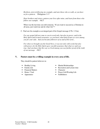*Brethren, join in following my example, and note those who so walk, as you have us for a pattern.* Philippians 3:17

*Dear brothers and sisters, pattern your lives after mine, and learn from those who follow our example.* –NLT

When was the last time you told someone, "If you want to succeed as a Christian in all areas, just watch me and do what I do!"?

C. Paul saw his example as an integral part of his Gospel message (I Th. 1:5-6a).

*For our gospel did not come to you in word only, but also in power, and in the Holy Spirit and in much assurance, as you know what kind of men we were among you for your sake. And you became followers of us and of the Lord…* 

*For when we brought you the Good News, it was not only with words but also with power, for the Holy Spirit gave you full assurance that what we said was true. And you know that the way we lived among you was further proof of the truth of our message.* –NLT

## **V. Pastors must be a willing example in every area of life.**

They should be pattern believers in:

- Healthy Living
- Family Life
- Financial Matters
- Home / Yard
- Appearance
- Marital Relationships
- Recreation and Leisure time
- Character
- Prayer Life/Worship Life
- Faithfulness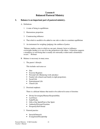# **Lesson 6 Balanced Pastoral Ministry**

# **I. Balance is an important part of pastoral ministry.**

### A. Definitions

- 1. A state of being in equilibrium
- 2. Harmonious proportion
- 3. Counteracting influence
- 4. That which is needful to be added to one side or other to constitute equilibrium
- 5. An instrument for weighing (judging); the emblem of justice

"Balance implies a state in which no one part, element, factor or influence overweighs another or is out of its due proportion to the others. It therefore suggests a steadiness or well-being that is usually not outwardly evident until a disturbance occurs." –Webster

- B. Balance is necessary in many areas.
	- 1. The pastor's lifestyle

This includes such areas as:

- Diet
- Exercise Regimen
- Personal Life (Balancing work and play)
- Family Life (church and family in right proportion).
- Social Life
- Entertainment Life
- Church Life
- 2. Doctrinal emphasis

There is a delicate balance that needs to be achieved in areas of doctrine:

- Divine Sovereignty/Human Responsibility
- Law/Grace
- Faith/Works
- Gifts of the Spirit/Fruit of the Spirit
- Authority/Personal Freedom
- Prosperity/Self-Denial
- 3. Pastoral practice
	- Inreach/Outreach
	- Evangelism/Discipleship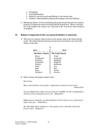- Word/Spirit
- Teaching/Preaching
- Ministry to the down-and-outer/Ministry to the up-and-outer
- Children's Ministry/Elderly Ministry/Everything-in-between-Ministry
- C. Maintaining balance involves maintaining the proper tension between two extremes. Extremes are dangerous and do not bring forth the desired fruit. Often it is the fine line in the middle or the "narrow way" that leads to life. You do not want to build on an emphasis.

# **II. Balance is important in the way pastoral ministry is expressed.**

A. There are two extremes when it comes to how pastors relate to the church and the world. The church that they lead may become known for being on one side of the balance or the other.

| <b>BAL</b>              | <b>NCE</b>       |
|-------------------------|------------------|
| <b>The Mercy Church</b> | The Truth Church |
| Mercy                   | Truth            |
| Compassion              | Correcting       |
| Forgiving               | Rebuking         |
| Acceptance              | Judgment         |
| Patience                | Intolerance      |
| Grace                   | Law              |
| Staff                   | Rod              |
| Peace                   | Sword            |
| Goodness                | Severity         |

B. Either extreme will produce negative fruit.

Key Verses:

*Mercy and truth have met together; righteousness and peace have kissed.* Psalm 85:10

*Do not withhold Your tender mercies from me, O LORD; let Your lovingkindness and Your truth continually preserve me.* Psalm 40:11

*Righteousness and justice are the foundation of Your throne; mercy and truth go before Your face.* Psalm 89:14

*He shall abide before God forever. Oh, prepare mercy and truth, which may preserve him!* Psalm 61:7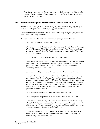*Therefore consider the goodness and severity of God: on those who fell, severity; but toward you, goodness, if you continue in His goodness. Otherwise you also will be cut off.* Romans 11:22

# **III. Jesus is the example of perfect balance in ministry (John 1:14).**

*And the Word became flesh and dwelt among us, and we beheld His glory, the glory as of the only begotten of the Father, full of grace and truth.* 

Jesus was full of grace and truth. That is, He was filled fully with grace, but, at the same time, He was filled fully with truth.

A. Jesus exemplified the kind, compassionate, forgiving minister of mercy.

1. Jesus reached out to the untouchable (Mark 1:40-41).

*Now a leper came to Him, imploring Him, kneeling down to Him and saying to Him, "If You are willing, You can make me clean." Then Jesus, moved with compassion, stretched out His hand and touched him, and said to him, "I am willing; be cleansed."* 

2. Jesus extended forgiveness to an adulteress (John 8:10-11).

*When Jesus had raised Himself up and saw no one but the woman, He said to her, "Woman, where are those accusers of yours? Has no one condemned you?" She said, "No one, Lord." And Jesus said to her, "Neither do I condemn you; go and sin no more."* 

3. Jesus was moved by compassion for a bereaved widow (Luke 7:12-15).

*And when He came near the gate of the city, behold, a dead man was being carried out, the only son of his mother; and she was a widow. And a large crowd from the city was with her. When the Lord saw her, He had compassion on her and said to her, "Do not weep." Then He came and touched the open coffin, and those who carried him stood still. And He said, "Young man, I say to you, arise." So he who was dead sat up and began to speak. And He presented him to his mother.* 

- 4. Jesus freely ministered to the demon possessed (Mark 5:1-19).
- 5. Jesus disregarded His personal need and touched the sick (Mt. 14:12-14).

*When Jesus heard it, He departed from there by boat to a deserted place by Himself. But when the multitudes heard it, they followed Him on foot from the cities. And when Jesus went out He saw a great multitude; and He was moved with compassion for them, and healed their sick.* 

This was right after Jesus found out about the death of John the Baptist. If there was ever a time that Jesus would have been justified in sending the crowds away, this was such a time.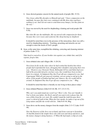6. Jesus showed genuine concern for the natural needs of people (Mt. 15:32).

*Now Jesus called His disciples to Himself and said, "I have compassion on the multitude, because they have now continued with Me three days and have nothing to eat. And I do not want to send them away hungry, lest they faint on the way."* 

7. Jesus was moved by the need for shepherding a fainting and weak people (Mt 9:36).

*But when He saw the multitudes, He was moved with compassion for them, because they were weary and scattered, like sheep having no shepherd.* 

It should be noted that even in the presence of the miraculous, there was still a need for shepherding ministry. Teaching, preaching and miracles are not enough to meet the needs of God's people.

B. Jesus, at the same time, exemplified the rebuking, correcting and cleansing minister of justice (Luke 17:3).

Take heed to yourselves. If your brother sins against you, rebuke him; and if he *repents, forgive him.* 

1. Jesus rebuked cities and villages (Mt. 11:20-24).

*Next Jesus let fly on the cities where he had worked the hardest but whose people had responded the least, shrugging their shoulders and going their own way. "Doom to you, Chorazin! Doom, Bethsaida! If Tyre and Sidon had seen half of the powerful miracles you have seen, they would have been on their knees in a minute. At Judgment Day they'll get off easy compared to you. And Capernaum! With all your peacock strutting, you are going to end up in the abyss. If the people of Sodom had had your chances, the city would still be around. At Judgment Day they'll get off easy compared to you."* –Msg

It should be noted that there is literally no one living in these places today!

2. Jesus rebuked Pharisees (John 8:43-44; Mt. 15:7; 23:13-33).

*Why can't you understand one word I say? Here's why: You can't handle it. You're from your father, the Devil, and all you want to do is please him. He was a killer from the very start. He couldn't stand the truth because there wasn't a shred of truth in him. When the Liar speaks, he makes it up out of his lying nature and fills the world with lies.* John 8:43-44, Msg

3. Jesus drove out the money changers from the temple (John 2:13-17; Luke 19:45- 46).

*Now the Passover of the Jews was at hand, and Jesus went up to Jerusalem. 14 And He found in the temple those who sold oxen and sheep and doves, and the money changers doing business. 15 When He had made a whip of cords,*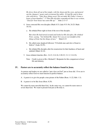*He drove them all out of the temple, with the sheep and the oxen, and poured out the changers' money and overturned the tables. 16 And He said to those who sold doves, "Take these things away! Do not make My Father's house a house of merchandise!" 17 Then His disciples remembered that it was written, "Zeal for Your house has eaten Me up."* John 2:13-17

- 4. Jesus corrected His own disciples (Mark 8:33; Luke 9:51-56; 24:25; Mark 16:14).
	- a. He rebuked Peter right in front of the rest of the disciples.

*But when He had turned around and looked at His disciples, He rebuked Peter, saying, "Get behind Me, Satan! For you are not mindful of the things of God, but the things of men."* Mark 8:33

- b. He called some skeptical followers "O foolish ones and slow of heart to believe" (Luke  $24:25$ ).
- c. He rebuked His disciples after his resurrection for their hardness of heart and unbelief (Mark 16:14).
- 5. Jesus rebuked churches (Rev. 2:4-5; 2:14-16; 2:20-23; 3:1-3; 3:14-22).
	- Note: Credit is given to Rev. Richard C. Benjamin for this comparison in Jesus' life and ministry.

# **IV. Pastors are to accurately reflect the balance found in Jesus.**

As pastors and leaders we are called to "put a face on God" just as Jesus did. If we are to accurately reflect God we must function in perfect balance.

- A. A pastor is to give his people a true picture of the Father (Rom. 11:22; Heb. 1:3).
- B. A pastor is to be like Jesus (Rom. 8:29).

We cannot be more merciful than God. In the same way, we cannot be more stern or severe than God. We want to present God just as He truly is.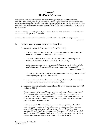# **Lesson 7 The Pastor's Schedule**

Most pastors, especially new pastors, have nearly everything to say about their personal schedule. This has its good side, but it can also have its negative side especially if the pastor is not by nature an organized person. As a church gets larger, the pastor can rely on others to assist with a schedule, but when the church is small the pastor must work hard to be a good steward of his or her time.

*Unless he manages himself effectively, no amount of ability, skill, experience or knowledge will make an executive effective.* –Unknown

*If we do not successfully manage ourselves, we will not be successful in managing others.* –Unknown

# **I. Pastors must be a good stewards of their time.**

A. A pastor is a steward of the mysteries of God (I Cor. 4:1-2).

- 1. The dictionary defines a steward as "a person entrusted with the management of estates and affairs not his own; an administrator."
- 2. The New Testament word translated "steward" means "the manager of a household or household affairs" (I Cor. 4:1-2; I Pet. 4:10).

*Let a man so consider us, as servants of Christ and stewards of the mysteries of God. Moreover it is required in stewards that one be found faithful.* I Corinthians 4:1-2

*As each one has received a gift, minister it to one another, as good stewards of the manifold grace of God.* I Peter 4:10

- 3. A steward is an individual who has been delegated authority by an owner to oversee possessions, property and household affairs.
- B. A pastor is responsible to make wise and honorable use of his or her time (Ps. 90:10- 12; Pro. 24:30-34).

*Seventy years are given to us! Some may even reach eighty. But even the best of these years are filled with pain and trouble; soon they disappear, and we are gone. Who can comprehend the power of your anger? Your wrath is as awesome as the fear you deserve. Teach us to make the most of our time, so that we may grow in wisdom.* Psalm 90:10-12

*I went by the field of the lazy man, and by the vineyard of the man devoid of understanding; <sup>31</sup> and there it was, all overgrown with thorns; its surface was covered with nettles; its stone wall was broken down. <sup>32</sup> When I saw it, I considered it well; I looked on it and received instruction: <sup>33</sup> a little sleep, a little slumber, a little folding of the hands to rest; <sup>34</sup> so shall your poverty come like a prowler, and your need like an armed man.* Proverbs 24:30-34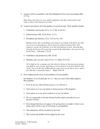C. A pastor will be accountable to the Great Shepherd for his or her stewardship (Heb. 13:17a).

*Obey those who rule over you, and be submissive, for they watch out for your souls, as those who must give account.* 

- D. A pastor must possess all of the qualities of a good steward. These qualities include:
	- 1. Faithfulness and loyalty (I Cor. 4:1-2; Mt. 21:40-41).
	- 2. Industriousness (Mt. 25:26; Rom. 12:11).
	- 3. Discipline and obedience (Col. 3:22-24; Tit. 2:9).

*Bondservants, obey in all things your masters according to the flesh, not with eye service, as men-pleasers, but in sincerity of heart, fearing God. And whatever you do, do it heartily, as to the Lord and not to men, knowing that from the Lord you will receive the reward of the inheritance; for you serve the Lord Christ.* Colossians 3:22-24

- 4. Fruitfulness and productivity (Mt. 25:20).
- 5. Humility and a servant's heart (I Cor. 4:7; Mark 10:43-45).

*Yet it shall not be so among you; but whoever desires to become great among you shall be your servant. And whoever of you desires to be first shall be slave of all. For even the Son of Man did not come to be served, but to serve, and to give His life a ransom for many."* Mark 10:43-44

E. Jesus emphasized the issue of stewardship in two key parables.

See Matthew 25:14-30 and Luke 16:1-13. Here are some of the truths taught in these parables:

- 1. If we do not use what God has given us, we will lose it.
- 2. God expects us to use our talents to bring increase to His kingdom.
- 3. God expects us to use great wisdom as we use our talents.
- 4. We are responsible to become all that God has made it possible for us to become in Christ.
- 5. Even though God does not appear to be giving direct oversight to what we are doing, there will be a day of reckoning or accountability.
- 6. The industrious will be rewarded by the Lord.
- 7. The wicked and slothful will be judged by the Lord.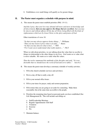8. Faithfulness over small things will qualify us for greater things.

## **II. The Pastor must organize a schedule with purpose in mind.**

A. This means the pastor must establish priorities (Phil. 1:9-11).

*And this I pray, that your love may abound still more and more in knowledge and all discernment, that you may approve the things that are excellent, that you may be sincere and without offense till the day of Christ, being filled with the fruits of righteousness which are by Jesus Christ, to the glory and praise of God.* 

Other translations of verse 10:

*"So that you may always approve better things…"* –Williams *"That you may learn to prize what is of value…"* –Knox *"So that you may discern what is best…"* –NIV *"For I want you to understand what really matters…"* –NLT

When we talk about priorities, we are talking about the value that we ascribe to things in relationship to the other things in our lives. God wants us to value what is most valuable. He wants us to value what He values.

*Then the twelve summoned the multitude of the disciples and said, "It is not desirable that we should leave the word of God and serve tables."* Acts 6:2

- B. This means the pastor must develop a customary schedule of weekly activities.
	- 1. Fill in the church schedule (services and activities).
	- 2. Put in a day off that is really a day off.
	- 3. Fill in your normal office hours.
	- 4. Fill in your times for prayer, study and sermon preparation.
	- 5. Fill in times that you are going to set aside for counseling. Make them reasonable, but at the same time accessible to the people.
	- 6. Prioritize the remaining time based on personal goals you have established (See Life Management II). This will include such things as:
		- a. Staff/Leadership Meetings
		- b. Regular Appointments with Staff
		- c. Visitation
		- d. Exercise
		- e. Etc.
	- 7. Maintain balance.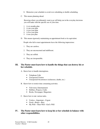- 8. Memorize your schedule to avoid over scheduling or double scheduling.
- C. This means planning ahead.

Knowing where you ultimately want to go will help you in the everyday decisions you will make with the specific use of your time.

- 1. A six months plan
- 2. A one-year plan
- 3. A two-year plan
- 4. A five-year plan
- 5. A ten-year plan
- D. This means rigorously maintaining an appointment book or its equivalent.

People who fail to meet appointments leave the following impressions:

- 1. They are careless.
- 2. They are unconcerned and indifferent.
- 3. They are selfish.
- 4. They are irresponsible.

# **III. The Pastor must learn how to handle the things that can destroy his or her schedule.**

- A. Know how to handle interruptions.
	- Telephone Calls
	- Unexpected Visitors
	- Unexpected Occurrences (sicknesses, deaths, etc.)
- B. Know how to restrict time consuming activities.
	- Television, Entertainment
	- Hobbies, Projects, Crafts
	- Books, Newspaper, Magazines
- C. Know how to rate various tasks.
	- Useless—Important—Urgent
	- Good—Better—Best
	- My Will—Their Will—God's Will

# **IV. The Pastor must learn how to keep his or her schedule in balance with other responsibilities.**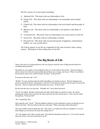Our life consists of several aspects including:

- A. Spiritual Life. This deals with our relationship to God
- B. Family Life. This deals with our relationship to our immediate and extended family.
- C. Church Life. This deals with our relationship to the local church and the people of God.
- D. Ministry Life. This deals with our relationship to our ministry in the Body of Christ.
- E. Vocational Life. This deals with our relationship to our career and our work life.
- F. Social Life. This deals with our relationship to friends.
- G. Personal Life. This deals with our personal pursuit of happiness, entertainment, hobbies, etc. (me, myself and I).

All of these aspects of our life are competing for the same resources (time, energy, money). What place do these things have in our life?

# **The Big Rocks of Life**

There is the story of a college professor who was trying to teach his class of high-powered achievers something about priorities.

He pulled out a one-gallon, wide-mouthed jar and set it on the table in front of him. Then he produced about a dozen fist sized rocks and carefully placed them, one at a time, into the jar. When it was filled to the top and no more rocks would fit inside, he asked, "Is this jar full?"

Everyone in the class said, "Yes!"

"Really?" he said, reaching under the table and pulling out a bucket of gravel. Then he dumped some gravel in and shook the jar, causing pieces of gravel to work themselves down into the spaces between the big rocks. Then he smiled and asked the group once more, "Is the jar full?"

By this time the class was onto him. "Probably not," one of them answered.

"Good!" he replied. He then reached under the table and brought out a bucket of sand. He started dumping the sand in and it went into the spaces between the rocks and the gravel. Once more he asked the question, "Is this jar full?"

"No!" shouted the class.

Once again he said, "Good!" Then he grabbed a pitcher of water and began to pour it in until the jar was filled to the brim. Then he looked at the class and asked, "What is the point of this illustration?"

One eager student raised his hand and said, "The point is, no matter how full your schedule is, if you try hard enough, you can always fit some more things into it!"

"No," the speaker said, "that is not the point. The truth this illustration teaches us is, "If you don't put the big rocks in first, you'll never get them in at all."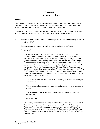# **Lesson 8 The Pastor's Study**

#### **Quotes:**

"As a result of failure in study habits some preacher, as they stand behind the sacred desk on Sunday morning, remind one of a football game played in the fog. The congregation knows something is going on, but they don't know exactly what." --Unknown

"The measure of a man's education is not how many years he has gone to school, but whether or not he continues to learn after his formal education has ended." --Bill Scheidler

# **I. What are some of the biblical challenges to the pastor relating to his or her study life?**

There are several key verses that challenge the pastor in the area of study:

A. Acts 6:2-7

*Then the twelve summoned the multitude of the disciples and said, "It is not desirable that we should leave the word of God and serve tables. 3 Therefore, brethren, seek out from among you seven men of good reputation, full of the Holy Spirit and wisdom, whom we may appoint over this business; 4 but we will give ourselves continually to prayer and to the ministry of the word." 5 And the saying pleased the whole multitude. And they chose Stephen, a man full of faith and the Holy Spirit, and Philip, Prochorus, Nicanor, Timon, Parmenas, and Nicolas, a proselyte from Antioch, 6 whom they set before the apostles; and when they had prayed, they laid hands on them. 7 Then the word of God spread, and the number of the disciples multiplied greatly in Jerusalem, and a great many of the priests were obedient to the faith.* 

- 1. The apostles knew that their primary call was to "give themselves" to prayer and the word.
- 2. The apostles had to structure the local church in such a way as to make that a reality.
- 3. The fruit of the renewed focus on their primary ministry was a release of evangelism.
- B. I Timothy 4:13-16

*Till I come, give attention to reading, to exhortation, to doctrine. Do not neglect the gift that is in you, which was given to you by prophecy with the laying on of the hands of the eldership. Meditate on these things; give yourself entirely to them, that your progress may be evident to all. Take heed to yourself and to the doctrine. Continue in them, for in doing this you will save both yourself and those who hear you.*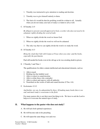- 1. Timothy was instructed to give attention to reading and doctrine.
- 2. Timothy was to give himself entirely to them.
- 3. The fruit of it would be that his profiting would be evident to all. Actually when you do not study your lack of study is evident to all as well.
- C. II Timothy 2:15

*Be diligent to present yourself approved to God, a worker who does not need to be ashamed, rightly dividing the word of truth.* 

- 1. When we rightly divide the word we honor God.
- 2. When we rightly divide the word we will not be ashamed.
- 3. The only way that we can rightly divide the word is to study the word.
- D. II Timothy 4:13

*Bring the cloak that I left with Carpus at Troas when you come--and the books, especially the parchments.* 

Paul still needed his books even in his old age as he was awaiting death in prison.

E. I Timothy 3 and Titus 1

The qualifications for elders contain intellectual and educational elements, such as:

- 1. Able to teach
- 2. Holding fast the faithful word
- 3. Able to exhort in sound doctrine
- 4. Able to refute those who contradict
- 5. Able to exhort and reprove with all authority
- 6. Nourished on the words of faith and sound doctrine (I Tim. 4:6)
- F. Ecclesiastes 12:12

*And further, my son, be admonished by these. Of making many books there is no end, and much study is wearisome to the flesh.* 

For many pastors this is not their most fun thing to do. We have to ask the Lord to help us to overcome the natural rigor of study.

### **II. What happens to the pastor who does not study?**

- A. He will lack fresh spiritual experiences.
- B. He will become stale in his preaching.
- C. He will repeat the same things over and over.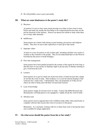D. He will probably cease to grow personally.

### **III. What are some hindrances to the pastor's study life?**

A. Busyness

As pastors it is easy to have more needs pressing on us than we have time to meet. Prayer and study are usually the first things to be compromised because they are the private functions of the ministry. Pastors can almost feel selfish to study when there are so many other demands.

B. Indifference

Some pastors are content with relying on past learning, pat answers and religious clichés. They have no up-to-date experiences to meet up-to-date needs.

C. Improper values

 At times it is easy for pastors to rely on their gifts, anointing and their own words of wisdom as they minister to the people. They do not understand that it is the Word of God that has the power to break bondages.

D. Poor time management

Some pastors have been pushed around by the tyranny of the urgent all week long so that they have to stay up late on Saturday night or get up early on Sunday morning to get a word from the Lord.

E. Laziness

Some pastors try to get too much out of previous times of study because they simply do not like the work of study. Their tendency is to scour the internet hoping to find someone else's study notes. Unfortunately, they can perpetuate err if they do not check out what is being said with their own personal research.

F. Lack of knowledge

 Some pastors simply do not know how to study. Courses like Bible Research and Hermeneutics will help pastors to be equipped to "rightly divide the word of truth."

G. Obsolete tools

Some pastors need to upgrade their tools of biblical study either with actual books or computer software that can provide a host of resources to the pastor.

Illustration: As a mechanic working with two or three basic tools or having the latest ones available for unique application.

### **IV. On what areas should the pastor focus his or her study?**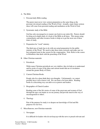#### A. The Bible

1. Personal daily Bible reading

The pastor must never view sermon preparation as the same thing as the personal, devotional reading of the Word of God. Actually, many future sermon ideas will come from personal reading and meditation on the Word of God.

2. Systematic study of the Bible

God has only encouraged us to master one book in our entire life. Pastors should be doing an in depth study of a book of the Bible at all times. This means using commentaries and other resource books to help us to get the most out of these times of study.

3. Preparation for "word" ministry

 The third area of study has to do with our actual preparation for the public ministry of the Word. We need to take these times seriously and make sure we have prepared meat in due season for the congregation. Note: Refer to the course in Homiletics that deals with the preaching of the Word.

- B. Other Christian materials
	- 1. Periodicals

 While many Christian periodicals are very shallow, they do help us to understand and be aware of some of the ideas and current trends that are in circulation around the greater Body of Christ.

2. Current Christian Books

 People who live alone think their own thoughts. Unfortunately, we cannot possibly have it all or know it all. We can learn a lot from others. Reading books in a discerning way can add to us as pastors and leaders.

3. Biographies of Church Leaders

 Reading some of the life stories of some of the great men and women of God through the ages can inspire us on our journey and provide much in the way of encouragement to others.

4. Theology

 Part of the purpose for study is to deepen our knowledge of God and His purposes for our lives.

- C. Miscellaneous, non-Christian materials
	- 1. Newspaper

It is difficult for leaders who do not keep up with the news to preach relevant and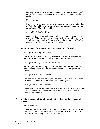prophetic messages. The newspaper is a quick way to get up on the context of the people who are coming to church and the issues with which they may be dealing.

2. News Magazine

 Reading good news magazines helps us to stay current on issues and affairs that are facing the world. As pastors we need to prepare and equip our people to face the challenges of the modern world.

3. Current Non-fiction Best Sellers

Sometimes there are key books that are making a profound impact on the society around us. While you cannot read everything, at times it is good to be aware of what is being said around us. Books like *Good to Great*, *In Search of Excellence*  or *Mega-trends 2000* can be useful to us as leaders.

### **V. What are some of the dangers to avoid in the area of study?**

A. Guard against becoming a bookworm.

 You can actually overdo it in the study department. A pastor can get so into his study that he can lose his ability to relate to real life and real people.

B. Guard against adopting all of the ideas that you read.

Whenever you read anything, try to discover something about the author and the author's setting. It may well help you to better understand and interpret what is being said.

C. Guard against reading that is too shallow.

Novels are fine for entertainment purposes, but when it comes to real Bible study the pastors needs to dig below the surface to discover the real gems.

D. Guard against reading that is too narrow.

 Don't be afraid to read something outside of your camp or normal field of study. We do not want to become isolated from the rest of the Body of Christ or encrusted within our own traditions.

# **VI. What are the main things to keep in mind when building a pastoral library?**

A. Have a definite plan

Don't just buy books for the sake of buying books. Make sure that you are getting the most out of your library-building dollar. Have a long term strategy or you will never have the books that you really want and need.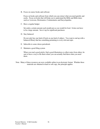B. Focus on source books and software

Focus on books and software from which you can extract what you need quickly and easily. Focus on books that will help you to understand the Bible and Bible times such as: Lexicons, Dictionaries, Commentaries and Encyclopedias.

C. Have a regular budget

 Set aside a certain amount each month just as you would for food. It does not have to be a large amount. Save it up for significant purchases.

D. Stay balanced

Do not only buy one kind of book on one kind of subject. You want to end up with a balanced library that has something pertaining to every relevant topic.

- E. Subscribe to some choice periodicals
- F. Maintain a good filing system

When you read a good article, find a good illustration or collect notes from others, be sure to have a way to file them where you can actually find them when you need them.

Note: Many of these resources are now available online in an electronic format. Whether these materials are obtained in hard or soft copy, the principle applies.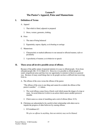# **Lesson 9 The Pastor's Apparel, Poise and Mannerisms**

# **I. Definition of Terms**

- A. Apparel
	- 1. That which is fitted, adjusted or prepared
	- 2. Dress, vesture, garments, clothing
- B. Poise
	- 1. The state of being balanced
	- 2. Equanimity; repose; dignity, as in bearing or carriage
- C. Mannerisms
	- 1. Characteristic or marked adherence to our unusual or affected manner, style or peculiarity
	- 2. A peculiarity of manner, as in behavior or speech

# **II. These areas all involve possible areas of offense.**

Because of the public nature of pastoral ministry it is easy to offend people. Even Jesus offended people (Mt. 15:12; Mark 6:3). However, it is possible to offend people in small, insignificant areas and thus lose our opportunity to minister to them in a pastoral way. Because of many small things that we do people can have a difficult time receiving from us.

A. The offense of the cross versus the offense of the pastor.

"The offense of the cross is one thing and cannot be avoided; the offense of the pastor is another." --J. Adams

- 1. The word offense comes from a Greek word which means the trigger of a trap or snare. In social behavior it refers to an action which causes another person to stumble.
- 2. Christ came as a stone of stumbling and a rock of offense (Rom. 9:33).
- B. Christians are admonished to be careful in their relationship with others not to impede the progress of other believers by causing offense.
	- 1. II Corinthians 6:3

*We give no offense in anything, that our ministry may not be blamed.*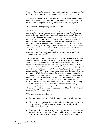*We try to live in such a way that no one will be hindered from finding the Lord by the way we act, and so no one can find fault with our ministry.* –NLT

This verse teaches us that our main objective in life is seeing people coming to the Lord. If some things that we are doing is a hindrance to that happening, we should be willing to make an adjustment for the sake of a higher call.

#### 2. I Corinthians 8:1-13 (especially verses 9-13, NLT)

*Now let's talk about food that has been sacrificed to idols. You think that everyone should agree with your perfect knowledge. While knowledge may make us feel important, it is love that really builds up the church. 2 Anyone who claims to know all the answers doesn't really know very much. 3 But the person who loves God is the one God knows and cares for. 4 So now, what about it? Should we eat meat that has been sacrificed to idols? Well, we all know that an idol is not really a god and that there is only one God and no other. 5 According to some people, there are many so-called gods and many lords, both in heaven and on earth. 6 But we know that there is only one God, the Father, who created everything, and we exist for him. And there is only one Lord, Jesus Christ, through whom God made everything and through whom we have been given life.* 

*7 However, not all Christians realize this. Some are accustomed to thinking of idols as being real, so when they eat food that has been offered to idols, they think of it as the worship of real gods, and their weak consciences are violated. 8 It's true that we can't win God's approval by what we eat. We don't miss out on anything if we don't eat it, and we don't gain anything if we do. 9 But you must be careful with this freedom of yours. Do not cause a brother or sister with a weaker conscience to stumble.10 You see, this is what can happen: Weak Christians who think it is wrong to eat this food will see you eating in the temple of an idol. You know there's nothing wrong with it, but they will be encouraged to violate their conscience by eating food that has been dedicated to the idol. 11 So because of your superior knowledge, a weak Christian, for whom Christ died, will be destroyed. 12 And you are sinning against Christ when you sin against other Christians by encouraging them to do something they believe is wrong. 13 If what I eat is going to make another Christian sin, I will never eat meat again as long as I live--for I don't want to make another Christian stumble.* 

This passage teaches several things:

- a. How we express the love of Christ is more important than what we know.
- b. There are a lot of erroneous beliefs about what true Christianity is and there are many weaker Christians who have set unbiblical standards and restrictions on themselves.
- c. When mature believers who have true biblical understanding encounter such weak Christians, they should not flaunt their liberty, but they should make concessions in their presence so as not to offend them for superfluous reasons.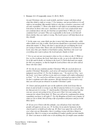#### 3. Romans 14:1-23 (especially verses 13, 20-21, NLT)

*Accept Christians who are weak in faith, and don't argue with them about what they think is right or wrong. 2 For instance, one person believes it is all right to eat anything. But another believer who has a sensitive conscience will eat only vegetables. 3 Those who think it is all right to eat anything must not*  look down on those who won't. And those who won't eat certain foods must *not condemn those who do, for God has accepted them. 4 Who are you to condemn God's servants? They are responsible to the Lord, so let him tell them whether they are right or wrong. The Lord's power will help them do as they should.* 

*5 In the same way, some think one day is more holy than another day, while others think every day is alike. Each person should have a personal conviction about this matter. 6 Those who have a special day for worshiping the Lord are trying to honor him. Those who eat all kinds of food do so to honor the*  Lord, since they give thanks to God before eating. And those who won't eat *everything also want to please the Lord and give thanks to God.* 

*7 For we are not our own masters when we live or when we die. 8 While we live, we live to please the Lord. And when we die, we go to be with the Lord. So in life and in death, we belong to the Lord. 9 Christ died and rose again for this very purpose, so that he might be Lord of those who are alive and of those who have died.* 

*10 So why do you condemn another Christian? Why do you look down on another Christian? Remember, each of us will stand personally before the judgment seat of God. 11 For the Scriptures say, "'As surely as I live,' says the Lord, 'every knee will bow to me and every tongue will confess allegiance to God.'" 12 Yes, each of us will have to give a personal account to God. 13 So don't condemn each other anymore. Decide instead to live in such a way that you will not put an obstacle in another Christian's path.* 

*14 I know and am perfectly sure on the authority of the Lord Jesus that no food, in and of itself, is wrong to eat. But if someone believes it is wrong, then for that person it is wrong. 15 And if another Christian is distressed by what you eat, you are not acting in love if you eat it. Don't let your eating ruin someone for whom Christ died. 16 Then you will not be condemned for doing something you know is all right.17 For the Kingdom of God is not a matter of what we eat or drink, but of living a life of goodness and peace and joy in the Holy Spirit.* 

*18 If you serve Christ with this attitude, you will please God. And other people will approve of you, too. 19 So then, let us aim for harmony in the church and try to build each other up. 20 Don't tear apart the work of God over what you eat. Remember, there is nothing wrong with these things in themselves. But it is wrong to eat anything if it makes another person stumble. 21 Don't eat meat or drink wine or do anything else if it might cause another*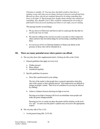*Christian to stumble. 22 You may have the faith to believe that there is nothing wrong with what you are doing, but keep it between yourself and God. Blessed are those who do not condemn themselves by doing something they know is all right. 23 But if people have doubts about whether they should eat something, they shouldn't eat it. They would be condemned for not acting in faith before God. If you do anything you believe is not right, you are sinning.* 

This passage teaches several things:

- a. We are slaves to Christ now and forever and we cannot get the idea that we can live any way we want.
- b. We must be willing to live our lives in such a way that we show respect for others and how they feel about things by not becoming a stumbling block to them.
- c. It is not an act of love or Christian kindness to flaunt your liberty in the presence of those who will be offended by it.

### **III. There are many potential areas where pastors can offend.**

- A. The way they dress (See supplemental article, *Clothing the Men of the Cloth*)
	- 1. General guidelines that apply on every level
		- a. Clothes pressed
		- b. Shoes shined
		- c. Laundered regularly
	- 2. Specific guidelines for pastors
		- a. Dress like a professional in your setting.

The fact of the matter is that people have a general expectation when they meet with a pastor or their spiritual advisor. First impressions are difficult to change in people's minds. Their level of confidence in you may be affected by clothing.

b. Achieve a balance between dressing too high or too low.

 Dressing at too high or business life level can intimidate some people and make the pastor unapproachable.

 Dressing too low or casual can place the pastor and his ministry on the level of a "pal." In such cases the pastor's opinion may not receive the appropriate respect.

- B. The way they talk (I Tim. 4:12)
	- 1. Avoid general slang (Mt. 12:35-36).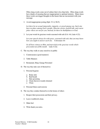Often slang words come out of culture that is less than holy. Often slang words have shades of meaning that are inappropriate to spiritual ministry. Many times these words can trigger thoughts in the hearer that are inconsistent with your message.

2. Avoid inappropriate jesting (Eph. 5:3-4, NLT).

*Let there be no sexual immorality, impurity, or greed among you. Such sins have no place among God's people. Obscene stories, foolish talk, and coarse jokes--these are not for you. Instead, let there be thankfulness to God.* 

3. Let your words be gracious words seasoned with salt (Col. 4:6; Luke 4:22).

*Let your speech always be with grace, seasoned with salt, that you may know how you ought to answer each one.* Colossians 4:6

*So all bore witness to Him, and marveled at the gracious words which proceeded out of His mouth.* Luke 4:22a

- C. The way they walk or carry ourselves in public
	- 1. Courteousness (good manners)
	- 2. Table Manners
	- 3. Restaurant, Shop, Garage Personnel
- D. The way they take care of themselves
	- 1. Personal hygiene
		- a. Body odor
		- b. Bad breath
		- c. Hair grooming
		- d. Clean shaven or neatly trimmed
		- e. Clean
	- 2. Personal fitness and exercise
- E. The way they conduct themselves in the homes of others
	- 1. Respect their possessions and their privacy.
	- 2. Leave washbowls clean.
	- 3. Make bed
	- 4. Write thank you notes.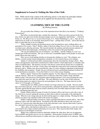### **Supplement to Lesson 8, Clothing the Men of the Cloth**

Note: While much of the content of the following article is a bit dated, the principles behind what he is saying are still valid and can be applied into the present day context.

# **CLOTHING MEN OF THE CLOTH**

By Hedwig Jemison

 Do you realize that clothing is one of the important factors that affect your ministry? "Clothing? Preposterous!"

 But before you discard the idea, consider this statement--"When you meet a person for the first time, before you open your mouth, that person judges you on your appearance and bearing." -- Forrest H. Frantz, Sr., *The Miracle Success System* (West Nyack, N.Y.: Parker Publishing Co., Inc.). After all, first impressions are made in an amazingly short period of time -- perhaps thirty seconds -- and in that interval there is really little else to use in evaluation.

 Today, reliable research can document down to the last detail how men's clothing affects our perceptions of its wearer. John T. Molloy, author of the best-selling, *Dress for Success* (for men), spent seventeen years collecting such data. His research includes the opinions and subconscious opinions of more than fifteen thousand people, constituting a wide cross section of the general public.

 "We are preconditioned by our environment," says Molloy, "and the clothing we wear is an integral part of that environment. The way we dress has a remarkable impact on the people we meet and greatly affects how they treat us."

 How can we avoid making mistakes in choosing the clothing we wear? The solutions, says Molloy, a former teacher turned management consultant, is to let research choose your clothing.

 Studies of verbal and nonverbal communication show the nonverbal has stronger effects. Thus clothes and appearance (nonverbal communicators) either reinforce verbal impressions or contradict (and often overwhelm) them. The business executive who dresses conservatively doesn't have to explain his authority. His clothes do it for him. In fact, those who adopt the conservative look assume the authority that goes with it. Molloy early discovered that the value of a man's clothing is important in determining his credibility and acceptance. People who are well dressed receive preferential treatment in almost all social and business encounters. If you don't believe it, try it when you go shopping.

 Molloy, named "America's first wardrobe engineer" by *Time Magazine*, did extensive research with the raincoat. There are two standard colors of raincoats sold in this country--beige and black. Molloy tested 1,362 persons by showing them almost identical pictures of two men assuming the same pose and in the same suit, shirt, tie, and shoes. The only difference was the color of their raincoats. Those being tested were asked to choose the most prestigious of the two. The beige raincoat was the choice of 1,118 people, or 87 percent.

 Following this test, Molloy and two friends wore beige raincoats for a month. The next month they wore black raincoats. At the end of each period they catalogued the attitudes of people toward them. The three agreed that the beige raincoat created a distinctly more favorable impression upon waiters, store clerks, and businessmen they met.

 Finally, Molloy picked a group of twenty-five business offices and went to each with a copy of *The Wall Street Journal*, asking the secretary to allow him to deliver it personally to the individual in charge. When he wore a beige raincoat, he delivered the papers in a single morning. Wearing the black raincoat, he spent a day and half to deliver the twenty-five papers.

 Molloy conducted further research in a large corporation that had two branch offices. One office enforced a dress code: the other did not. Secretaries in the office that had no dress code were late or absent 3 to 5 percent more often than those in the office that had a code, stayed at their desks 5 percent less, and spent 5 percent less time at their typewriters!

 After a dress code had been enforced for a year at the office that didn't have a code, the workers were found to have improved their performance in every area. They stayed at their desks longer, and their lateness record dropped 15 percent!

 Molloy also conducted research to determine whether the white dress shirt was an important factor in IBM's spectacular success over its competitors. Most people in business know of IBM's once official but now unofficial enforcement of a rather strict dress code, particularly for its salesmen. Molloy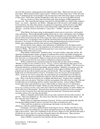surveyed 106 executives, asking questions that called for moral values. Which men were late to work more often? Which cheated on their expense reports? Which were better family men? Of the 106 in the study, 87 attributed greater moral strengths to the men dressed in white shirts than to those wearing shirts of other colors! Ninety-three said they thought that a white shirt was an asset to the IBM salesmen.

 Fifty-six executives of those interviewed had made major purchases of IBM equipment the previous year. They stated that their primary motivation for choosing IBM was a belief in that company's moral -- yes, moral -- superiority, says Molloy. Although each of the executives cited multiple reasons for his purchases, the white-shirt response was glaring in its importance, and the decision to buy IBM equipment was based largely on the positive moral characteristics attributed to the dress of IBM's salesmen -- a look the executives described as "conservative," "reliable," "efficient," and "morally upright."

 When Molloy first began testing, he photographed a dozen men in conservative, well-matched colors and patterns. Then he photographed another dozen men in a more contemporary style of clothing such as is generally seen in fashion magazines. When these photographs were mixed together, 70 to 80 percent of those tested chose the men in the conservative dress as more tastefully attired then those in the more modern dress, even though as many as half the men being interviewed did not dress conservatively themselves! Even when 70 to 80 percent of the men being questioned themselves dressed in more modern color combinations and style, their answers never changed significantly!

 The fact that the colors, patterns, and combinations of clothing that score the highest positive results among the largest majority of the population are all traditional and conservative came as no great surprise to Molloy. The most successful businessmen have worn conservative clothing for years, and most likely will for many years to come.

 When Molloy confirmed this "familiarity effect," he tested it further, using shirts and ties. He asked three hundred people to judge a grouping of traditional shirts and ties and another grouping that, although nontraditional, were not gaudy. The subjects were to score each combination as exhibiting good taste, poor taste, or as being neutral. Eighty-seven percent chose the traditional combinations as in good taste. Seventy percent chose the more modern combinations as being in poor taste.

 Molloy conducted more experiments testing the necktie than any other article of clothing. "Whether you like it or not, or believe it or not, " he says, "your tie, more than any other aspect of you appearance, will determine how people view your credibility, personality, and ability." His surveys leave no question that the tie symbolized respectability and responsibility. Hundreds of tie patterns exist, but only a few are suitable for professional wear. Illustrations of these appear in Molloy's book. When properly tied, the tip of the tie should come just to the belt buckle. Thus your height will determine the length of tie you will need and how to knot it. For business wear, bow ties give off several negative effects. If bow ties are worn as sports attire, the same patterns are recommended as for all other ties.

 In all tests, the most acceptable dress shirts are, and will continue to be, white and solid pale colors. These evoke the best responses for credibility and effectiveness. Properly color-coordinated solids go with every suit and tie. Pale-blue is still the most popular of the solid colors for shirts. Pink and lavender shirts are too feminizing and have negative masculine reactions. And according to Molloy, research shows that a man should never wear a solid red shirt, no matter who he is or what he does.

 What about shirt-sleeve length? Molloy gives the following all-embracing caution: "You will never, ever, as long as you live, wear a short-sleeve shirt for any business purpose, no matter whether you are the office boy or the president." Research shows that men who wear short sleeves have secretaries who arrive late 125 percent more often and come back from lunch late 130 percent more often than secretaries of those who wear long-sleeved shirts.

 Molloy is frequently asked whether there are any traits common to all successful executives. He answers, "There most definitely are: they always have their hair combed and their shoes shined. And they expect the same of other men."

 Molloy makes two important statements in his book: "If I have conveyed nothing other than the message that clothing should be used as a tool, then I have fully succeeded in my goal.

 "If the reader has accepted my second message, that beauty is not the name of the game, efficiency is--then I'm a perfectly happy man."

 Fortunately, cost is not a significant factor in dressing for success. Molloy states that if a man knows how to choose his clothing, he can, without substantial increase in his clothing expenditure, look right on all occasions. After years of tabulation, he has devised a simple set of do's and don'ts that make it possible for any man to dress in a way that will greatly improve his effectiveness. Many men have already done so through their own innate knowledge of good taste.

Some of Molloy's research involved ministers and their clothing. He showed pictures of men in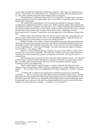various outfits and asked the respondents to identify the clergymen. Their image of a clergyman was a man in a conservatively cut two-piece black, navy, or dark-gray suit with a white shirt and conservative tie. They seldom identified men in three-piece business attire as clergymen.

 This information is significant, because of the role of expectation. If people expect a man in a particular profession to dress in a certain manner, they are more likely to believe him and trust him if he appears in the expected garb.

 The research also included pictures of several dozen men identified as clergymen wearing everything from traditional clerical attire to leisure suits. Molloy asked his subjects which ministers they considered most effective, sympathetic, best educated, et cetera. Then he had them choose the pictures of the men they would most like to have as their minister and the men they would least like to have. In both tests they chose men in conservative, two-piece suits as their favorites. Surprisingly, as many businessmen rejected "clergymen" wearing three-piece pin-striped suits as they did those wearing leisure suits.

 Earlier research showed that the clergy who did not wear the conservative clergy garb were less effective in their ministry than were those who wore the identifiable clothing. Could it be that the way the minister dresses has some bearing even on his soul-winning activities?

 William Thourlby wrote recently: "Aside from the glamour professions like entertainment and advertising, the top executives in most conservative corporations wear traditional clothing that does not call attention to itself. Quiet reliability is part of the look. In fact, be wary of any item of clothing that you are complimented on -- unless you sell clothing! You want to show that your mind is on business, not your clothes." -- *Sky*. January. 1980.

 However, we must remember that most clergymen on any given day perform a variety of tasks and deal with a cross section of the public. Obviously, they would not wear a suit to help with church construction or when accompanying a group of young people to the beach. The first rule of dress is common sense.

 The following words were penned in 1871, long before Molloy and his research: "It is important that the minister's manner be modest and dignified, in keeping with the holy, elevating truth he teaches, that a favorable impression may be made upon those who are not naturally inclined to religion. Carefulness in dress is an important item . . . .

 "Black or dark material is more becoming to a minister in the desk and will make a better impression upon the people than would be made by a combination of two or three different colors in his apparel . . . . The very dress will be a recommendation of the truth to unbelievers. It will be a sermon in itself . . . .

 "A minister who is negligent in his apparel often wounds those of good taste and refined sensibilities . . . . The loss of some souls at last will be traced to the untidiness of the minister. The first appearance affected the people unfavorably because they could not in any way link his appearance with the truths he presented. His dress was against him: and the impression given was that the people whom he represented were a careless set who cared for nothing about their dress, and his hearers did not want anything to do with such a class of people." -- *Testimonies*. vol.2, pp. 610-613.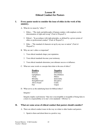# **Lesson 10 Ethical Conduct for Pastors**

# **I. Every pastor needs to consider the issue of ethics in the work of the ministry.**

- A. What do we mean by "ethics"?
	- 1. Ethics "The study and philosophy of human conduct, with emphasis on the determination of right and wrong" (*Funk & Wagnall's*)
	- 2. Ethical "In accordance with right principles, as defined by a given system of ethics or professional conduct" (*Funk & Wagnall's*)
	- 3. Ethic "The standard of character set up by any race or nation" *(Funk & Wagnall's*)
- B. Why are one's ethics so important?
	- 1. Your ethical standards shape your reputation.
	- 2. Your ethical standards become your testimony.
	- 3. Your ethical standards determine your ultimate success or influence.
- C. What are some words or concepts that relate to the area of ethics?

| <b>Positive</b> | <b>Negative</b> |
|-----------------|-----------------|
| Honesty         | Dishonesty      |
| Uprightness     | Deceitfulness   |
| Virtue          | Malice          |
| Morality        | Immorality      |
| Straightforward | Deceptive       |
| Above board     | Crafty          |
| Fair            | Unjust          |

D. What serves as the underlying basis for biblical ethics?

Integrity!

Integrity implies such honesty "that one is incorruptible or incapable of being false to a trust or a responsibility or to one's own standards." (*Webster's*)

# **II. What are some areas of ethical conduct that pastors should consider?**

- A. There are ethical conduct issues in the way we relate to other leaders and pastors.
	- 1. Speak to them and about them in a positive way.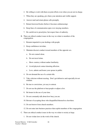- 2. Be willing to work with them on joint efforts even when you are not in charge.
- 3. When they are speaking, give them your attention and visible support.
- 4. Answer mail and return phone calls promptly.
- 5. Return borrowed books (before it becomes embarrassing).
- 6. Keep lines of communication open over straying members.
- 7. Be careful not to proselytize, but respect lines of authority.
- B. There are ethical conduct issues in the way we relate to members of the congregation.
	- 1. Remain impartial in your dealings with people.
	- 2. Keep confidences inviolate.
	- 3. Maintain discreet conduct toward members of the opposite sex.
		- a. Do not counsel alone.
		- b. Do not travel alone.
		- c. Show courtesy without undue familiarity.
		- d. Avoid physical contact denoting affection.
		- e. Love, admire and honor your spouse in public.
	- 4. Do not demand the use of a certain title.
	- 5. Take criticism without reacting. Don't get defensive and especially do not retaliate.
	- 6. Be true to convictions, yet easy to entreat.
	- 7. Do not use the platform to beat people or adjust a few.
	- 8. Be honest in the use of your time.
	- 9. Do not constantly talk about how busy you are.
	- 10. Beware of accepting those who disqualified themselves elsewhere.
	- 11. Do not borrow from church members.
	- 12. Do not enter into business practices that exploit members of the congregation.
- C. There are ethical conduct issues in the way we relate to society at large.
	- 1. Do not violate laws in the work of the church.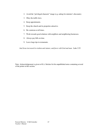- 2. Avoid the "privileged character" image (e.g. asking for minister's discounts).
- 3. Obey the traffic laws.
- 4. Keep appointments.
- 5. Keep the church and its properties attractive.
- 6. Be courteous at all times.
- 7. Work towards good relations with neighbors and neighboring businesses.
- 8. Always pay bills on time.
- 9. Leave large tips in restaurants.

*And Jesus increased in wisdom and stature, and favor with God and man.* Luke 2:52

Note: Acknowledgement is given to R.A. Stricker for his unpublished notes containing several of the points in this section.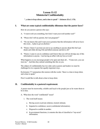# **Lesson 11-12 Ministerial Confidentiality**

*"...a time to keep silence, and a time to speak" - Solomon (Eccl. 3:7b).* 

# **I. What are some typical confidentiality dilemmas that the pastor faces?**

How do you answer a person who says:

- A. "I want to tell you something, but I don't want you to tell another soul?"
- B. "Please don't tell my parents, but I am pregnant?"
- C. "No one knows this and I want you to promise that this information will never leave this room…I plan to get an abortion."
- D. "Pastor, I know I can trust you not to say anything to anyone about this but I got drunk and while driving I hit and killed someone and drove off."
- E. "Pastor, I came to you in confidence and I know that you will not divulge any of this information to anyone. I am having an affair with my boss at work"

What happens as you encourage people to be open and share all... "Come now, you can trust me." And then they unload something like this on you.

The subject of confidentiality has two sides and as pastors and leaders we must be challenged in two separate but equally important ways.

Ecclesiastes 7:7 summarizes this tension with the words, "there is a time to keep silent, and a time to speak."

First I would like to talk about a time to keep silent.

# **II. Confidentiality is a pastoral requirement.**

A pastor must be trustworthy, reliable and loyal to the people just as he wants them to be to him.

- A. What does the word "confidential" mean?
	- 1. The word itself means:
		- a. Having secret or private relations; trusted; intimate.
		- b. Imparted in confidence; secret (confidential information).
		- c. Disposed to confide in another.
		- d. In government functions, it connotes the idea of classified or "top secret" information.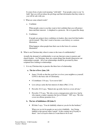It comes from a Latin word meaning "with faith". Your people come to you "in faith" that you will not abuse the privilege and that information that they relate to you will be safe with you.

- 2. What are some related words?
	- a. Confident

When people come to you they want to feel confident that you will protect them and their interests. A shepherd is a protector. He is to guard the sheep.

b. Confidence

If people are going to have confidence in leaders, they must feel that leaders can be trusted. They don't want to become a case history or a sermon illustration.

What happens when people hear their case in the form of a sermon illustration?

B. What is our Christian duty when it comes to the issue of confidentiality?

Actually the demand of confidentiality is not one that just comes to pastors and church leaders. As Christians, there are certain things that should characterize our relationship to people. All of our relationships should be governed by three scriptural laws relating to relationships.

1. It is my Christian duty to practice the three laws of relationship.

#### **a. The law of love (Jam. 2:8)**

- James 2:8 tells us that the royal law is to love your neighbor as yourself. LOVE is the basic rule of Christianity.
- I Corinthians 13:8 says, "Love never fails".
- Love always seeks the best interest of others (Phil. 2:3-4).
- Proverbs 10:12 says, "Hatred stirs up strife, but love covers all sins."
- Proverbs 17:9 says, "He who covers a transgression seeks love, but he who repeats a matter separates the best of friends." NIV says, "He who covers an offense promotes love…"

#### **b. The law of faithfulness (III John 5)**

• III John 5 says, "You do faithfully whatever you do for the brethren."

What ever we do for people we are to do it faithfully. Am I being faithful to this person when I speak? Is this coming out of loyalty to them? Am I as loyal to them as I want them to be to me?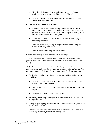- I Timothy 3:11 instructs those in leadership that they are "not to be slanderers, but to be temperate and faithful in all things."
- Proverbs 11:13 says, "A talebearer reveals secrets, but he who is of a faithful spirit conceals a matter."

#### **c. The law of edification (Eph. 4:29-30)**

- Ephesians 4:29-30 says, "Let no corrupt communication proceed out of your mouth, but what is good for necessary edification, that it may impart grace to the hearers. And do not grieve the Holy Spirit of God, by whom you were sealed for the day of redemption."
- I Corinthians 14:12 tells us that we are to seek to excel in edifying or building up the church.

I must ask the question, "Is my sharing this information building this person up or tearing them down?"

I must be committed to only that which builds.

2. It is my Christian duty to avoid all seven sins of the tongue.

There are many sins of the tongue that we as leaders must be careful not to participate in realizing that leaders will receive the greater condemnation (Jam.  $3:1-2$ ).

*My brethren, let not many of you become teachers, knowing that we shall receive a stricter judgment. For we all stumble in many things. If anyone does not stumble in word, he is a perfect man, able also to bridle the whole body.* 

- a. Talebearing or telling others those things that were told to him in trust and confidence.
	- Proverbs 18:8 says, "The words of a talebearer are like tasty trifles, and they go down into the inmost belly."
	- Leviticus 19:16 says, "You shall not go about as a talebearer among your people…"
	- Other verses: Proverbs 20:19; 26:20, 22; 16:28
- b. Backbiting or speaking evil of a person in their absence (Pro. 25:23; II Cor. 12:20; Rom. 1:30).
- c. Gossip or speaking idly or with evil intent of the affairs of others (Rom. 1:29; II Cor. 2:20; I Tim. 5:13).

The ninth commandment is "Thou shalt not bear false witness—or worthless witness against thy neighbor." Deuteronomy 5:20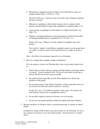d. Whispering or speaking secretly of others to one individual at a time in a plotting manner (Rom. 1:29; II Cor. 2:20).

Proverbs 16:28 says, "A perverse man sows strife, and a whisperer separates the best of friends."

- e. Bitterness or speaking to others about someone else in a manner which denotes inward feelings of anger, hurt, indignation or repulsion (Eph. 4:31).
- f. Coarse jesting or speaking of serious matters in a light and frivolous way (Eph. 5:4).
- g. Slander or speaking falsehoods or misrepresentations which have the effect of damaging another person's reputation (Col. 3:8; I Pet. 2:1).

Psalms 101:5 says, "Whoever secretly slanders his neighbor, him will I destroy."

The word for "slander" in the Hebrew originally meant to travel up and down as a trader. It came to mean to travel up and down as a trader of secrets or tales.

Note: All of this is the minimum expected of us as Christians.

3. How do we apply these mandates simply as Christians?

If we are going to exercise our Christian duty, it has to put certain cautions into us.

- a. Watch what you share with your spouse and other leaders concerning matters of counsel. Learn to unload on God. We do not want others to pick up an offense that they do not have grace to handle.
- b. Be careful at home especially in front of the children not to discuss the problems of the people.
- c. Do not repeat stories of the failures of pastors or others especially when you do not have all of the facts (and we rarely do—hearsay).

 Exodus 23:1 says, "You shall not circulate a false report. Do not put your hand with the wicked to be an unrighteous witness."

- d. Do not allow request for prayer to become a cover for gossip.
- e. Do not use your people and their problems in joking with other ministers.
- C. Beyond our duty as a Christian, what is our professional duty as a pastor or church leader?

In addition to being careful in these areas just because we are Christian, we are to give special care because we are also professionals. Our profession is a trusted office.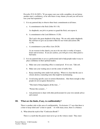Proverbs 25:9-10 (NIV), "If you argue your case with a neighbor, do not betray another man's confidence, or he who hears it may shame you and you will never lose your bad reputation."

- 1. It is my pastoral duty to observe three basic commitments at all times.
	- a. A commitment to the flock (John 10:1-18).

As shepherds, our job is to protect or guard the flock, not expose it.

b. A commitment to the Lord (Hebrews 13:20).

The Lord is the great shepherd of the sheep. We are only under-shepherds. We will have to give an account to Him for our words and actions (Mt. 12:36).

c. A commitment to your office (Acts 20:28)

As an overseer in the church, you are to be one who is worthy of respect, honor and reverence. If you are careless, you will give every other pastor a bad name.

- 2. It is my pastoral duty to act as a professional and to help people make it easy to place confidence in their spiritual leaders.
	- a. Make sure your counseling office is sound proof. If it is not. Talk soft.
	- b. Make sure your waiting area is not the center of traffic flow.
	- c. Keep counseling notes under lock and key. When it is clear that the case is closed, destroy counseling notes that might be incriminating.
	- d. Avoid using specific cases in sermon illustrations. Alter them enough so that people do not recognize themselves.

"This kind of thing happens all the time…"

"Picture this scenario…"

e. Ask permission to share with other professionals for your own outside advice and counsel.

# **III. What are the limits, if any, to confidentiality?**

There is another side to this area of confidentiality. Ecclesiastes 3:7 says that there is a time to keep silent and "a time to speak." As with many areas, there is a balance.

A. What about the myth of the "Confession Booth"?

There is a myth that the pastor must never go on the witness stand. They must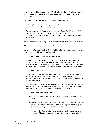never repeat anything that they hear. This is a false and unbiblical concept and when it is fully maintained, it will cause serious problems for people and ulcers for the pastor.

The process of justice is not more important than justice itself.

In the Bible, there were times that you were not to be silent but you were to give testimony concerning what was happening.

- 1. When someone was planning on apostatizing (Deut. 13:6-18, esp. vs. 6-8).
- 2. When someone had committed murder (Ex. 21:12-14).
- 3. When you knew the facts concerning other crimes that had been committed (Lev. 5:1).

It was never considered gossip or talebearing to offer testimony in these matters.

B. What are the biblical issues that limit confidentiality?

As pastors we have to wrestle with certain biblical concerns that are going to have a huge bearing in this area of confidentiality.

#### **1. The Issue of Repentance and Reconciliation**

Matthew 18:15-10 makes it clear that in the process of reconciliation it is sometimes necessary to include others. Confidentiality is attempted, but it may lead to exposure if the person involved does not respond properly. This process actually requires exposing the matter to a broader and broader group of people.

#### **2. The Issue of Authority**

As pastors we are constantly dealing with the issue of authority. We must be careful when counseling a son or a daughter without the knowledge of her parents or a wife without her husband, etc. We must not violate God's chain of authority in their lives.

We can end up trying to be so loyal to a person that we actually become disloyal to God and His word or disloyal to the other people who are involved in this matter (i.e. parents, family, employers, civil authorities, etc.).

#### **3. The Issue of Exposing versus Covering**

a. We must be committed to cover sin that has been properly dealt with (Jam. 5:19-20).

*Brethren, if anyone among you wanders from the truth, and someone turns him back, let him know that he who turns a sinner from the error of his way will save a soul from death and cover a multitude of sins.* 

• Psalm 32:1, "Blessed is he whose...sin is covered." This is based on verse 5-6, "I acknowledge my sin…and my iniquity have I not hid."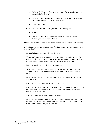- Psalm 85:2, "You have forgiven the iniquity of your people; you have covered all of their sins."
- Proverbs 28:13, "He who covers his sin will not prosper, but whoever confesses and forsakes them will have mercy."
- Others: Job 31:33
- b. Sin that is hidden without being dealt with is to be exposed.
	- Matthew 18
	- Ephesians 5:11, "Have not fellowship with the unfruitful works of darkness, but rather expose them."
- C. What are the basic biblical guidelines that should govern ministerial confidentiality?

Let's bring all of this teaching together. What do we do when people come to us for counseling?

1. Only offer limited confidentiality based on trust.

If they don't trust you as a counselor, they should not be coming to you. This trust is based on your love for them as a person and your commitment to them as a pastor who is only interested in their good and overall well being.

2. Do not seek to know more than you need to know.

We are not to relish getting all of the minor details that have no bearing on a solution. The more you know the greater the temptation to misuse what you know.

Proverbs 17:4, "The wicked give heed to false lips, a liar eagerly listens to a spiteful tongue."

3. Encourage the person to report to his or her authorities.

Encourage people that you counsel to open up themselves to those involved or to the proper authorities and seek biblical solutions. This will keep you from having to expose the matter.

4. Become a pastor that is known for having sealed lips.

Private matters are safe with you. This helps you immensely when you find it necessary to expose matters for the purpose of healing. Things should only be shared with those who are part of the solution.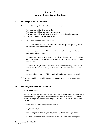# **Lesson 13 Administering Water Baptism**

# **I. The Preparation of the Place**

A. There must be adequate water to baptize by immersion.

- 1. The water should be clean and fresh.
- 2. The water should be a reasonable temperature.
- 3. The water should be easily accessible for both getting in and getting out.
- 4. The place should be useable all year round.
- B. Some possible places that could be utilized.
	- 1. An official church baptistery. If you do not have one, you can possibly utilize one from another church in the area.
	- 2. A swimming pool. The best type of pools are ones that have gradual steps descending into the water.
	- 3. A natural water source. This would include lakes, rivers and oceans. Make sure that a certain amount of privacy can be achieved and that any necessary permits are obtained.
	- 4. A large water trough. These are portable units used for watering livestock. In such a case, those administering baptism would do it from the outside of the tank.
	- 5. A large bathtub or hot tub. This is not ideal, but in emergencies it is possible.
- C. The place should be accessible for members of the congregation to witness the baptism.

# **II. The Preparation of the Candidate**

A. In the spiritual realm

 Provide a baptismal class where the candidates can be instructed in the biblical basis for baptism (See supplemental notes on baptism). This class should be about 45 minutes in length and the person leading the class should see to it that the following occurs:

- 1. Make a list of names for a permanent record.
- 2. Begin with prayer.
- 3. Have each person share very briefly, answering the following questions:
	- a. When, and under what circumstances, did you accept the Lord as your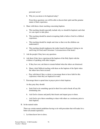personal savior?

b. Why do you desire to be baptized today?

 From these questions you will be able to discern their spirit and the genuine nature of their experience.

- 4. Share with them a basic teaching concerning baptism.
	- a. This teaching should especially include why we should be baptized, and what we can expect to take place.
	- b. This teaching should be aimed at inspiring faith to believe God for a biblical experience.
	- c. This teaching should be simple and clear so that even the children can understand it.
	- d. This teaching should emphasize the truths found in Romans 6 (dying to sin and living for God) and Colossians 3 (circumcision of the heart).
- 5. Ask the people if they have any questions.
- 6. Ask them if they have experienced the baptism of the Holy Spirit with the evidence of speaking with other tongues.
	- a. If they have not, ask them to remain behind when the others are dismissed.
	- b. Share a brief biblical teaching with them on the baptism of the Spirit when the others have been excused.
	- c. Pray with them if they so desire or encourage them to have faith for this experience when they are baptized in water.
- 7. Encourage them to spend time in prayer prior to their baptism.

As they pray they should:

- a. Seek God to do something special in their lives and to break off any life dominating sins.
- b. Ask God to cleanse and purify their hearts and impart grace to them.
- c. Ask God to give them something to share with others as a testimony prior to their baptism.
- B. In the natural realm

There are certain natural guidelines having to do with procedure that will make for a better all around experience.

1. Let them know how to dress.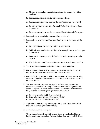- a. Modesty is the rule here especially in relation to the women who will be baptized.
- b. Encourage them to wear a swim suit under street clothes.
- c. Encourage them to bring a complete change of clothes and a large towel.
- d. Have some towels on hand and robes available for those who do not have proper attire.
- e. Have women ready to assist the women candidates before and after baptism.
- 2. Let them know when and where you want them to get ready.
- 3. Let them know what they should do when they join you in the water. Ask them to:
	- a. Be prepared to share a testimony and/or answer questions.
	- b. Hold their nose with left hand and their wrist with right hand as we lower you into the water.
	- c. Come out of the water praising the Lord with hands extended speaking in tongues.
	- d. Wait in the water until those baptizing have had a chance to pray over them.
- 4. Join the candidates prior to baptism for a corporate word of prayer.
- 5. Give a brief exhortation to the congregation concerning what takes place in baptism and encourage them to renew their vows to the Lord.
- 6. Enter the baptistery with the candidates, one at a time. You may want to bring married couples or families who are also being baptized in the water together if the venue permits.
- 7. Introduce the candidate to the congregation and have them answer a few questions or give a brief testimony. These answers should be kept brief and should be regulated based on the time available and the number of candidates being baptized. Some appropriate questions would include:
	- a. Do you love the Lord with all of your heart?
	- b. Under what circumstances did you accept Christ?
	- c. Do you plan to serve God all of your life?
- 8. Baptize the candidate; totally submerging them in water (Have the candidate hold their nose before you put them under).
- 9. As you baptize, say something like:

"Upon the confession of your faith in Jesus Christ as your Lord and Savior, I baptize you into the name of the Father, and of the Son, and of the Holy Ghost;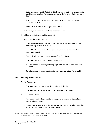in the name of the LORD JESUS CHRIST that like as Christ was raised from the dead by the glory of the Father, even so you also shall rise to walk in newness of life."

- 10. Encourage the candidate and the congregation to worship the Lord, speaking with other tongues.
- 11. Pray over the candidates before you dismiss them.
- 12. Encourage the newly baptised to go in newness of life.
- C. Additional guidelines for children under 12.

Before baptizing young children:

- 1. Their parents must be convinced of their salvation by the confession of their mouth and by the fruit of their life.
- 2. It should be the child's persistent desire to be baptized (not just a one-time emotional request).
- 3. Ideally the child should have the baptism of the Holy Spirit.
- 4. The parents must accompany the child to the class.
	- a. They should be encouraged to help explain the content of the class to their child.
	- b. They should be encouraged to make this a memorable time for the child.

#### **III. The Baptismal Service**

- A. The Atmosphere
	- 1. The congregation should be together to witness the baptism.
	- 2. The context should be one of singing, worship, prayer and praise.
- B. The Worship Leader
	- 1. The worship leader should lead the congregation in worship as the candidate comes out of the water.
	- 2. A song may be sung between the baptisms that take place depending on the time needed and the number of people being baptized..
- Note: All of these guidelines would be subject to revision in the event that 3,000 were to be baptized at the same time (Acts 2:41).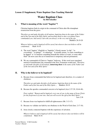# **Lesson 13 Supplement, Water Baptism Class Teaching Material**

# **Water Baptism Class By Bill Scheidler**

# **I. What is meaning of the word "baptize"?**

Christian baptism finds its origin in the command of Christ after His triumphant resurrection from the grave.

*Therefore go and make disciples of all nations, baptizing them in the name of the Father and of the Son and of the Holy Spirit, and teaching them to obey everything I have commanded you. And surely I am with you always, to the very end of the age.* Matthew 28:19-20

*Whoever believes and is baptized will be saved, but whoever does not believe will be condemned.* Mark 16:16

- A. The word "baptize" (English) or "baptidzo" (Greek) means "to dip", "to overwhelm", "to plunge", "to submerge." It actually means "to cause something to be dipped" or "to immerse something beneath the surface of water, or some other fluid" (In most cases the act of immersion is temporary and not permanent).
- B. We are commanded of Christ to "baptize" believers. If this word were translated instead of transliterated, the command in the New Testament would read, "*Therefore go and make disciples of all nations, immersing them in the name of the Father and of the Son and of the Holy Spirit."*

# **II. Why is the believer to be baptized?**

A. Because Jesus commanded that believers be baptized and, therefore, it is a matter of obedience.

*Therefore go and make disciples of all nations, baptizing them in the name of the Father and of the Son and of the Holy Spirit…,* Matthew 28:19

B. Because the apostles commanded converts to be baptized (Acts 2:37-39; 10:44-48).

*Peter replied, "Repent and be baptized, every one of you, in the name of Jesus Christ for the forgiveness of your sins. And you will receive the gift of the Holy Spirit."* Acts 2:38

- C. Because Jesus was baptized to fulfill all righteousness (Mt. 3:13-17).
- D. Because we validate our faith by our obedience to the Word of God (Jam. 2:17-18).
- E. Jesus closely connected baptism with the experience of salvation.

*Whoever believes and is baptized will be saved, but whoever does not believe will be condemned.* Mark 16:16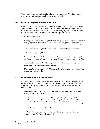Water baptism is an essential part of obedience; it is not optional. To refuse baptism is to live in disobedience to the clearly revealed word of God.

## **III. What are the prerequisites for baptism?**

Baptism, in and of itself, cannot save anyone. It is faith in the Lord Jesus Christ as one's savior that brings an individual to salvation. Therefore, baptism is only effectual for those who have met certain requirements. Those receiving baptism must have already laid the first two foundation stones in the Christian experience, namely—

A. Repentance (Acts 2:38)

*Peter replied, "Repent and be baptized, every one of you, in the name of Jesus Christ for the forgiveness of your sins. And you will receive the gift of the Holy Spirit."*  Acts 2:38

This means one is not baptized merely because he wants to be part of the church.

B. Faith (Acts 8:12; 10:47; Mark 16:16)

*But when they believed Philip as he preached the good news of the kingdom of God and the name of Jesus Christ, they were baptized, both men and women.* Acts 8:12

This means that one must be old enough to know what he or she is doing. This requirement of faith rules out infant baptism.

*Whoever believes and is baptized will be saved, but whoever does not believe will be condemned.* Mark 16:16

#### **IV. What takes place in water baptism?**

We are baptized simply because we are commanded by God to do so. However, as we respond to the Word of the Lord in faith, some very important things will take place. Every person who goes into the waters of baptism should expect to experience five things by faith:

A. An identification with the Lord Jesus Christ in His death, burial and resurrection (Rom. 6:3-5; Col. 2:12; 3:1).

*For I do not want you to be ignorant of the fact, brothers, that our forefathers were all under the cloud and that they all passed through the sea. They were all baptized into Moses in the cloud and in the sea. They all ate the same spiritual food…* I Corinthians 10:1-3

1. We identify with Him in His death.

 *Or don't you know that all of us who were baptized into Christ Jesus were baptized into his death?* Romans 6:3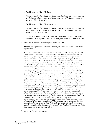2. We identify with Him in His burial.

 *We were therefore buried with him through baptism into death in order that, just as Christ was raised from the dead through the glory of the Father, we too may live a new life.* Romans 6:4

3. We identify with Him in His resurrection.

 *We were therefore buried with him through baptism into death in order that, just as Christ was raised from the dead through the glory of the Father, we too may live a new life.* Romans 6:4

*Buried with Him in baptism, in which you also were raised with Him through faith in the working of God, who raised Him from the dead.* Colossians 1:12

B. A new victory over life dominating sins (Rom. 6:11-18).

 When we are baptized, we lose our old master (sin, Satan) and become servants of righteousness.

*If we have been united with him like this in his death, we will certainly also be united with him in his resurrection. For we know that our old self was crucified with him so that the body of sin might be done away with, that we should no longer be slaves to sin- because anyone who has died has been freed from sin. Now if we died with Christ, we believe that we will also live with him. For we know that since Christ was raised from the dead, he cannot die again; death no longer has mastery over him. The death he died, he died to sin once for all; but the life he lives, he lives to God. In the same way, count yourselves dead to sin but alive to God in Christ Jesus. Therefore do not let sin reign in your mortal body so that you obey its evil desires. Do not offer the parts of your body to sin, as instruments of wickedness, but rather offer yourselves to God, as those who have been brought from death to life; and offer the parts of your body to him as instruments of righteousness. For sin shall not be your master, because you are not under law, but under grace. What then? Shall we sin because we are not under law but under grace? By no means! Don't you know that when you offer yourselves to someone to obey him as slaves, you are slaves to the one whom you obey-whether you are slaves to sin, which leads to death, or to obedience, which leads to righteousness? But thanks be to God that, though you used to be slaves to sin, you wholeheartedly obeyed the form of teaching to which you were entrusted. You have been set free from sin and have become slaves to righteousness. I put this in human terms because you are weak in your natural selves. Just as you used to offer the parts of your body in slavery to impurity and to ever-increasing wickedness, so now offer them in slavery to righteousness leading to holiness. When you were slaves to sin, you were free from the control of righteousness. What benefit did you reap at that time from the things you are now ashamed of? Those things result in death! But now that you have been set free from sin and have become slaves to God, the benefit you reap leads to holiness, and the result is eternal life. For the wages of sin is death, but the gift of God is eternal life in Christ Jesus our Lord.* Romans 6:5-23

C. A spiritual cleansing and renewal.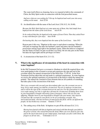The water itself effects no cleansing, but as we respond in faith to the commands of Christ, the Holy Spirit works in connection with the God prescribed means.

 *And now what are you waiting for? Get up, be baptized and wash your sins away, calling on his name.* Acts 22:16

D. An identification with the name of the Lord (Acts 2:38; 8:12, 16; 10:48).

*Because the Holy Spirit had not yet come upon any of them; they had simply been baptized into the name of the Lord Jesus.* Acts 8:16

*So he ordered that they be baptized in the name of Jesus Christ. Then they asked Peter to stay with them for a few days.* Acts 10:48

*On hearing this, they were baptized into the name of the Lord Jesus.* Acts 19:5

Kenyon puts it this way, "Baptism in this sense is equivalent to marriage. When the wife puts on marriage she takes her husband's name and enters into her husband's possessions and has legal right to her husband's home. When the believer is baptized into the Name of Christ, he puts on all that is in Christ. He not only puts on the Name but takes his legal rights and his privileges in Christ."

E. A circumcision of the heart (Col. 2:11-12).

## **V. What is the significance of circumcision of the heart in connection with water baptism?**

In the Old Testament God gave a covenant to Abraham in which He required those who were participating in the covenant to accept and experience the sign and seal of the covenant which was natural circumcision of the flesh (Gen. 17:10-14). In the New Testament God has taken that seal and made it a spiritual requirement. In water baptism we receive the spiritual experience of circumcision of the heart to which the natural rite pointed. The natural rite consisted of four elements that are all symbolic of something that takes place in the circumcision of the heart.

*This is my covenant with you and your descendants after you, the covenant you are to keep: Every male among you shall be circumcised. You are to undergo circumcision, and it will be the sign of the covenant between me and you. For the generations to come every male among you who is eight days old must be circumcised, including those born in your household or bought with money from a foreigner--those who are not your offspring. Whether born in your household or bought with your money, they must be circumcised. My covenant in your flesh is to be an everlasting covenant. Any uncircumcised male, who has not been circumcised in the flesh, will be cut off from his people; he has broken my covenant.* Genesis 17:10-14

A. The cutting away of the flesh. In baptism we put off the old man (Col. 2:11).

*Having been buried with him in baptism and raised with him through your faith in the power of God, who raised him from the dead. When you were dead in your sins and in the uncircumcision of your sinful nature, God made you alive with Christ. He forgave us all our sins…* Colossians 2:12-13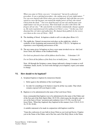*When you came to Christ, you were "circumcised," but not by a physical procedure. It was a spiritual procedure—the cutting away of your sinful nature. <sup>12</sup> For you were buried with Christ when you were baptized. And with him you were raised to a new life because you trusted the mighty power of God, who raised Christ from the dead. <sup>13</sup> You were dead because of your sins and because your sinful nature was not yet cut away. Then God made you alive with Christ. He forgave all our sins. <sup>14</sup> He canceled the record that contained the charges against us. He took it and destroyed it by nailing it to Christ's cross. <sup>15</sup> In this way, God disarmed the evil rulers and authorities. He shamed them publicly by his victory over them on the cross of Christ. --*NLT

- B. The shedding of blood. In baptism a death to self is to take place (Rom. 6:3)
- C. The eighth day. Natural circumcision took place on the eighth day, which is symbolic of new beginning and resurrection life (I Pet. 3:20-21). In baptism we experience a new beginning and newness of life.
- D. The new name given. In baptism we have a new name invoked over us—the Lord Jesus Christ, the fullness of the Godhead bodily.

*For God was pleased to have all his fullness dwell in him…* Colossians 1:19

*For in Christ all the fullness of the Deity lives in bodily form…* Colossians 2:9

Note: All through the Scripture a name change indicated a change in nature as well (Abraham, Sarah, Jacob). As God works through you in baptism, expect your nature to change.

# **VI. How should we be baptized?**

- A. Scriptural baptism is baptism by immersion (burial).
	- 1. Refer again to the definition of the word baptism.
	- 2. In order for something to be buried, it must be all the way under. That which remains exposed will soon begin to stink.
- B. Baptism is to be administered in the name of the Lord Jesus Christ.

Jesus commanded that baptism was to be administered in the name of the Father and of the Son and of the Holy Spirit (Matt. 28:19-20), which name the disciples came to see on the basis of Jesus' ascension and exaltation (Acts 2:33-36), was the Lord Jesus Christ. When they baptized, they baptized in this manner (Acts 2:36-41; 8:12- 16, 35-38; 10:48).

A suitable statement to be made in conjunction with baptism would be:

"Upon the confession of your faith in Jesus Christ as you Lord and Savior, I baptize you in the Name of the Father, and of the Son, and of the Holy Ghost; in the Name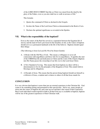of the LORD JESUS CHRIST that like as Christ was raised from the dead by the glory of the Father, even so you also shall rise to walk in newness of life."

This formula:

- 1. Quotes the command of Christ as declared in the Gospels.
- 2. Invokes the Name of the Lord Jesus Christ as demonstrated in the Book of Acts.
- 3. Declares the spiritual significance as revealed in the Epistles.

# **VII. What is the responsibility of the baptized?**

Even as the waters of the Red Sea served as a separation between the Egyptian life of slavery and the land of God's provision for the Israelites of old, so the waters of baptism should serve as a permanent landmark in the life of the believer. Baptism should signal three things:

(The following is from *God and His Word* by Ernest Gentile)

- A. A Break with the Old Way of Life. This means a willingness to sever all connections with ungodliness and those who live in ungodliness. It signifies the start of the CHRISTian life and dedication to Christ and the work of His Church. Baptism into His Name passes the ownership of our life over to the Lord Jesus Christ.
- B. A New Standard of Living. This means that from baptism on, there will be a determination to live by the principles of the Kingdom of God. This entails both its blessings and its obligations.
- C. A Disciple of Jesus. This means that the person being baptized should see himself as a follower of Jesus, a student and a witness to others of all that Jesus stands for.

# **CONCLUSION**

It is very obvious that baptism is more than just an external experience in the Christian life. God wants to do something lasting and permanent at this special time. Sad to say, many people go down into the waters of baptism dry and come up wet and that is the extent of their experience. But if each individual would respond in faith to all that God says is available in baptism, baptism will be one of the greatest experiences of their Christian walk.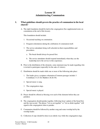# **Lesson 14 Administering Communion**

# **I. What guidelines should govern the practice of communion in the local church?**

A. The right foundation should be laid in the congregation (See supplemental notes on communion at the end of this lesson).

This foundation should include:

- 1. Occasional teaching on communion.
- 2. Frequent exhortations during the celebration of communion itself.
- 3. The service attendants being well schooled on their responsibilities and procedures.
	- a. The bread should always be passed first.
	- b. The service attendants should respond immediately when they see the leadership move the service to this experience.
- B. Prior to the distribution of the elements, some statement may be made regarding who is invited to participate (especially for the sake of visitors).
- C. Distribution should be made while one or more of the following take place:
	- 1. The leader gives a scripture exhortation (Common passages include: I Corinthians 11:23-26; Matthew 26:26-30).
	- 2. Special music is sung.
	- 3. The congregation sings.
	- 4. Special music is played.
- D. Prayer should be offered as blessing over each of the elements before they are partaken.
- E. The congregation should partake together, following Jesus' pattern of the bread first and the cup second. The phrase "Let us eat together" or "Let us drink together" will signal to the congregation when to partake.
- F. Communion should be followed by another song and some worship led by the worship leader.
- G. Collection of cups should be done in an orderly way while the congregation sings.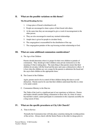## **II. What are the possible variations on this theme?**

#### **The Bread Breaking Service**

- 1. A large piece of bread is distributed to all.
- 2. People are encouraged to share a piece of their bread with others.
- 3. At the same time they are encouraged to give a word of encouragement to the other person.
- 4. They are also encouraged to mend any strained relationships.
- 5. Ample time is given for people to circulate freely.
- 6. The congregation is reassembled for the distribution of the cup.
- 7. The congregation partakes of the cup focusing on their relationship to God.

#### **III. What are some additional communion considerations?**

A. The Age of the Children

Parents should determine when it is proper for their own children to partake of communion. They should give their children some private instruction as to the meaning of what is taking place. The main thing is that parents ensure that their children do not play with the bread and the juice and cause a distraction to others. It is best when the children are very young for the parents to administer the bread and the cup to their children at the appropriate times.

B. The Control of the Children

Again, parents need to be in control of their children during this time to avoid distraction. Parents need to be sure that their children understand that this is a time to be under control.

C. Communion Ministry to the Shut-ins

The Table of the Lord is a significant part of our experience as believers. Pastors and leaders should consider taking communion to those who, by virtue of causes beyond their control, cannot participate in communion in the corporate assembly for a long season of time.

# **IV. What are the specific procedures at City Life Church?**

A. Time in Service

Normally the Communion time will take place sometime during the worship portion of the service. Always check with the Senior Pastor or the elder in charge prior to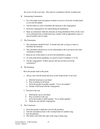the service for the exact time. This must be coordinated with the worship team.

- B. Announcing Communion
	- 1. Go to the pulpit with microphone in hand (or receive it from the worship leader as you near the pulpit).
	- 2. Ask the ushers to come to distribute the elements to the congregation.
	- 3. Invite the congregation to be seated during the distribution.
	- 4. Share an exhortation while the elements are being distributed (Note: In the event of no exhortation the worship team may continue with an appropriate song or a special number may be sung).
- C. The Exhortation
	- 1. The exhortation should be brief. It should only take as long as it takes to distribute the elements.
	- 2. The exhortation should focus on our relationship to the Lord and tie into other communion scriptures.
	- 3. Keep an eye on the ushers to see how the distribution is going.
	- 4. At some point before partaking, it is good to read I Corinthian 11:23-26.
	- 5. Ask the congregation "Is there anyone who has not been served the communion?"
- D. The Partaking

Have the people stand at this point.

- 1. Always start with the bread and focus on the broken body of our Lord.
	- a. Hold the bread up in your hand.
	- b. Pray in relation to the bread.
	- c. Invite the people to partake together, "Let us eat together."
	- d. Partake of the bread with the congregation.
- 2. Proceed to the cup.
	- a. Hold up the cup in your hand.
	- b. Pray in relation to the cup.
	- c. Invite the people to drink together, "Let us drink together."
	- d. Drink the cup with the congregation.
- E. The Conclusion
	- 1. Invite the people to thank the Lord for His goodness.
	- 2. Turn the microphone back to the worship leader for another song.
	- 3. Exit the platform.
	- 4. The ushers will collect the cups as the song is being sung.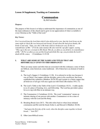# **Lesson 14 Supplement, Teaching on Communion**

# **Communion**

By Bill Scheidler

#### *Purpose:*

The purpose of this lesson is to help us understand the importance of communion as one of the main ordinances of the church and to grow in our appreciation of what is available to every Christian at the "Table of the Lord."

#### *Key Verses:*

*For I received from the Lord that which I also delivered to you: that the Lord Jesus on the same night in which He was betrayed took bread; 24 and when He had given thanks, He broke it and said, "Take, eat; this is My body which is broken for you; do this in remembrance of Me." 25 In the same manner He also took the cup after supper, saying, "This cup is the new covenant in My blood. This do, as often as you drink it, in remembrance of Me." 26 For as often as you eat this bread and drink this cup, you proclaim the Lord's death till He comes.* 1 Corinthians 11:23-26

#### **I. WHAT ARE SOME OF THE NAMES AND TITLES THAT ARE HISTORICALLY GIVEN TO THIS ORDINANCE?**

There are many names and titles that are associated with this ordinance; some of them are biblical, some historical, some traditional. All of them have an element of truth to them.

- A. The Lord's Supper (1 Corinthians 11:20). It is referred to in this way because it was at Christ's last supper with the disciples, prior to his crucifixion, that Jesus established this ordinance (Matthew 26:26-29) and it points to a future supper that all believers of all ages will once again eat with Christ (Revelation 19:9, 17).
- B. The Lord's Table or the Table of the Lord (1 Corinthians 10:21). A table speaks to us of a place of feasting, love, and fellowship. The Lord has provided a place for us to sup with Him in an intimate way.
- C. The Communion (1 Corinthians 10:16). The word "communion" means an intimate sharing of one person with another. Communion is to be a time of intimacy with the Lord and His Body.
- D. Breaking Bread (Acts 20:7). This title refers back to when Jesus initiated communion and He took the bread, broke it, and blessed it (Matthew 26:26).

*"And upon the first day of the week, when the disciples came together to break bread…"* Acts 20:7

E. Other (non-biblical) terms: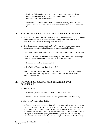- 1. Eucharist. This word comes from the Greek word which means "giving thanks" (I Corinthians 14:16). Certainly, as we remember the Lord, thanksgiving should fill our hearts.
- 2. Sacrament. This word comes from a Latin word meaning "holy" or "set apart." The Communion Table should certainly be hallowed and reverenced by all.

#### **II. WHAT IS THE FOUNDATION FOR THIS ORDINANCE IN THE BIBLE?**

- A. From the first chapters (Genesis 3:8) to the last chapters (Revelation 21:1-3) of the Bible, God has revealed Himself as one who delights in and desires to have intimate fellowship and relationship with His creation.
- B. Even though sin separated man from God, God has always provided a means whereby this intimate relationship could be experienced in His house.

*"And let them make me a sanctuary; that I may dwell among them."* Exodus 25:8

- C. In the Old Testament, at different times, God provided different avenues through which this desire could be manifest. Two such avenues include:
	- 1. The Altar of Sacrifice (Exodus 20:24)
	- 2. The Table of Showbread (Leviticus 24:5-9)
- D. Under the New Covenant, the table of the Lord's presence is the Communion Table. The table is the only piece of furniture taken into the New Covenant celebration or service.

#### **III. WHAT SYMBOLS DID JESUS USE IN ESTABLISHING THE COMMUNION?**

- A. Bread (Luke 22:19)
	- 1. The bread speaks of the body of Christ broken for sinful man.
	- 2. The bread which Jesus provided is necessary for spiritual life (John 6:58).
- B. Fruit of the Vine (Matthew 26:29)

*And as they were eating, Jesus took bread, blessed and broke it, and gave it to the disciples and said, "Take, eat; this is My body." Then He took the cup, and gave thanks, and gave it to them, saying, "Drink from it, all of you. For this is My blood of the new covenant, which is shed for many for the remission of sins. But I say to you, I will not drink of this fruit of the vine from now on until that day when I drink it new with you in My Father's kingdom." And when they had sung a*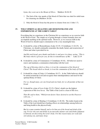*hymn, they went out to the Mount of Olives.* Matthew 26:26-30

- 1. The fruit of the vine speaks of the blood of Christ that was shed for sinful man for cleansing sin (Matthew 26:28).
- 2. Only the blood of Jesus has the power to cleanse from sin (1 John 1:7).

#### **IV. WHAT SPIRITUAL REALITIES ARE DEMONSTRATED AND EXPERIENCED AT THE LORD'S TABLE?**

Everything that we experience in the Christian life we experience as we exercise faith in the Word of God. The simple act of going through a certain formality does not accomplish anything in the spiritual realm. However, as we exercise faith in the Word of God we should expect communion to be a very meaningful time.

A. It should be a time of Remembrance (Luke 22:19; 1 Corinthians 11:24-25). As Christians, we should continually remember the death, burial, and resurrection of Christ and what it provided for us.

*And He took bread, gave thanks and broke it, and gave it to them, saying, "This is My body which is given for you; do this in remembrance of Me."* Luke 22:19

B. It should be a time of Communion (1 Corinthians 10:16). All believers need to renew and maintain a communion relationship with the Lord.

The cup of blessing which we bless, is it not the communion of the blood of *Christ? The bread which we break, is it not the communion of the body of Christ?* 

C. It should be a time of Unity (1 Corinthians 10:17). At the Table believers should be united around the Lord and recognize their interdependence and need for the spiritual Body of Christ.

*For we, though many, are one bread and one body; for we all partake of that one bread.* 

D. It should be a time of Love (Luke 22:15). Christ's death was the highest expression of His love for us. The Table of the Lord is a feast of His love.

*Then He said to them, "With fervent desire I have desired to eat this Passover with you…"* 

E. It should be a time of Healing (1 Corinthians 11:28-30). The truths found at the Table of the Lord should have healing effects on relationships among believers and bring health to the physical body.

*But let a man examine himself, and so let him eat of the bread and drink of the cup. For he who eats and drinks in an unworthy manner eats and drinks judgment to himself, not discerning the Lord's body. For this reason many are weak and sick among you, and many sleep.*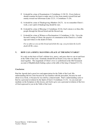- F. It should be a time of Examination (1 Corinthians 11:28-32). Every believer should examine his heart to make sure it is free from enmity toward God and enmity toward our fellowman (Luke 22:21; 1 Corinthians 11:29).
- G. It should be a time of Thanksgiving (Matthew 26:27). As we remember Christ's work, a new spirit of thanksgiving should be ours.
- H. It should be a time of Blessing (1 Corinthians 10:16). God's desire is to bless His people through the blessed bread and the blessed cup.
- I. It should be a time of Witness or Proclamation (1 Corinthians 11:26). Up to the Second Coming of Christ, the practice of communion in the Church is a visible sign and witness to the death of Christ.

*For as often as you eat this bread and drink this cup, you proclaim the Lord's death till He comes.* 

#### **V. HOW CAN A SINFUL MAN FIND A PLACE AT THE KING'S TABLE?**

It is only on the basis of God's infinite love, mercy, and grace that we can sit and feast at the Table of the Lord. Gratitude should fill our hearts every time we share this meal together. The magnitude of Christ's love is symbolized in the Old Testament account of Mephibosheth finding a place at the table of the king (2 Samuel 9:1-13).

#### *Conclusion:*

Paul the Apostle had a great love and appreciation for the Table of the Lord. His understanding did not come because he was familiar with the procedure, because he read about it in a book, or because he was told by a church leader. Paul's understanding came to him by a personal revelation by the Spirit of God (1 Corinthians 11:23). As you read and meditate on the Scriptures in this lesson, ask God to give you a personal revelation of the love of God expressed to you in the Table of the Lord.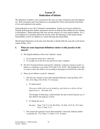# **Lesson 15 Dedication of Infants**

The dedication of infants is not a sacrament in the same way that communion and water baptism are. Both communion and water baptism are commanded by Christ, demonstrated in the Book of Acts and explained in the epistles.

Infant dedication is not a New Testament commandment. Parents are not more spiritual for formally dedicating their children and parents who do not dedicate their children are not walking in disobedience. Infant dedication falls more into the category of a local church tradition. It is a good tradition if it constantly affirms the sanctity of life, the importance of the family and the responsibility of all to see children as a serious blessing and responsibility.

Should infant dedication ever become more than that, it should suffer the same fate as the bronze serpent (II Kgs. 18:4).

# **I. What are some important definitions relative to this practice in the church?**

- A. The English definition of the word "dedicate" means:
	- 1. To set apart for sacred uses; consecrate
	- 2. To set apart for or devote to any special use, duty or purpose
- B. The New Testament Greek word used for "dedicate" (*enkainizo*) means to renew, to initiate, to commence to use (John 10:22; Heb. 9:18; 10:20). The thought here is that we want to renew this child to use according to the purpose of God for his or her life.
- C. There are two Hebrew words for "dedicate".
	- 1. The first one *(chanak*) is most often translated dedicate or train up (Deut. 20:5; Pro. 22:6; I Kgs. 8:63; II Chr. 7:5). It means:
		- a. To make narrow

*Train up a child in the way he should go, and when he is old he will not depart from it.* Proverbs 22:6

The thought of dedicating a child includes the idea of narrowing the use of that child for the purposes of God.

b. To initiate the use of

See also: Num. 7:10; 7:11; 84, 88; II Chr. 7:9; Neh. 12:27; Ps. 30:1; Ezra 6:16, 17; Dan. 3:2, 3

2. The second one (*qadash*) is most often translated "consecrate, dedicate, hallow or sanctify (Ex. 13:2; I Sam. 7:1; Num. 3:13). It means: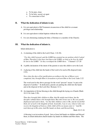- a. To be pure, clean
- b. To be holy, sacred, set apart
- c. To consecrate to God

#### **II. What the dedication of infants is not.**

- A. It is not equivalent to Old Testament circumcision of the child for covenant privileges and relationship.
- B. It is not equivalent to infant baptism without the water.
- C. It is not christening (making the baby a Christian or a member of the Church).

#### **III. What the dedication of infants is.**

Infant dedication is:

A. A returning of the child to the Lord (I Sam. 1:24-28).

*"For this child I prayed, and the LORD has granted me my petition which I asked of Him. Therefore I also have lent him to the LORD; as long as he lives he shall be lent to the LORD." So they worshiped the LORD there.* I Samuel 1:27-28

- B. A public declaration of the intent of the parents to raise this child to serve the Lord.
- C. A placing of the child into the hands of the Lord to be used at His disposal (Luke 2:22).

*Now when the days of her purification according to the law of Moses were completed, they brought Him to Jerusalem to present Him to the Lord.* Luke 2:22

The word used in the above passage for the word "present" means "to put at the disposal of another." In dedication, parents are putting the child into the hands and at the disposal of the Lord (See: Romans 12:1).

D. An impartation of divine blessing to the child through the laying on of hands (Mark 10:13-16; Luke 2:28).

*Then they brought little children to Him, that He might touch them; but the disciples rebuked those who brought them. But when Jesus saw it, He was greatly displeased and said to them, "Let the little children come to Me, and do not forbid them; for of such is the kingdom of God. Assuredly, I say to you, whoever does not receive the kingdom of God as a little child will by no means enter it." And He took them up in His arms, laid His hands on them, and blessed them.*

Mark 10:13-16

A blessing is an invocation of good. Just as Jesus laid hands on children and blessed them, in infant dedication church leaders lay hands on children and bless them. The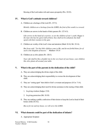blessing of the Lord makes rich and causes prosperity (Pro. 10:22).

# **IV. What is God's attitude toward children?**

A. Children are a heritage of the Lord (Ps. 127:3).

*Behold, children are a heritage from the LORD, the fruit of the womb is a reward.* 

B. Children are arrows in the hands of their parents (Ps. 127:4-5).

*Like arrows in the hand of a warrior, so are the children of one's youth. Happy is the man who has his quiver full of them; they shall not be ashamed, but shall speak with their enemies in the gate.* 

C. Children are worthy of the Lord's time and attention (Mark 10:16; Mt. 19:14).

*But Jesus said, "Let the little children come to Me, and do not forbid them; for of such is the kingdom of heaven."* Matthew 19:14

D. Children are as olive plants (Ps. 128:3).

*Your wife shall be like a fruitful vine in the very heart of your house, your children like olive plants all around your table.* 

# **V. What is the part of the parents in the dedication of the child?**

- A. They are acknowledging the divine origin of the child.
- B. They are acknowledging their responsibility to oversee the development of that child.
- C. They are "setting apart" that child to God's covenant and purposes (I Cor. 7:14).
- D. They are acknowledging their need for divine assistance in the rearing of that child.
	- 1. In giving wisdom (Judges 13:8)
	- 2. In giving protection (Mt. 18:10)
- E. They are making a public confession of their desire to keep the Lord as head of their homes (John 24:15c).

*But as for me and my house, we will serve the LORD.*

# **VI. What elements could be part of the dedication of infants?**

A. Appropriate Scripture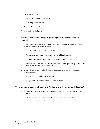- B. Charge to the Parents
- C. Testimony of Parents (if time permits)
- D. The Meaning of the Name(s)
- E. Prayer for Child and Parents
- F. Introduction to the People

## **VII. What are some of the things to guard against in the dedication of infants?**

- A. Leaders should avoid using terminology that would make the act of dedication of infants a sacrament in the local church.
	- 1. Do not say, "Now this child is a part of the family."
	- 2. Do not associate it with infant baptism and new birth language.
	- 3. Do not approach infant dedication as if it is a command from the Lord.

Parents who do not choose to dedicate their children in a public way are not to be seen as disobedient, lax or unspiritual.

- B. Leaders should prepare for the dedication time in advance to avoid embarrassing mistakes such as:
	- 1. Referring to the child in the wrong gender.
	- 2. Mispronouncing the first and/or last name of the child.

#### **VIII. What are some additional benefits to the practice of infant dedication?**

- A. Infant dedication becomes a great point of pastoral contact for members and their relatives.
- B. Infant dedication gives a regular opportunity for an exaltation of child bearing and biblical concepts of parenting.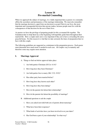# **Lesson 16 Pre-marital Counseling**

When we approach the subject of marriage, it is vitally important that as pastors we constantly affirm the sacredness and permanency of the marriage relationship. We must also remember that the marriage decision is, apart from our decision to accept Christ in our lives, the most important and consequential decision that anyone makes, because people must live with the consequences of that decision for the rest of their lives.

As pastors we have the privilege of preparing people for this covenantal life together. The foundation that we help them lay at the beginning will hopefully guide them throughout their married life. How a couple starts out is very important if they are to have a rewarding life and a peaceful home. For this reason it is vital that we take seriously the times of preparation that we have with this couple.

The following guidelines are suggested as a minimum in this preparation process. Each pastor must determine how much more is needed in each case. All couples vary in maturity and therefore some may require more attention.

# **I. Marriage Approval**

- A. Things to find out before approval takes place
	- 1. Are both parties Christians (II Cor. 6:14)?
	- 2. How long have they been Christians?
	- 3. Are both parties free to marry (Mt. 5:32; 19:9)?
	- 4. Has either party been married before?
	- 5. How long have they known each other?
	- 6. How long have they been dating?
	- 7. How do the parents feel about their relationship?
	- 8. How do the parents feel about the possibility of marriage?
- B. Additional questions to ask the couple
	- 1. Have you asked (not told) both sets of parents about marrying?
	- 2. What have been their responses?
	- 3. What kinds of activities have you been involved in on your dates?
	- 4. Has God been a part of your relationship? In what way?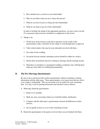- 5. How intimate have you been in your relationship?
- 6. Why do you believe that you are to marry this person?
- 7. What do you feel you have to bring into this relationship?
- 8. What do you hope to get out of this relationship?

In order to facilitate the asking of the appropriate questions, you may want to use the *Pre-engagement Questionnaire* included as a supplement to this lesson.

- C. Things to do
	- 1. On the basis of the answers to the above questions (or the results of the questionnaire) make a checklist for the couple to work through prior to approval.
	- 2. Talk to other leaders who may be more intimately involved with them.
	- 3. Set a date for the wedding.
	- 4. Set up the first pre-marital counseling session (should be within two weeks).
	- 5. Inform them of pertinent state laws relating to marriage and the marriage license.
	- 6. Help them or send them to a designated wedding coordinator who will help them make up a time table for wedding plan preparation.

#### **II. The Pre-Marriage Questionnaire**

 Be sure to have each person fill out their questionnaire without consulting or sharing information with the other party. These questionnaires cover many areas that are vital to every couple's relationship. They are not meant to be an outline for your counseling time. It is only a tool for gaining information and should be used as follows:

A. When they finish the questionnaire:

- 1. Read it over carefully.
- 2. Mark any areas concerning which you would like further clarification.
- 3. Compare with the other party's questionnaire and note all differences in their answers.
- 4. Set an agenda of areas to cover in the counseling sessions.
- B. Return the questionnaire to the parties involved when you are finished with them.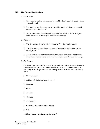# **III. The Counseling Sessions**

#### A. The Number

- 1. The counselor and his or her spouse (if possible) should meet between 3-5 times with each couple.
- 2. It is good to schedule one session with an older couple who have a successful marriage (guidelines follow).
- 3. The actual number of sessions will be greatly determined on the basis of your initial evaluation of the couple's readiness for marriage.
- B. Frequency
	- 1. The first session should be within two weeks from the initial approval.
	- 2. The other sessions should be spread evenly between the first session and the marriage date.
	- 3. The final session should be approximately two weeks before the wedding (for which you should reserve discussion concerning the sexual aspects of marriage).
- C. The Content

The following areas should be covered in a general way, unless you can tell from the questionnaire that specific guidelines are needed. Note: Information on many of these subjects can be gleaned from the marriage section of the course titled *Family Issues*.

- 1. Communication
- 2. Spiritual life (individually and together)
- 3. Priorities
- 4. Goals
- 5. Vocation
- 6. Children
- 7. Birth control
- 8. Church life and ministry involvements
- 9. Sex
- 10. Money matters (credit, savings, insurance)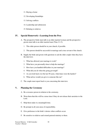- 11. Buying a home
- 12. Developing friendships
- 13. Solving conflicts
- 14. Leadership and submission
- 15. Relating to relatives

#### **IV. Special Homework—Learning from the Pros**

- A. The prospective bride must talk to an older married woman and the prospective groom must talk to an older married man (Titus 2:1-5).
	- 1. This older person should be in your church, if possible.
	- 2. This person should be successful in marriage and a true servant of the church.
- B. Supply the bride and groom with questions to ask the older couple when they have the interview.
	- 1. What has allowed your marriage to work?
	- 2. What have you personally done to help the marriage?
	- 3. How have you handled difficulties in your marriage?
	- 4. What did you do when the going got tough?
	- 5. As you look back over the last 50 years, what times were the hardest?
	- 6. What advice would you give to someone like me?
- C. The couple must report back to you concerning this interview.

#### **V. Planning the Ceremony**

- A. Be a resource person in relation to the ceremony.
- B. Warn them that this will be a tense time if they do not release their anxieties to the Lord.
- C. Help them make it a meaningful time.
- D. Be prompt in all your areas of responsibility.
- E. Give preference to the bride's desires when conflicts occur.
- F. Be sensitive to relatives and extend pastoral ministry to them.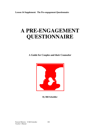# **A PRE-ENGAGEMENT QUESTIONNAIRE**

**A Guide for Couples and their Counselor** 



**By Bill Scheidler**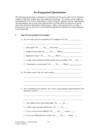# **Pre-Engagement Questionnaire**

The following questionnaire is designed as a counseling tool for pastors and a tool for Christian couples to help them evaluate their own readiness for marriage. It is meant to assist couples in considering the level of their relationship in a spirit of honesty, openness and true understanding. The questionnaire may be used with a pastoral advisor to help clarify the direction of and the speed with which the relationships should progress. Many of the questions have no right or wrong answer, but are only given to insure that the right kinds of questions are being addressed in the relationship.

#### **I. ARE WE QUALIFIED TO MARRY?**

| 1.       |                                                                                                                 |
|----------|-----------------------------------------------------------------------------------------------------------------|
| 2.       | Baptized in the Spirit No _______ Yes ______ When? ______________________________                               |
| 3.       | Baptized in water? No _______ Yes _______ When? _________________________________                               |
| 4.       | Living a life committed to Christ and the service of others? No ___ Yes ____                                    |
| 5.       |                                                                                                                 |
|          |                                                                                                                 |
|          |                                                                                                                 |
|          |                                                                                                                 |
|          | C. Are we qualified to get married? Do we have a past marriage relationship that is not<br>biblically resolved? |
|          |                                                                                                                 |
| 1.       | Any children from a past relationship? No ________ Yes ______                                                   |
| 2.<br>3. |                                                                                                                 |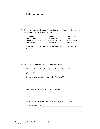Explain your situation:

| potential marriage? Check all that apply.                                             | D. How do my parents and spiritual leaders <b>honestly</b> feel about our relationship and             |                                                                                               |
|---------------------------------------------------------------------------------------|--------------------------------------------------------------------------------------------------------|-----------------------------------------------------------------------------------------------|
| <b>Mother</b><br>$\Box$ Eager for it<br>$\Box$ Reserved about it<br>$\Box$ Against it | <b>Father</b><br>$\Box$ Eager for it<br>$\Box$ Reserved about it<br>$\Box$ Against it                  | <b>Pastor / Elder</b><br>$\Box$ Eager for it<br>$\Box$ Reserved about it<br>$\Box$ Against it |
|                                                                                       | If any authorities have reservations about the relationship, what are their<br>$\frac{1}{2}$ concerns? |                                                                                               |
|                                                                                       |                                                                                                        |                                                                                               |
|                                                                                       |                                                                                                        |                                                                                               |
|                                                                                       |                                                                                                        |                                                                                               |
|                                                                                       | E. Is it God's will for us to marry? (Comment on answers)                                              |                                                                                               |
|                                                                                       | 1. Do I have the gift of singleness (I Corinthians 7:1-9, 17-40)?                                      |                                                                                               |
|                                                                                       | $No$ $Yes$ $Yes$ $\\$                                                                                  |                                                                                               |
|                                                                                       | 2. Do we have the same long-term goals? (Amos 3:3)?                                                    |                                                                                               |
|                                                                                       |                                                                                                        |                                                                                               |
|                                                                                       | 3. Does God have an active part in our relationship?                                                   |                                                                                               |
|                                                                                       | Have I prayed sincerely about this relationship? No _________ Yes ________                             |                                                                                               |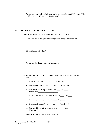| 5. Would marriage hinder or help your usefulness to the Lord and fulfillment of His<br>will? Help ______ Hinder ______ In what way? ___________________________________                                               |
|-----------------------------------------------------------------------------------------------------------------------------------------------------------------------------------------------------------------------|
| <u> 1989 - Johann Stoff, amerikansk politiker (* 1908)</u>                                                                                                                                                            |
| ARE WE MATURE ENOUGH TO MARRY?                                                                                                                                                                                        |
|                                                                                                                                                                                                                       |
| 1. What problems or disagreements have you had during your courtship?                                                                                                                                                 |
| 2. How did you resolve them?                                                                                                                                                                                          |
| 3. Do you feel that they are completely settled now?                                                                                                                                                                  |
| and the control of the control of the control of the control of the control of the control of the control of the<br>4. Do you feel that either of you ever uses wrong means to get your own way?<br>$No$ $Yes$ $\_\_$ |
| a. Is one a bully? No ________ Yes ________ Which one?                                                                                                                                                                |
| c. Does one avoid facing problems? No _________ Yes _______<br>Which one?                                                                                                                                             |
| d. Do you let things slide until forgotten? No _______ Yes ______                                                                                                                                                     |
|                                                                                                                                                                                                                       |
| f.                                                                                                                                                                                                                    |
| Which one?                                                                                                                                                                                                            |
| 5. Do you use biblical skills to solve problems?                                                                                                                                                                      |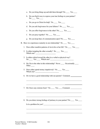|    | b. Do you find it easy to express your true feelings to your partner?<br>$No$ $Yes$ $\_\_$           |
|----|------------------------------------------------------------------------------------------------------|
|    |                                                                                                      |
|    | d. Do you ask forgiveness for your failures? No _______ Yes ______                                   |
|    |                                                                                                      |
|    | f.                                                                                                   |
|    | g. Do you keep lines of communication open? No _________ Yes _______                                 |
|    | B. Have we experiences maturity in our relationship? No _______ Yes ______                           |
|    |                                                                                                      |
| 2. | Is either tempting the other sexually? No ________ Yes _______<br>Which one?                         |
| 3. | Is either critical toward the other in a verbal or physical way?                                     |
| 4. | Do I lie to the other in this relationship? Never _______ Occasionally ______<br>Often $\_\_\_\_\_\$ |
|    | 5. Does either spend money impulsively? No _______ Yes ______<br>Which one?                          |
|    | 6. Do we have a good relationship with our parents? Comment                                          |
|    |                                                                                                      |
| 7. | Do I have any extreme fears? No ________ Yes ______ Comment ____________________                     |
|    |                                                                                                      |
| 8. | Do you detect strong feelings of jealousy in your partner? No _______ Yes ______                     |
|    | Is it a problem for you?                                                                             |
|    |                                                                                                      |
|    |                                                                                                      |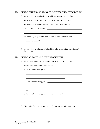# **III. ARE WE WILLING AND READY TO "LEAVE" OTHER ATTACHMENTS?**

|           | A. Are we willing to emotionally break with our parents? No _______ Yes _______                                            |  |  |  |  |  |
|-----------|----------------------------------------------------------------------------------------------------------------------------|--|--|--|--|--|
|           | B. Are we able to financially break from our parents? No ________ Yes _________                                            |  |  |  |  |  |
|           | C. Are we willing to put the relationship before all other possessions?                                                    |  |  |  |  |  |
|           |                                                                                                                            |  |  |  |  |  |
|           | D. Are we willing to give up the right to make independent decisions?                                                      |  |  |  |  |  |
|           | E. Are we willing to adjust our relationship to other singles of the opposite sex?<br>$No$ $Yes$ $\_\_$                    |  |  |  |  |  |
|           | ARE WE READY TO "CLEAVE" TO EACH OTHER?<br>A. Are we willing to become accountable to the other? No ________ Yes _________ |  |  |  |  |  |
|           |                                                                                                                            |  |  |  |  |  |
|           |                                                                                                                            |  |  |  |  |  |
| <b>B.</b> | Are our lives going in the same direction?                                                                                 |  |  |  |  |  |
|           | 1. What are my career goals?                                                                                               |  |  |  |  |  |
|           |                                                                                                                            |  |  |  |  |  |
|           | 2. What are my ministry goals?                                                                                             |  |  |  |  |  |
|           | 3. What are the ministry goals of my desired spouse?                                                                       |  |  |  |  |  |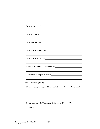|    | <u>a sa mga barangay na mga barangay na mga barangay ng mga barangay ng mga barangay ng mga barangay ng mga barangay ng mga barangay ng mga barangay ng mga barangay ng mga barangay ng mga barangay ng mga barangay ng mga bara</u> |
|----|--------------------------------------------------------------------------------------------------------------------------------------------------------------------------------------------------------------------------------------|
|    | 1. What income level?                                                                                                                                                                                                                |
|    | ,我们也不会有什么。""我们的人,我们也不会有什么?""我们的人,我们也不会有什么?""我们的人,我们也不会有什么?""我们的人,我们也不会有什么?""我们的人<br>2. What work hours?                                                                                                                              |
|    | ,我们也不会有什么。""我们的人,我们也不会有什么?""我们的人,我们也不会有什么?""我们的人,我们也不会有什么?""我们的人,我们也不会有什么?""我们的人<br>3. What television habits?                                                                                                                       |
|    | <u> 1989 - Johann Stoff, deutscher Stoff, der Stoff, der Stoff, der Stoff, der Stoff, der Stoff, der Stoff, der S</u>                                                                                                                |
|    | <u> 1989 - Johann Stoff, amerikansk politiker (d. 1989)</u><br>5. What types of recreation?                                                                                                                                          |
|    | <u> 1989 - Johann Stoff, amerikansk politiker (* 1908)</u>                                                                                                                                                                           |
|    | 7. What church do we plan to attend?                                                                                                                                                                                                 |
|    | D. Do we agree philosophically?                                                                                                                                                                                                      |
|    |                                                                                                                                                                                                                                      |
| 2. | Comment:                                                                                                                                                                                                                             |
|    |                                                                                                                                                                                                                                      |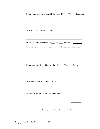|    | 6. What are your views on contraceptives and which partner should use them? |
|----|-----------------------------------------------------------------------------|
|    |                                                                             |
|    |                                                                             |
| 8. |                                                                             |
| 9. | How do we envision our relationship to relatives?                           |
|    |                                                                             |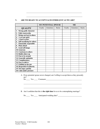#### **V. ARE WE READY TO ACCEPT EACH OTHER JUST AS WE ARE?**

 $\overline{a}$ 

|                                      |         | <b>MY POTENTIAL SPOUSE</b> |        | <b>ME</b> |           |        |  |
|--------------------------------------|---------|----------------------------|--------|-----------|-----------|--------|--|
| <b>QUALITY</b>                       | Usually | Sometimes                  | Rarely | Usually   | Sometimes | Rarely |  |
| <b>Strong godly character</b><br>1.  |         |                            |        |           |           |        |  |
| 2. Fully trustworthy                 |         |                            |        |           |           |        |  |
| Brings out best in others<br>3.      |         |                            |        |           |           |        |  |
| A servant spirit<br>4.               |         |                            |        |           |           |        |  |
| A hard worker<br>5.                  |         |                            |        |           |           |        |  |
| Self-sacrificing for others<br>6.    |         |                            |        |           |           |        |  |
| <b>Financially responsible</b><br>7. |         |                            |        |           |           |        |  |
| 8. Plans ahead                       |         |                            |        |           |           |        |  |
| Good self-image<br>9.                |         |                            |        |           |           |        |  |
| 10. Generous                         |         |                            |        |           |           |        |  |
| 11. Courteous to others              |         |                            |        |           |           |        |  |
| 12. Builds others up                 |         |                            |        |           |           |        |  |
| 13. Fun to be around                 |         |                            |        |           |           |        |  |
| 14. Generally optimistic             |         |                            |        |           |           |        |  |
| 15. Complimentary                    |         |                            |        |           |           |        |  |
| 16. Easy to talk to                  |         |                            |        |           |           |        |  |
| 17. Faithful on the job              |         |                            |        |           |           |        |  |
| 18. Respectful of authority          |         |                            |        |           |           |        |  |
| 19. Not angry quickly                |         |                            |        |           |           |        |  |
| 20. Calm under pressure              |         |                            |        |           |           |        |  |

\_\_\_\_\_\_\_\_\_\_\_\_\_

A. If my potential spouse never changed, am I willing to accept them as they presently are?

No \_\_\_\_ Yes \_\_\_\_ Comment:

B. Am I confident that this is **the right time** for us to be contemplating marriage?

No \_\_\_\_\_ Yes \_\_\_\_\_ Anticipated wedding date? \_\_\_\_\_\_\_\_\_\_\_\_\_\_\_\_\_\_\_\_\_\_\_\_\_\_\_\_\_\_\_\_\_\_\_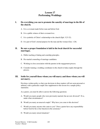# **Lesson 17 Performing Weddings**

# **I. Do everything you can to promote the sanctity of marriage in the life of the church.**

- A. It is a covenant made before man and before God.
- B. It is a public witness of their covenant love.
- C. It is symbolic of Christ's relationship to the church (Eph. 5:23-32).
- D. It is part of God's eternal purpose for the man and the woman (Gen. 1:28).

# **II. Be sure a proper foundation is laid in the local church for successful marriages.**

- A. Public teaching of dating and courtship principles.
- B. Pre-marital counseling of marriage candidates.
- C. Working in close association with the parents in the engagement process.
- D. Consider training a wedding coordinator in the church to help couples through the process.

# **III. Settle for yourself those whom you will marry and those whom you will not marry.**

Develop a written policy so that your decisions in these matters will not seem personal or arbitrary with a particular couple (See supplement to this lesson for a sample policy statement).

As a pastor, you must be able to answer the following questions:

- A. Would you marry people who were previously married, but are now divorced? If so, under what circumstances?
- B. Would you marry an unsaved couple? Why have you come to this decision?
- C. Would you marry anyone who came to you? Does a pastor have any responsibility before God for his or her function in the ceremony?
- D. Would you marry mixed situations?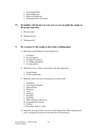- 1. Protestant/Catholic
- 2. Racial Differences
- 3. Believers/Unbelievers
- 4. Charismatic/Non-Charismatic

# **IV. Be familiar with the laws in your area so you can guide the couple on the proper time line.**

- A. Physical exam?
- B. Marriage license?
- C. Waiting period?

# **V. Be a resource to the couple as they make wedding plans.**

- A. Help them remain balanced in their perspectives.
	- 1. In finances
	- 2. In extravagances
	- 3. In length of ceremony
	- 4. In wedding participants
	- 5. In venue options
- B. Help them to have realistic expectations as the date approaches.
	- 1. In their budget
	- 2. In their relationship
- C. Help them make decisions concerning the ceremony itself.
	- 1. Attendants
	- 2. Involvement of Parents
	- 3. Singers/Songs
	- 4. Musicians
	- 5. Vows
	- 6. Officiants
	- 7. Reception
	- 8. Date/Time
	- 9. Other elements in the service
	- 10. Congregational concerns
	- 11. Pictures
	- 12. Recording (audio or video)
- D. Help them develop an order of service to their liking (Note: When disagreements occur, encourage the groom to let the bride have her preference.).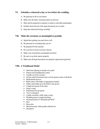# **VI. Schedule a rehearsal a day or two before the wedding.**

- A. Be punctual in all of your duties.
- B. Make sure all audio-visual personnel are present.
- C. Meet and be prepared to minister to relatives and other participants.
- D. Double check that all of the legal documents are in order.
- E. Keep the rehearsal flowing smoothly.

## **VII. Make the ceremony as meaningful as possible.**

- A. Spend time getting your part down well.
- B. Be punctual in everything that you do.
- C. Be prepared for the unusual.
- D. Do your best to keep everyone relaxed.
- E. Make your exhortations meaningful, but brief.
- F. Be sure to say their names properly.
- G. Make sure all legal documents are properly signed and registered.

## **VIII. A Traditional Model**

- Musicians playing as people are seated
- Parents and Grandparents seated
- Candles are lit by acolytes
- Groom and Groomsmen enter at front (pastor enters with them)
- Bridesmaids process
- Bride enters with father (congregation stands)
- Father and mother give the bride to the groom
- Couple join pastor at the altar
- Song is sung
- Exhortation by the pastor
- Vows exchanged
- Candle ceremony while song is sung
- Wedding prayer (couple kneeling)
- Pronouncement of "Husband and Wife"
- Kiss
- Recession
- Musicians play while people ushered out
- Reception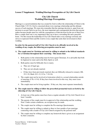## **Lesson 17 Supplement: Wedding/Marriage Prerequisites at City Life Church**

# **City Life Church Wedding/Marriage Prerequisites**

Marriage is a sacred institution that was created by God to reflect the relationship of Christ to the Church (Eph. 5:25-32). God is concerned about every marriage relationship and the ultimate success of each marriage. We must also remember that the marriage decision is, apart from our decision to accept Christ in our lives, the most important and consequential decision that anyone makes because people must live with the consequences of that decision for the rest of their lives. How a couple starts out is very important if they are to have a rewarding life and a peaceful home. For this reason the leadership of City Life Church takes every marriage seriously and strives to represent Christ and His word to every couple that seeks their involvement in their wedding.

## **In order for the pastoral staff of City Life Church to be officially involved in the wedding of any couple, the following prerequisites must be met:**

#### **A. The couple must be Christian and must be willing to submit to the biblical standards for a Christian throughout their courtship. This means that:**

- 1. Both parties in the relationship must be born-again Christians. It is advisable that both be baptized in water and in the Holy Spirit as well.
- 2. Both parties must be biblically free to marry.
	- a. They are of legal age.
	- b. They are not already married.
	- c. If they have been previously married, they are biblically released to remarry (Mt. 19:1-10; Mark 10:1-12; I Cor. 7:10-16).
- 3. The couple must not be involved in fornication which is a sexual relationship outside of marriage (I Th. 4:3-8). If they have been involved in this way, they must cease immediately.
- 4. The couple must not be living together. If they are, they must separate immediately.

## **B. The couple must be willing to follow the prescribed premarital track set forth by the eldership of City Life Church.**

- 1. At least one of the parties must have been a regular attender of City Life Church for at least 3 months.
- 2. The parents of the couple must be in approval of the relationship and the wedding. Note: Under certain conditions, an exception may be made.
- 3. The couple must be willing to complete the Pre-marriage Questionnaire.
- 4. The couple must be willing to submit to three to four months of pre-marriage counseling with a leader of City Life Church assigned by the pastoral staff.
- 5. The couple must be willing to complete any homework that is given as an assignment by their counselor.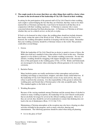#### **C. The couple needs to be aware that there are other things that could be a factor when it comes to the involvement of the leadership of City Life Church in their wedding.**

In asking for the participation of the pastoral staff of City Life Church in their wedding, each couple is acknowledging the fact that they are Christian, that they want to live their married life as Christians and that they want God to be honored in all that they do in conjunction with their wedding experience. A Christian is someone who is more concerned about pleasing God than pleasing man. A Christian is a Christian at all times whether they are in a church service, on the job or at play.

If God is to be honored in what is done, the wedding plans should not include elements that clearly violate the spirit of the Word of God. If there is a desire for God is to be honored, the wedding atmosphere should be in keeping with his holy nature. Remember that your wedding ceremony should be a Christian witness to the world. This position could affect several things:

1. Gowns

While the leadership of City Life Church has no desire to speak to issues of dress, the Bible does hold up a standard of dress that reflects God's heart in this area. Christian apparel is to be modest at all times. This includes wedding ceremonies. No one who attends a wedding should be struggling with impure thoughts due to the immodest dress of the participants in the wedding party (I Tim. 2:9-10). Brides and bridesmaids are encouraged to be discrete when selecting the official garments to be worn for the ceremony.

2. Bachelor Parties

Many bachelor parties are totally unchristian in their atmosphere and activities including such things as intoxication, strippers, and other clearly sinful behaviors. If the leadership of City Life Church becomes aware of any such activity, they may refuse to perform the ceremony. It is the responsibility of the groom to inform the wedding party and friends that a Christian party is the only acceptable party. Note: This standard applies to the bride as well.

3. Wedding Reception

Because of the varying standards among Christians and the normal abuse of alcohol in relation to many wedding receptions, the leadership of City Life Church would prefer that no alcoholic beverages be served at the official wedding reception. However, if they are served, they should be served in moderation to ensure that drinking does not lead to the sin of drunkenness (Rom. 13:13; Gal. 5:21).

Maintaining a Christian atmosphere at the reception may also have a bearing on other activities included in the program, such as music selection, dancing and entertainment. The following questions should be asked when doing all planning:

• Is it to the glory of God?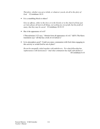*Therefore, whether you eat or drink, or whatever you do, do all to the glory of God.* I Corinthians 10:31

• It is a stumbling block to others?

*Give no offense, either to the Jews or to the Greeks or to the church of God, just as I also please all men in all things, not seeking my own profit, but the profit of many, that they may be saved.* I Corinthians 10:32-33

• Has it the appearance of evil?

I Thessalonians 5:22 says, "Abstain from all appearance of evil." (KJV) The Knox translation says "all that has a look of evil about it."

• Is its atmosphere good? Could you enjoy communion with God when engaging in this activity or would God be out of place?

*Do not be unequally yoked together with unbelievers. For what fellowship has righteousness with lawlessness? And what communion has light with darkness?* II Corinthians 6:14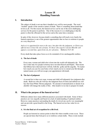# **Lesson 18 Handling Funerals**

## **I. Introduction**

 The subject of death is not one that is handled very well by most people. The word "morbid" speaks of the sensitive nature of death. There is something about death that levels us all. For this reason, the funeral service can be one of the most challenging services for the pastor to perform. One of the reasons it is so challenging is that the pastor is often the officiant for the service and at the same time a mourner.

 In spite of this, however, because death is something that will touch every family the funeral experience is one of the greatest opportunities that we have to minister to people at a very deep level.

*And as it is appointed for men to die once, but after this the judgment, so Christ was offered once to bear the sins of many. To those who eagerly wait for Him He will appear a second time, apart from sin, for salvation.* Hebrews 9:27-28

Every death that takes place forces us to be reminded of two unchangeable realities.

#### **A. The fact of death**

 Every man, woman and child who is born into the world will ultimately die. The fact is that only two people in history have not died (Enoch and Elijah). That means that billions have died and more will die, both the godly and the ungodly. No matter how much you care for your body or how much you try to extend your life through natural means you will not escape your appointment with death.

#### **B. The fact of judgment**

A second fact is that every man, woman and child will ultimately face judgment after death. Believers who die will face the Judgment Seat of Christ and unbelievers will face the Great White Throne judgment. No amount of rationalization or denial of an afterlife will change the reality of this. After death it is too late to prepare for death.

## **II. What is the purpose of the funeral service?**

Different cultures have many different practices associated with death. Some of these practices are very ungodly and based on a lack of understanding of spiritual realities. However, many practices surrounding the death of a loved one can be very meaningful and can provide a great benefit to the living. The funeral service has value for six reasons.

#### **A. It is the final act of recognition for a life lived.**

People are honored at various points in their life where notable events occur. These are special times that God gives us to reinforce certain truths. These events include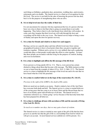such things as birthdays, graduation days, promotions, wedding days, anniversaries, retirements and even deaths. The funeral service is a final act of recognition for this life lived. The service is not held for the sake of honoring the person who has died, but it is for the purpose of strengthening those who are alive.

#### **B. It is to help loved ones face the reality of their loss.**

 It is not uncommon for someone who has experienced the loss of a person who has been very close to them to feel that what is going on around them is not really happening. They believe that it is all a bad dream from which they will awaken. In some cases they imagine that their loved one will walk through the door and everything will be back to the way it was. The funeral service helps to being a sense of finality and opens the door for quicker recovery.

## **C. It is a time for friends and relatives to share love and support.**

Having a service at a specific place and time affords loved ones from various geographical locations to have a focal point where they can grieve together and reminisce together. Without such a service it is very unlikely that such a gathering would take place or that people would make the effort to come together. At times like these people can reconnect with the living for the purpose of comfort, healing and even reconciliation.

#### **D. It is a time to highlight and affirm the life message of the life lived.**

Every person is a living epistle (II Cor. 3:3). That is, every person has certain distinctive things about them that become a life message. The Bible instructs us that we are to learn from the example of others (I Cor. 10:6, 11; Heb. 13:7). The funeral service is a time to highlight the life message of the loved one and to be sure that we have heard what his or her life preached.

## **E. It is a time to comfort believers in the hope of the resurrection (Ps. 116:15).**

## *Precious in the sight of the LORD is the death of His saints.*

Believers need not see death as an enemy. Death is indeed a fact of life, but Christ has overcome both death and hell. The funeral service is a time to remind believers of the saving grace that has come to us in Jesus Christ and the blessed hope that we have of an eternity spent with all believers of all time. The funeral service is sometimes referred to as a "home-going" service because of the heavenly home that has been prepared for all believers.

#### **F. It is a time to challenge all men with sacredness of life and the necessity of living it for God (Ps. 90:12).**

#### *So teach us to number our days, that we may gain a heart of wisdom.*

The funeral service is a time to remind us once again of the gift of life that has been given to us and the fact that the gift of life is a stewardship from God for which we will give an account. At most funeral services unbelievers will be present. It is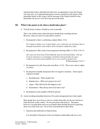important that at this vulnerable time they have an opportunity to hear the Gospel one more time. It is important that pastors exercise sensitivity to the desires of the immediate family in this context, but the message of the Gospel should be clear. Remember, the service is for the living and not the dead.

## **III. What is the pastor to do when a death takes place?**

A. Visit the home (or place of death) as soon as possible.

This is one of those times where the pastor should drop everything and run. However, when you arrive be calm and be sensitive.

1. Be prepared to share a comforting scripture (Rom. 15:4).

*For whatever things were written before were written for our learning, that we through the patience and comfort of the Scriptures might have hope.* 

2. Be prepared to offer words of encouragement and hope (Phil 2:1; II Th. 2:16-17).

*Now may our Lord Jesus Christ Himself, and our God and Father, who has loved us and given us everlasting consolation and good hope by grace, comfort your hearts and establish you in every good word and work.* II Thessalonians 2:16-17

- 3. Be prepared to be still, listen and weep (Rom. 12:15). This is not a time to adjust or correct.
- 4. Be prepared to handle unexpected and even negative responses. Some typical responses include:
	- a. Bewilderment—What should I do?
	- b. Hopelessness—What am I going to do now?
	- c. Anger—Why did God let this happen to me?
	- d. Resentment—Why did my beloved do this to me?
- 5. Be prepared to pray together with those present.
- B. Assist in making immediate decisions (if no prior arrangements have been made).

Most people have never been so close to a death where they are the one who has to make decisions in this context. No one gets good at this process. The pastor, however, can guide them and even accompany them through the process pastoring them every step of the way. Never force your preferences upon them.

1. Selection and notification of funeral home.

It is advisable for the pastor to have developed a relationship with one or two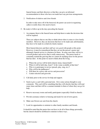funeral homes and their directors so that they can give an informed recommendation to those who have not made have any previous arrangements.

2. Notification of relatives and close friends

 In order to take stress off of the bereaved, the pastor can assist in organizing callers to notify those who need to know.

- C. Be ready to follow-up in the days preceding the funeral.
	- 1. Accompany them to the funeral home and help them to make the decisions that will be required.

These are subjects that no one likes to think about when it comes to close family members. However, they are decisions that have to be made and, unfortunately, they have to be made in a relatively timely manner.

Most funeral directors and their staff are very good with people at this point. However, it must be remembered that they are not the person's pastor and ultimately funeral service is a business for them. In some cases they will try to oversell product and service that is really unnecessary. The pastor needs to constantly remind the grieving that we cannot do anything more for the person that has died. At this point we need to think about the living.

- a. Where the service will be held (church, home, funeral hall)?
- b. When it will be held (day, hour)? Is the venue available at that time?
- c. Who is to participate in service (preach, play, sing, etc.)?
- d. Who will be the pallbearers?
- e. Will there be a grave side service and procession?
- f. Casket selection and gravesite
- 2. Call daily prior to the service for help and support.
- 3. Send or give a card with a personal note. Give some serious thought to your comments. This card will be something that they will cherish, that they will read many times and that will be a constant reminder to them of where they can go for help.
- 4. Reserve necessary rooms and notify participants (especially if held in church).
- 5. Provide assistance relative to housing and meals for out-of-town guests.
- 6. Make sure flowers are sent from the church.
- 7. Look for opportunities to minister to other family members and friends.

It should be noted that the pastor does not have to do all of these things personally, but the church should be mobilized to minister in these ways.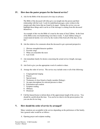# **IV. How does the pastor prepare for the funeral service?**

A. Ask for the Bible of the deceased a few days in advance.

The Bible of the deceased will often give you insight into the person and their relationship with the Lord. Look for underlined passages, notes written in the margin and other items that are found in its pages. During the service you can highlight these things and it can be as if the message is coming from the deceased themselves.

An example of this was the Bible of a man by the name of Jack Talbott. In the front of his Bible in his own handwriting were these words, "I, Jack Talbott, being of sound mind do hereby vow to live by the words of this book all of the days of my life."

- B. Ask the relatives for comments about the deceased to get a personal perspective.
	- 1. Obvious strengths/character qualities
	- 2. Favorite songs
	- 3. What you remember the most
	- 4. Last words
- C. Ask immediate family for desires concerning the actual service (length, message, etc.).
- D. Ask God to give you the appropriate word of comfort to share.
- E. Arrange the order of service. The service *may* include some or all of the following:
	- 1. Congregational singing
	- 2. Prayers
	- 3. Special music
	- 4. Testimony of close friend or family member (Eulogy).
	- 5. An open microphone for selected persons to share.
	- 6. Exhortation and comfort
	- 7. Scripture reading
	- 8. Obituary
	- 9. Dismissal
- F. Call the funeral home to inform them of the approximate length of the service. You should be careful about the time. You can be too short to do the person justice, but you can also be too long.

## **V. How should the order of service by arranged?**

 Many variations are acceptable in the service depending on the preferences of the family, but a general order would be as follows:

A. Opening prayer and scripture reading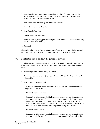- B. Special musical number and/or congregational singing. Congregational singing should only be used where a good segment of the attendees are believers. Song selection should include well-known songs.
- C. Brief testimonial and obituary concerning the deceased
- D. Exhortation and words of comfort
- E. Special musical number
- F. Closing prayer and benediction
- G. Announcement regarding procession or grave side committal (This information may also be in the funeral bulletin).
- H. Dismissal

It is good to print up several copies of the order of service for the funeral directors and other participants in the service to use as a reference as the service progresses.

# **VI. What is the pastor's role at the graveside service?**

Not all funerals end with a graveside service. This is especially true when the remains are cremated. However, when there is such a service the following guidelines would apply.

- A. Be a strength to the family—ready to comfort.
- B. Read an appropriate scripture (e.g. I Corinthians 15:20-28; I Th. 4:13-18; Rev. 21:1- 7; Psalm 23).
- C. Read an appropriate committal.

*Then the dust will return to the earth as it was, and the spirit will return to God who gave it.* Ecclesiastes 12:7

1. Committal for the Unsaved

Inasmuch as it has pleased God in His infinite wisdom and providence to remove from this world the soul of \_\_\_\_\_\_\_\_\_\_\_\_\_, we commit his (her) body to the ground, earth to earth, dust to dust, ashes to ashes, there to await the Day of Resurrection, when the earth and the sea will give up their dead, to appear before the Lord Jesus Christ, the Righteous Judge of the living and the dead.

2. Committal for the Saved:

Inasmuch as it has pleased God in His infinite wisdom and providence to remove from this world the soul of \_\_\_\_\_\_\_\_\_\_\_\_\_, we commit his (her) body to the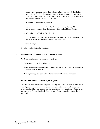ground, earth to earth, dust to dust, ashes to ashes, there to await the glorious appearing of Our Lord Jesus Christ, when at His coming the earth and the sea will give up the righteous dead, and the bodies of those who sleep in Jesus shall be raised and made like His glorious body.

3. Committal for a Crematory Service

. . . we commit his (her) body to the elements, awaiting the day of the resurrection, when the dead shall appear before the Lord Jesus Christ . . . .

4. Committal for a Vault or Tomb Burial

. . . we commit his (her) body to the tomb, awaiting the day of the resurrection, when the dead shall appear before the Lord Jesus Christ . . . .

- D. Close with prayer.
- E. Allow the family to take their time.

#### **VII. What should be done when the service is over?**

- A. Be open and sensitive to the needs of relatives.
- B. Call several times in the weeks ahead.
- C. Volunteer services in helping sort out affairs and disposing of personal possessions of deceased (be sensitive here).
- D. Be ready to suggest ways in which that person can fill the obvious vacuum.

## **VIII. What about honorariums for participants?**

Do not refuse honorariums that are given. Usually these areas are covered in the overall funeral package for which they have made arrangements. Most people value your involvement and help a great deal, but they do not know how else to say it but to give a monetary gift. On the other hand, if they do not offer an honorarium, please do not mention it.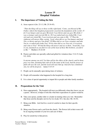# **Lesson 19 Hospital Visitation**

# **I. The Importance of Visiting the Sick**

A. Jesus expects it (Jer. 23:1-2; Mt. 25:34-45).

*"Then the King will say to those on His right hand, 'Come, you blessed of My Father, inherit the kingdom prepared for you from the foundation of the world: 35 for I was hungry and you gave Me food; I was thirsty and you gave Me drink; I was a stranger and you took Me in; 36 I was naked and you clothed Me; I was sick and you visited Me; I was in prison and you came to Me.' 37 Then the righteous will answer Him, saying, 'Lord, when did we see You hungry and feed You, or thirsty and give You drink? 38 When did we see You a stranger and take You in, or naked and clothe You? 39 Or when did we see You sick, or in prison, and come to You?' 40 And the King will answer and say to them, 'Assuredly, I say to you, inasmuch as you did it to one of the least of these My brethren, you did it to Me.'"* Matthew 25:24-40

B. Pastors and elders are specially called and gifted for visitation (Jam. 5:14-15; Luke 9:2; 10:9).

*Is anyone among you sick? Let him call for the elders of the church, and let them pray over him, anointing him with oil in the name of the Lord. And the prayer of faith will save the sick, and the Lord will raise him up. And if he has committed sins, he will be forgiven.* James 5:15-15

- C. People can be unusually open during times of sickness.
- D. People will remember what happened in the hospital for a long time.
- E. It is a time of special opportunity to impart life to people and other family members.

## **II. Preparations for the Visit**

- A. Dress appropriately. The hospital will treat you differently when they know you are a pastor. However, it helps to look like what their expectation of a pastor would be.
- B. Take your spouse, another elder or a leader in training when you visit. Remember that Jesus sent his disciples out two by two (Luke 10:1, See also: Mt. 18:19).
- C. Bring your Bible. Ask God for a word of comfort to share for their specific situation.
- D. Bring some flowers and a card from the church. The flowers left in their room will be an ongoing reminder of your love and care of them.
- E. Pray for sensitivity to that person.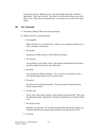Each person will have different needs. Each relationship will dictate a different opportunity. They may be fearful. They may be worried about certain issues while they are sick. They may have special needs. As a pastor you care about all of these things.

## **III. The Visit Itself**

- A. Be prompt, calling on them at the first opportunity.
- B. Handle yourself in a pastoral manner.
	- 1. Be thoughtful

 Make sure that it is a convenient time. Unless it is an emergency situation, try to observe hospital visiting hours.

2. Be cheerful

Be pleasant, friendly, positive, full of faith but not plastic.

3. Be courteous

 Your politeness toward other visitors, other patients and hospital staff will leave a positive impression that may open other doors.

4. Be tactful

Ease yourself into delicate situations. Try to carry the conversation in such a way that the patient opens up on the sensitive areas.

5. Be natural

Be relaxed and avoid professionalism. They get enough of that treatment by doctors and specialists.

6. Be observant

Notice cards, other family members, other patients and hospital staff. There may be additional ministry opportunities and divine appointments associated with this visit.

7. Be anxious to help

Maintain a servant spirit. Do not take for granted that other family members are doing the right thing in giving needed assistance in the natural areas of life.

8. Be strong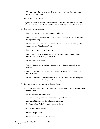You are there to be of assistance. This is not a time to break down and require assistance of your own.

C. Be brief, but not in a hurry.

 Lengthy visits can tire patients. Ten minutes is an adequate time to minister to the person in need. However, do not give the impression that you can not wait to leave.

- D. Be sensitive in conversation.
	- 1. Do not talk about yourself and your own problems.
	- 2. Do not talk over the sick person in their presence. People can begin to feel like an object or a thing.
	- 3. Do not make jovial remarks or comments about the body (e.g. referring to the urinary track as "the plumbing", etc).
	- 4. Do not reprimand or scold the patient.

Do not use this as an opportunity to adjust the patient regarding such things as diet and exercise or other spiritual issues.

5. Do not preach sermonettes.

 This is a time for prayer and encouragement, not a time for exhortation and rebuke.

6. Do not change the subject if the patient wants to talk to you about something serious to them.

Do not avoid serious conversation when it is initiated by the patient. The patient may have spent hours thinking about something in anticipation of your visit.

E. Be prepared for various reactions to their condition.

 Some people are prone to overreact while others may be more likely to under react to a serious situation.

- 1. Fear of death or some other issue.
- 2. Anxiety and worry about finances or how things will work out.
- 3. Anger and bitterness that this is happening to them.
- 4. Doubt regarding God's love and promises to them.
- F. Do not overstep your authority.
	- 1. Observe hospital rules.
	- 2. Co-operate with the medical instructions.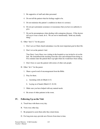- 3. Be supportive of staff and other personnel.
- 4. Do not tell the patient what his feelings ought to be.
- 5. Do not minimize the patient's condition (to them it is serious).
- 6. Do not give premature assurance or reassurance that you have no authority to give.
- 7. Do not be presumptuous when dealing with contagious diseases. If the doctors tell you to wear a mask, do it. We are not to intentionally "drink any deadly thing."
- G. Other "don't's" for the pastor
	- 1. Don't act as if their church attendance was the most important goal in their life.
	- 2. Don't sit on the patient's bed.

 True Story: Larry Knox was visiting in the hospital as was invited to sit on the bed. He remembered the teaching from this class and refrained from doing so. Five minutes later the patient threw up right where he would have been sitting.

- 3. Don't bore or scare the patient with stories of other sick people.
- H. Other "do's" for the pastor
	- 1. Share a good word of encouragement from the Bible.
	- 2. Pray for them.
		- a. Anointing with oil (Mark 6:13)
		- b. Laying on of hands (Mark 6:5; 16:18)
	- 3. Make sure you have helped with any natural needs.
	- 4. Be aware of other patients in the room.

## **IV. Following Up on the Visit**

- A. Touch base with them every day.
- B. Visit every other day.
- C. Be prepared to assist them after they return home.
- D. For long term stays provide new flowers from time to time.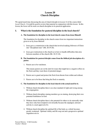# **Lesson 20 Church Discipline**

We spend much time discussing the area of church disciple in Lesson 14 of the course titled *Local Church*. It would be good to review that material in conjunction with this lesson. In this lesson, the focus will be more on church discipline in its practical application.

# **I. What is the foundation for pastoral discipline in the local church?**

#### **A. The foundation for discipline in the local church comes from Jesus Himself.**

The foundation for discipline in the church comes from two important instructions given to us by Jesus Himself.

- 1. Jesus gave a commission to the church that involved making followers of Christ into "disciplined ones" (Mt. 28:19-20).
- 2. Jesus gave instructions to the church as to how to handle difficulties that arise between members of the church (Mt. 18:15-18).

#### **B. The foundation for pastoral disciple comes from the biblical job description of a pastor.**

1. Pastors are to be watchmen.

This means pastors are on the alert for issues that might have a negative effect on the flock and they warn them of potential danger.

- 2. Pastors are to guard and protect the flock from threats from within and without.
- 3. Pastors are to be those that bring the flock to maturity.

## **C. The foundation for discipline in the local church is the actual need for it.**

- 1. Without church discipline there is no clear standard of right and wrong among the congregation.
- 2. Without church discipline sinning members go on sinning, destroying their own potential fruitfulness in God.
- 3. Without church discipline there is the potential for others to do outwardly what they have only been tempted to do inwardly because the unjudged, outward activity is a tacit approval of it.
- 4. Without church discipline the spiritual life of the body as a whole becomes greatly weakened. Spiritual vitality and life seep out and a progressive spiritual stagnation sets in.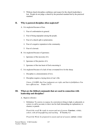5. Without church discipline confidence and respect for the church leadership is lost. People do not judge a church by the preached standard but by the practiced standard.

## **II. Why is pastoral discipline often neglected?**

A. It is neglected because of fear.

- 1. Fear of confrontation in general.
- 2. Fear of being unpopular among the people.
- 3. Fear of a church split or polarization.
- 4. Fear of a negative reputation in the community.
- 5. Fear of a lawsuit.
- B. It is neglected because of ignorance.
	- 1. Ignorance of the necessity of it.
	- 2. Ignorance of the practice of it.
	- 3. Ignorance of the true heart of God concerning it.
- C. It is neglected because of a lack of true covenantal love for the sheep.
	- 1. Discipline is a demonstration of love.
	- 2. Discipline requires a laying down of one's life.

*I know, O LORD, that Your judgments are right, and that in faithfulness You have afflicted me.* Psalm 119:75

# **III. What are the biblical commands that are used in connection with leadership and discipline?**

- A. Reprove (*Elenko*)
	- 1. Definition: To convict, to expose, by conviction to bring to light, to admonish, to correct, to call to account, to show one his fault (demanding an explanation), to chasten, to punish

*Preach the word! Be ready in season and out of season. Convince, rebuke, exhort, with all longsuffering and teaching.* II Timothy 4:2

*Preach the Word; be prepared in season and out of season; correct, rebuke*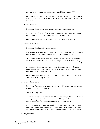*and encourage--with great patience and careful instruction.* –NIV

- 2. Other references: Mt. 18:15; Luke 3:19; John 3:20; 8:9,46; 16:8; I Cor. 14:24; Eph. 5:11,13; I Tim. 5:20; II Tim. 3:16; Tit. 1:9,13; 2:15; Heb. 12:5; Jam. 2:9; Rev. 3:19
- B. Rebuke (*Epitimao*)
	- 1. Definition: To tax with a fault, rate, chide, reprove, censure severely

*Preach the word! Be ready in season and out of season. Convince, rebuke, exhort, with all longsuffering and teaching.* II Timothy 4:2

- 2. Other references: Mt. 12:16; 16:22; 17:18; Luke 9:55; 17:3; Jude 9
- C. Admonish (*Noutheteo*)
	- 1. Definition: To admonish, warn or exhort

*And we urge you, brethren, to recognize those who labor among you, and are over you in the Lord and admonish you…* I Thessalonians 5:12

*Dear brothers and sisters, honor those who are your leaders in the Lord's work. They work hard among you and warn you against all that is wrong.* –NLT

*Brothers and sisters, we urge you to warn those who are lazy. Encourage those who are timid. Take tender care of those who are weak. Be patient with everyone.* II Thessalonians 5:14, NLT

- 2. Other references: Acts 20:31; Rom. 15:14; I Cor. 4:14; 10:11; Eph. 6:4; Col. 1:28; 3:16; II Th. 3:15; Tit. 3:10
- D. Correct (*Epanorthosis*)
	- 1. Definition: To correct, to restore to an upright or right state, to raise up again, to reform, to restore, to reestablish
	- 2. See: II Timothy 3:16-17

*All Scripture is given by inspiration of God, and is profitable for doctrine, for reproof, for correction, for instruction in righteousness, that the man of God may be complete, thoroughly equipped for every good work.* 

*Brethren, if anyone among you wanders from the truth, and someone turns him back, let him know that he who turns a sinner from the error of his way will save a soul from death and cover a multitude of sins.* James 5:19-20

E. Judge (*Krino*)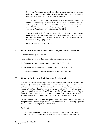1. Definition: To separate, put asunder, to select, to approve, to determine, decree, to judge, to pronounce an opinion concerning right and wrong, to rule, to govern, to preside over with power of giving judicial decisions

*For I indeed, as absent in body but present in spirit, have already judged (as though I were present) him who has so done this deed… For what have I to do with judging those also who are outside? Do you not judge those who are inside? But those who are outside God judges. Therefore "put away from yourselves the evil person."* I Corinthians 5:3, 12-13

These verses tell us that God takes responsibility to judge those that are outside of the walls of the church, but that we are to take responsibility to judge those that are inside the church. We are not to do God's judging. However, we cannot ask God to do our judging for us.

2. Other references: I Cor. 6:2-31; 14:29

## **IV. What areas of sin are to come under discipline in the local church?**

(Taken from notes by Bill Gothard)

Notice that the key to all of these issues is the ongoing nature of them.

- A. **Irresolvable** disputes between members (Mt. 18:15; I Cor. 5:11).
- B. **Persistent** teaching of false doctrine (Tit. 1:9-11; 3:10-11; Rom. 16:17).
- C. **Continuing** immorality and disorderliness (II Th. 3:6; I Cor. 5:11).

## **V. What are the levels of discipline in the local church?**

*Moreover if your brother sins against you, go and tell him his fault between you and him alone. If he hears you, you have gained your brother. But if he will not hear, take with you one or two more, that "by the mouth of two or three witnesses every word may be established." And if he refuses to hear them, tell it to the church. But if he refuses even to hear the church, let him be to you like a heathen and a tax collector. Assuredly, I say to you, whatever you bind on earth will be bound in heaven, and whatever you loose on earth will be loosed in heaven.* Matthew 18:15-20

Jesus laid out the prescription for discipline in the local church. He indicated that true discipline moves through stages and the acceleration of discipline is totally dependent upon the response of the person being disciplined.

#### **A. Private**

 The first step of discipline is private, one on one. If more people would take personal responsibility for the first step very little would have to go beyond that.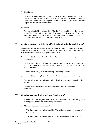#### **B. Semi-Private**

 The next step is to include others. Who should be included? It should be those who have authority in their lives including parents, church leaders and people of influence in their lives. Remember, you are primarily after the result of repentance and healing not punishment and excommunication.

## **C. Public**

 This step is handled by the leadership of the church and should only be done when all else fails. This involves a removing of the person from the covering of the local church and putting them into the hands of the highest authority—God. He will discipline them personally from this point (Heb. 10:31).

## **VI. What are the pre-requisites for effective discipline in the local church?**

Before any actual discipline can take place in the local church four things must be done. These can be established from the inception of the church, but, if they are not, they must be established before effective discipline can take place.

A. There must be the establishment of a biblical standard of Christian living in the life of the church.

 The sins that are disciplined by the church must be understood by the vast majority of the congregation as being clearly wrong; otherwise the discipline of a member can result in division.

- B. There must be teaching of the membership concerning discipline.
- C. There must be an example given by the church leadership in all areas of living.
- D. There must be a genuine dedication to all the levels of confrontation, especially the first level.
- E. There must be a consistent application of discipline relative to the entire membership.

## **VII. What is excommunication and how does it work?**

- A. Excommunication is the public removal of a church member from membership and a severing of fellowship with the believing community.
- B. What happens in excommunication?
	- 1. The sinning member is placed outside of the spiritual covering of the church (I Cor. 5:17).
	- 2. The sinning member is turned over to God for direct discipline (I Cor. 5:12-13).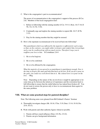C. What is the congregation's part in excommunication?

The power of excommunication is the congregation's support of the process (II Cor. 2:6). Members of the local congregation must:

- 1. Refuse to fellowship with the sinning member (I Cor. 5:9-11; Rom. 16:17-18; II Th. 3:6, 14; Tit. 3:10).
- 2. Continually urge and implore the sinning member to repent (Mt. 18:17; II Th. 3:15).
- 3. Pray for the sinning member that they might be restored.
- D. How is the repentant excommunicant to be received back into fellowship?

*This punishment which was inflicted by the majority is sufficient for such a man, so that, on the contrary, you ought rather to forgive and comfort him, lest perhaps such a one be swallowed up with too much sorrow. Therefore I urge you to reaffirm your love to him.* II Corinthians 2:6-8

- 1. He is to be forgiven.
- 2. He is to be comforted.
- 3. He is to be affirmed by the congregation.

*What the majority of you agreed to as punishment is punishment enough. Now is the time to forgive this man and help him back on his feet. If all you do is pour on the guilt, you could very well drown him in it. My counsel now is to pour on the love.* –Msg

Note: Depending on the nature of the sin involved, it might be appropriate to let some time go by between the initial act of repentance and the restoration back to full fellowship to ensure that the sinful behavior has indeed been broken off. You do not want to restore the person only to have to excommunicate them again for the same problem.

## **VIII. What are some practical steps for pastoral discipline?**

Note: The following notes were gleaned from Bill Gothard's Pastors' Seminar

- A. Thoroughly investigate charges (Mt. 18:16; I Tim. 5:19; Deut. 13:14; 19:18; Pro. 25:9; 18:13).
- B. Work with parents and other authority figures whenever possible.
	- 1. Parents still have much influence (Deut. 4:9; Pro. 23:22).
	- 2. Parents can give background information.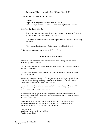- 3. Parents should be first to get involved (Eph. 6:1; Deut. 21:20).
- C. Prepare the church for public discipline.
	- 1. In teaching
	- 2. In prayer, fasting and self-examination (II Cor. 7:11)
	- 3. In reminding them of the purpose and place of discipline in the church
- D. Inform the church (Mt. 18:17).
	- 1. Read a prepared and approved (lawyer and leadership) statement. Statement should be brief, factual and project no malice.
	- 2. The church should be called to continued prayer for and appeal to the sinning members.
	- 3. The posture of scriptural love, but avoidance should be followed.
- E. Restore the offender when repentant (II Cor. 2:7-11).

#### **PUBLIC ANNOUNCEMENT**

*It has come to the attention of the leadership team that a member of our church must be dealt with by church discipline.* 

*The elders have carefully and thoroughly investigated the facts, and have confirmed that discipline is necessary.* 

*The parents and the elders have appealed to the one who has sinned. All attempts have so far been rejected.* 

*Scripture now instructs us to inform the church so that the united prayer and obedience of the members to the scriptural steps of discipline may be used of God to bring this person to repentance and to a life of victory over sin.* 

*During this period of discipline we would ask that you not continue to fellowship with this person as usual but when you see them implore them to adjust their behavior, repent and be restored to God and the local church.* 

*In the meantime we urge you to pray for this person, but also to set aside a time of personal self-examination, confession of sin, and commitment to God's Word as the rule and norm for our lives.* 

*We are doing this so that Satan will be given no opportunity to bring confusion or division on this matter and that God may be free, because of our obedience, to accomplish His purpose in the life of the one who has sinned.* 

Name the person Identify the category of sin (no specifics) Pray for the individual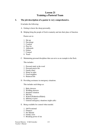# **Lesson 21 Training a Pastoral Team**

## **I. The job description of a pastor is very comprehensive.**

It includes the following:

- A. Getting to know the sheep personally.
- B. Helping bring the people of God to maturity and into their place of function.

Pastors are to:

- 1. Stir-up
- 2. Encourage
- 3. Comfort
- 4. Pray for
- 5. Admonish
- 6. Exhort
- 7. Counsel
- 8. Teach
- C. Maintaining personal disciplines that can serve as an example to the flock.

This includes:

- 1. Personal study in the word
- 2. Personal prayer life
- 3. Family times
- 4. Home in order
- 5. Good neighbor
- 6. Balanced life
- D. Providing assistance in emergency situations.

This includes such things as:

- 1. Baby showers
- 2. Wedding showers
- 3. Hospital visitation
- 4. Moving
- 5. Widows/Fatherless/Elderly
- 6. Ministry to poor
- 7. General emergency situations (night calls)
- E. Being available for counsel when needed.
	- 1. Job/Vocational
	- 2. Finances
	- 3. Pre-Marital
	- 4. Family crisis
	- 5. Breaking power of sin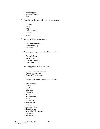- 6. Confrontation
- 7. Ministry/Function
- 8. Etc.
- F. Providing specialized ministry to various groups.
	- 1. Children
	- 2. Teens
	- 3. Single
	- 4. Single Parents
	- 5. Divorced
	- 6. Elderly
- G. Being sensitive to new prospects.
	- 1. Evangelism/follow-ups
	- 2. Visitor follow-up
	- 3. Altar work
- H. Providing training for current and future leaders.
	- 1. Personal Contact
	- 2. Study Times
	- 3. In depth counseling
	- 4. Impartation of vision
- I. Providing general pastoral services.
	- 1. Wedding planning assistance
	- 2. Funeral arrangements
	- 3. Retreats / Special events
- J. Providing oversight for every area of the church.
	- 1. Small Groups
	- 2. Ushers
	- 3. Greeters
	- 4. Education
	- 5. Outreaches
	- 6. Youth
	- 7. Young Adults
	- 8. Nursery
	- 9. Audio/Visual.
	- 10. Music/Choir
	- 11. Taping
	- 12. Administration
	- 13. Food Service
	- 14. Custodial/ Maintenance
	- 15. Secretarial
	- 16. Missions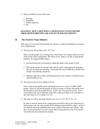- L. Being available for many other tasks.
	- 1. Meetings
	- 2. Hospitality
	- 3. Further education
	- 4. Etc.

#### **QUESTION: HOW LARGE DOES A CHURCH HAVE TO GET BEFORE THESE RESPONSIBILITIES ARE TOO MUCH FOR ONE PERSON?**

## **II. The Need for Team Ministry**

If the pastor is to succeed in the ministry he will have to make the building up a pastoral team a high priority.

A. The need was felt by Moses (Ex. 18:17-26).

Moses and the people were wearing away when Moses was trying to take care of all of the needs of the congregation. His father-in-law, Jethro, was able to pinpoint the problem. He suggested three things:

- 1. Get back before the Lord in prayer, taking the needs of the people to God.
- 2. Take up the mantle of a teacher and teach the entire congregation the principles that you are using in counseling. Teach them the way in which they should walk and the work that they should do.
- 3. Delegate authority to others and bring them into your ministry according to their skill and ability levels.
- B. The need was felt by Jesus (Mark 6:35-44)

Jesus could not personally touch each hungry person in a crowd of 5,000-10,000 people. However, He had the people sit down in groups of 50 and 100 and He used His disciples to feed the people directly. In this way every person was fed. Jesus realized that if He was to build the church He would need others to be with Him in the work (Luke 6:12-13; Mark 3:13-15).

C. The need was felt by the Early Church (Acts 6:1-6; 14:23; 20:17; Tit. 1:5).

In order to meet the needs of the congregation and still be able to give themselves to their primary task, the early apostles had to delegate responsibility to others. In all of the churches that they established they set in a plural leadership team (elders). This does not mean that there was not a senior elder who presided over the work, but the size of the task necessitated team ministry.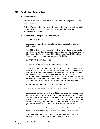## **III. Developing a Pastoral Team**

#### **A. What is a team?**

A team is "Two or more beasts of burden harnessed together to perform a specific work or function."

God gave five ministries to be harnessed together to build up the church and equip the saints (Eph. 4:11-12). The five ministries need to be linked together to accomplish God's purpose.

#### **B. What are the advantages of the team concept?**

## **1. ACCOMPLISHMENT.**

A team can accomplish more toward a goal than a single individual or even two individuals.

The Bible is clear, two are better than one (Eccl. 4:9). When two join together, they do not just add their strength, they multiply their strength. In Deuteronomy 32:30 it says that, "one will put a 1000 to flight, two will put 10,000 to flight." There is great power in unity and agreement (Mt. 18:19).

## **2. SAFETY (Eccl. 4:10; Pro. 11:14)**

A team can provide safety and accountability in ministry.

It is clear from the first chapters of the Bible that it is not good for a man to be alone (Gen. 2:18). The task is too great, but it is also dangerous. Someone once said, "a man who lives alone thinks his own thoughts." We all need others to give wisdom in counsel. We need others to which we are personally accountable. Many ministries have fallen in recent years because there was no one close enough to them to see the fall coming. Having those to which we have voluntarily become accountable gives us great power to resist temptation.

## **3. COMPLEMENTARY MINISTRY (Eph. 4:11-12)**

A team can demonstrate the principle of body ministry before the people.

A team consists of people with diverse abilities and temperaments being linked together for a common goal and purpose. No one person can do it all (Example: Ted Mack's one-man band. The end results were not very good, but it sure was fun to watch!). No one has all of the gifts and abilities that are needed. What is lacking in one is supplied by the other. Where one is weak the other is strong. A good team is composed of diversity, not everyone being just the same.

When the team is diverse reflecting all five of the leadership ministries, all of the people in the congregation have a point of identification for their ministry.

In addition, with team ministry there is a greater chance for edification and inspiration since different people respond to different types of ministries.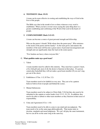#### **4. TESTIMONY (Deut. 19:15)**

A team can be more effective in rooting and establishing the ways of God in the lives of the people.

The Bible says that in the mouth of two or three witnesses every word is established. When you have several voices saying the same thing there is a greater establishing and confirming of the Word of the Lord in the hearts of people.

## **5. COMPANIONSHIP (Mark 3:13-15)**

A team can become a source of great personal strength and fellowship.

Who are the pastor's friends? With whom does the pastor pray? Who ministers to the needs of the pastor and his family? As the team grows and matures the members of the team will become a great source of personal encouragement and strength and can significantly share the load on the senior pastor.

"Few burdens are heavy when everyone lifts."

#### **C. What qualities make up a good team?**

1. Talent

A team member must be called to this ministry. They must have a pastor's heart, a five-fold gift and, most of all, the desire to function in their place. If a person cannot play basketball they will not make a good team member (If you can't sing get out of the choir).

2. Faithfulness (I Tim. 1:12; II Tim. 2:2)

Team members need to be faithful in every area. They are to be a pattern believer both in front of people and behind the scenes.

3. Mutual Submission

Team members need to be subject to Christ (Eph. 5:24) but they also need to be submitted to the captain or senior leader (Acts 15:13, 19, 22). In addition, they need to be able to submit to other team members as they function in their areas of responsibility.

4. Unity and Agreement (I Cor. 1:10)

Team members need to be able to come to one mind and one judgment. The team needs to be on the same page philosophically. That means unity in doctrine, standards and moral judgments. We can't all play the same instrument, but we can all be on the same song in the same key.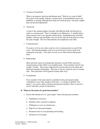5. Common Vision/Goals

What is our purpose, direction and ultimate goal? What do we want to build? We cannot work together without a common goal. In basketball the goal is not dribbling, or passing, although those help us to reach the goal. Our goal is higher than our personal department.

6. Teamwork

A team is the coming together of people with different skills and functions to achieve a common goal. There is strength in our differences. A suitable help is often someone who is our opposite (man/woman). Basketball teams need ball handlers, shooters and rebounders, but you do not want all of the players to have the same strength. The five-fold ministries all complement each other.

7. Communication

If a team is to be in sync, there must be a lot of communication on and off the court. All misunderstandings need to be resolved and everyone needs to be running the same play. True unity can only occur where honest dialog takes place.

8. Relationship

More and more teams are learning that chemistry on and off the court has a strong bearing on their ability to accomplish goals. Team members must be one another's friends. This means a high priority must be placed on the things that build and maintain relationships. This type of activity cannot be seen as wasting time. Time spent here will be gained in many other ways.

9. Commitment

Every member of the team must be committed to the goal and personally committed to every other member of the team. A concept of spiritual "free agency" can create a spirit of mistrust among team members where everyone is out for what they can get for themselves.

#### **D. What are the marks of a good team member?**

- 1. Factors that should serve as "green lights" when selecting team members.
	- a. Faithfulness in all areas.
	- b. Humility when corrected or adjusted.
	- c. Willingness to serve in menial areas.
	- d. High level of personal integrity.
	- e. Responsiveness to your preaching and teaching.
	- f. Genuine love for people.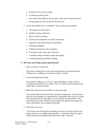- g. Sensitivity to the needs of others.
- h. Continual personal growth.
- i. Successful relationship on the personal, family and occupational level.
- j. Strong hunger for the Lord and the Word of God.
- 2. Factors that should serve as "red lights" when selecting team members.
	- a. The opposite of all the above.
	- b. Inability to keep confidences.
	- c. Hasty in decision making.
	- d. Constant poor judgments (even after instruction).
	- e. Aggressive and domineering in relationships.
	- f. Emotional instability.
	- g. Pushing for promotion and recognition.
	- h. Constantly on the wrong side of decisions.
	- i. Continual conflicts with those under their charge.
	- j. Continual justifying and blame shifting.

#### **E. How does one develop a good a pastoral team?**

1. Have a vision for a good team.

This means realizing this is God's plan and desiring it to the point of being willing to do everything in your power to make it a reality.

2. Choose the right kind of talent.

Put a primary emphasis on a servant's heart, faithfulness, loyalty, spirit of cooperation and openness over ability. However, ability must be present to the degree that it can be developed.

3. Spend time with your team members at work and at play.

Your relationships must be more than a business arrangement. You must get to know the team members on a personal level. Remember when you have a team, that team should be the main object of your personal, pastoral ministry. This means that some effort should be given to spend non-agenda time together not only as individuals, but as couples and families

4. Teach them your ways.

A lot of this comes through direct teaching, but much of it comes by them just being with you as you handle certain situations. Teach them what you expect. People cannot be accountable unless they know what is expected.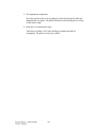5. Give appropriate assignments.

Give them specific tasks on an ascending level that will develop the skills and judgment that you require. Be patient with them in the learning process as long as their heart is right.

6. Keep lines of communication open.

Talk about everything. Don't take anything for granted and make no assumptions. Be quick to resolve any conflicts.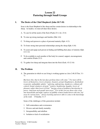# **Lesson 22 Pastoring through Small Groups**

# **I. The Desire of the Chief Shepherd (John 10:7-18)**

 Jesus is the Great Shepherd of the sheep and has certain desires in relationship to the sheep. As leaders, we must all share these desires.

- A. To care for all the needs of the flock (Psalm 23:1; Jer. 23:4)
- B. To raise up strong marriages and families (Mal. 4:6)
- C. To bring each person to a place of personal maturity (Eph. 4:13)
- D. To foster strong inter-personal relationships among the sheep (Eph. 4:16)
- E. To assist and equip each person in finding and fulfilling their place of ministry (Eph. 4:11-12)
- F. To be available to each member of the body for counsel, support, encouragement, and comfort (Psalm 23:3)
- G. To gather lost sheep and integrate them into the flock (Ezek. 43:12-16)

# **II. The Problem**

A. The generation in which we are living is working against us (Acts 2:40; II Tim. 3:1- 7).

*But know this, that in the last days perilous times will come: <sup>2</sup> For men will be lovers of themselves, lovers of money, boasters, proud, blasphemers, disobedient*  to parents, unthankful, unholy, <sup>3</sup> unloving, unforgiving, slanderers, without self*control, brutal, despisers of good, <sup>4</sup> traitors, headstrong, haughty, lovers of pleasure rather than lovers of God, <sup>5</sup> having a form of godliness but denying its power. And from such people turn away! <sup>6</sup> For of this sort are those who creep into households and make captives of gullible women loaded down with sins, led*  away by various lusts, <sup>7</sup> always learning and never able to come to the knowledge *of the truth.* I Timothy 3:1-7

Some of the challenges of this generation include:

- 1. Self-centeredness and covetousness
- 2. Divorce and anti-family mentality
- 3. Irresponsibility and rebellion
- 4. Isolation or lack of socialization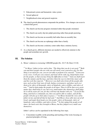- 5. Educational system and humanistic value system
- 6. Sexual upheaval
- 7. Neighborhood crime and general suspicion
- B. The church growth phenomenon compounds the problem. Five changes can occur in a church that grows.
	- 1. The church can become program orientated rather than people orientated.
	- 2. The church can easily slip into pulpit pastoring rather than people pastoring.
	- 3. The church can become an assembly hall rather than an assembly line.
	- 4. The church can become an orphanage rather than a family.
	- 5. The church can become a ministry center rather than a ministry factory.
- C. As a church grows, different structures are needed to effectively minister to the people and assimilate new growth.

## **III. The Solution**

A. Moses' solution to overseeing 3,000,000 people (Ex. 18:17-26; Deut 1:9-18)

*<sup>17</sup> So Moses' father-in-law said to him, "The thing that you do is not good. <sup>18</sup> Both you and these people who are with you will surely wear yourselves out. For this thing is too much for you; you are not able to perform it by yourself. <sup>19</sup> Listen now to my voice; I will give you counsel, and God will be with you: Stand before God*  for the people, so that you may bring the difficulties to God.<sup>20</sup> And you shall teach *them the statutes and the laws, and show them the way in which they must walk and the work they must do. <sup>21</sup> Moreover you shall select from all the people able men, such as fear God, men of truth, hating covetousness; and place such over them to be rulers of thousands, rulers of hundreds, rulers of fifties, and rulers of tens. <sup>22</sup> And let them judge the people at all times. Then it will be that every great matter they shall bring to you, but every small matter they themselves shall judge. So it will be easier for you, for they will bear the burden with you. <sup>23</sup> If you do this thing, and God so commands you, then you will be able to endure, and all this people will also go to their place in peace." <sup>24</sup> So Moses heeded the voice of his father-in-law and did all that he had said. <sup>25</sup> And Moses chose able men out of all Israel, and made them heads over the people: rulers of thousands, rulers of hundreds, rulers of fifties, and rulers of tens. <sup>26</sup> So they judged the people at all times; the hard cases they brought to Moses, but they judged every small case themselves.* 

Jethro's advice can be capsulated in the following four steps.

1. Concentrate in public on the preaching and teaching of the word, focusing on practical principles of living.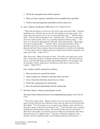- 2. Divide the congregation into smaller segments.
- 3. Place over these segments, individuals who are qualified and responsible.
- 4. Work to train and equip these individuals to feed on their level.
- B. Jesus' solution to feeding the 5,000 (Luke 9:12-17; John 6:10-11)

*<sup>12</sup> When the day began to wear away, the twelve came and said to Him, "Send the multitude away, that they may go into the surrounding towns and country, and lodge and get provisions; for we are in a deserted place here." <sup>13</sup> But He said to them, "You give them something to eat." And they said, "We have no more than five loaves and two fish, unless we go and buy food for all these people." <sup>14</sup> For there were about five thousand men. Then He said to His disciples, "Make them sit down in groups of fifty." <sup>15</sup> And they did so, and made them all sit down. <sup>16</sup> Then He took the five loaves and the two fish, and looking up to heaven, He blessed and broke them, and gave them to the disciples to set before the multitude. <sup>17</sup> So they all ate and were filled, and twelve baskets of the leftover fragments were taken up by them.* Luke 9:12-17

*Then Jesus said, "Make the people sit down." Now there was much grass in the place. So the men sat down, in number about five thousand. And Jesus took the loaves, and when He had given thanks He distributed them to the disciples, and the disciples to those sitting down; and likewise of the fish, as much as they wanted.* John 6:10-11

Jesus' method could be summarized as follows:

- 1. Raise up and invest yourself into leaders.
- 2. Spend enough time with them so that they share your heart.
- 3. Give to them that which they need to focus on others.
- 4. Divide the congregation into small groups.
- 5. Have the trained disciples/leaders feed the small groups.
- C. The Early Church's solution to pastoring the crowds.

The Early Church utilized the home for accomplishing their purpose (Acts 2:38-47: 5:42).

*<sup>38</sup> Then Peter said to them, "Repent, and let every one of you be baptized in the name of Jesus Christ for the remission of sins; and you shall receive the gift of the Holy Spirit. <sup>39</sup> For the promise is to you and to your children, and to all who are afar off, as many as the Lord our God will call." <sup>40</sup> And with many other words he testified and exhorted them, saying, "Be saved from this perverse generation." <sup>41</sup> Then those who gladly received his word were baptized; and that day about three thousand souls were added to them. <sup>42</sup> And they continued steadfastly in the apostles' doctrine and fellowship, in the breaking of bread, and in prayers. <sup>43</sup>*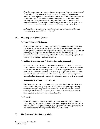*Then fear came upon every soul, and many wonders and signs were done through the apostles. <sup>44</sup> Now all who believed were together, and had all things in common, <sup>45</sup> and sold their possessions and goods, and divided them among all, as anyone had need. <sup>46</sup> So continuing daily with one accord in the temple, and breaking bread from house to house, they ate their food with gladness and simplicity of heart, <sup>47</sup> praising God and having favor with all the people. And the Lord added to the church daily those who were being saved.* Acts 2:38-47

*And daily in the temple, and in every house, they did not cease teaching and preaching Jesus as the Christ.* Acts 5:42

# **IV. The Purpose of Small Groups**

## **A. Pastoral Care and Discipleship**

God has definitely given His church the burden for pastoral care and discipleship. Our desire should go beyond just birthing people into the Kingdom, but it should involve providing effective covering and accountability that precipitates growth and the bringing of people to a place of personal fruitfulness and ministry. It is impossible to pastor a crowd in any individual way. The small group approach is a biblical way of feeding a multitude of people.

## **B. Building Relationships and Fellowship (Developing Community)**

It is clear that God wants the individual members of the church to be more closely linked to one another so that they can be in a position to better minister to the needs of one another as the Bible clearly directs. This was a top priority of the church in the Book of Acts and the small group helps to keep people from being alone in the midst of a large number of people. This is more important for the more passive, reserved and quiet personality, and yet all will benefit greatly by their involvement.

## **C. Assimilating New People into the Church**

Whether people are newly saved or simply new to the church, there needs to be a means whereby they can quickly feel a part if they are going to be permanently established and genuinely committed to the vision of the local church. It takes several years to feel a part of a crowd, but in a few, brief contacts in an intimate setting, people can feel loved, cared for and needed.

## **D. Evangelism**

God wants every believer to be reaching out to others in their sphere of influence. The small group is a perfect place to introduce new people to other believers in the Body of Christ. Through the small group, it is possible for them to gain the support and the relationships that they need for them to be established.

# **V. The Successful Small Group Model**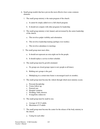- A. Small group models that have proven the most effective have some common elements.
	- 1. The small group ministry is the main program of the church.
		- a. It cannot be simply added on to a full church program.
		- b. It should not compete with other programs for leadership.
	- 2. The small group ministry is led, fanned, and envisioned by the senior leadership of the church.
		- a. This involves pulpit visibility and exhortation.
		- b. This involves leadership training (perhaps even weekly).
		- c. This involves attendance to meetings.
	- 3. The small group must meet often.
		- a. It should not represent an extra night out for the people.
		- b. It should replace a service in their schedule.
	- 4. The small group must be growth orientated.
		- a. No groups are closed groups (open to new people at all times).
		- b. Birthing new groups is the goal.
		- c. Multiplying in a certain time frame is encouraged (each six months).
	- 5. The small group must become the vehicle through which most ministry occurs.
		- a. Personal discipleship
		- b. Visitor follow-up
		- c. Pastoral care
		- d. Hospital visitation
		- e. Wedding / baby showers
		- f. Evangelistic endeavors
	- 6. The small group must be small in size.
		- a. Average of 10-12 adults
		- b. Maximum of 15 adults
	- 7. The small group must become the center for the release of the body ministry in the church.
		- a. Caring for each other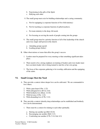- b. Functioning in the gifts of the Spirit
- c. Edifying each other
- 8. The small group must exist for building relationships and a caring community.
	- a. Not for equipping (a corporate function of five-fold ministry)
	- b. Not for teaching (a corporate function of gifted teachers).
	- c. For team ministry to the deep, felt needs
	- d. For focusing on serving the needs of people coming into the groups
- 9. The small group must be a priority function of all of the leadership of the church and every single staff person in the church.
	- a. Attending groups (good)
	- b. Leading groups (better)
- B. Other observations or issues that affect the group's success
	- 1. Leaders must be prepared for every meeting so that something significant takes place.
	- 2. There needs to be a strong emphasis on training of leaders and every leader must have an intern leader who is being trained to start his or her own group.
	- 3. The focus of the corporate gathering is for worship, edification and the equipping of the saints.

## **VI. Small Groups Meet the Need**

- A. They provide a context where deeper love can be cultivated. We are commanded to love others.
	- 2. With a pure heart (I Pet. 1:22)
	- 3. With unfeigned love (II Cor. 6:6)
	- 4. With brotherly love (Rom. 12:10)
	- 5. With fervency (I Pet. 1:22)
	- 6. With abounding love (I Th. 3:12)
- B. They provide a context whereby deep relationships can be established and brotherly love can be demonstrated.
	- 1. There must be a context for relating to each other spiritually.
		- a. Stirring one another up (Heb 10:24)
		- b. Encouraging one another (Heb 3:13)
		- c. Comforting one another (I Th. 5:14; Gal. 6:2)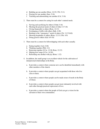- d. Building up one another (Rom. 14:19; I Th. 5:11)
- e. Praying for one another (Jam. 5:16)
- f. Teaching and admonishing one another (Col. 3:16)
- 2. There must be a context for caring for each other's natural needs.
	- a. Serving and sacrificing for others (I John 3:16)
	- b. Meeting the practical needs of others (I John 3:17-18)
	- c. Giving financially to others (Rom. 12:13)
	- d. Exchanging of skills with others (Eph. 4:28)
	- e. Rushing to the "emergency" needs of others (Tit. 3:13 NAS)
	- f. Showing hospitality to others (Rom. 12:13; I Pet. 4:9)
	- g. Doing good to others (Gal. 6:9-10)
- 3. There must be a context for fellowshipping with each other casually.
	- a. Eating together (Acts 2:46)
	- b. Thinking together (Phil. 2:2)
	- c. Rejoicing together (I Cor. 12:26; Rom. 12:15)
	- d. Sharing new songs (I Cor. 14:26)
	- e. Refreshing one another with joy (Rom. 1:12)
- 4. In addition, the small group is an excellent vehicle for the cultivation of interpersonal relationships in the Body.
	- a. It provides a context where someone new can be identified immediately with other members of the church.
	- b. It provides a context where people can get acquainted with those who live close to them.
	- c. It provides a context where people can be made aware of needs in the Body of Christ.
	- d. It provides a context where people can get more intimately involved with each other through practical expressions of love.
	- e. It provides a context where the people of God can get a vision for the salvation of their own communities.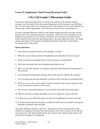## **Lesson 22, Supplement, "Small Group Discussion Guide"**

# **City Cell Leader's Discussion Guide**

For general small groups that focus on a discussion centered on the Sunday morning message, the focus should be on the practical application of the message to our individual lives. For the sake of those who were not present in the morning service a brief summary of the message would be appropriate. This summary can be given as a group function.

In order to generate discussion relative to the Sunday morning message the leader should present some of the following questions to the group. There will not be enough time to go through every question in every meeting. Therefore, the actual questions chosen by the leader should be those that most specifically apply to the topic under discussion. The depth and personal nature of the questions should be determined on the basis of the leader's knowledge of his or her group.

#### **Starter Questions:**

- 1. Does anyone remember the title of this morning's message?
- 2. What are some of the key points or thoughts that you remember from the message?
- 3. What was the most interesting feature of this message to you personally?
- 4. Were there any points that you feel applied specifically to you?
- 5. Have you ever had a positive or a negative experience that illustrates the importance of this message?
- 6. If you had been preaching this message what would you have added to the message?
- 7. Are you facing any personal challenges in relation to the word that was preached today?
- 8. What are some of the ways in which we need to respond to this word to make sure that we are both hearers and doers of the word?
- 9. Do you have a personal testimony of victory that fits well with the message today?
- 10. What do you need to change personally if you are to apply this word to your life?
- 11. Is there any way in which this group can assist you in applying this word to your life?
- 12. Are there other people in your sphere of influence with whom you should be sharing the principles contained in this message?

The leader should be sensitive to the time. After about an hour of discussion the leader should try to summarize what has been said and turn it into a time of prayer for the specific areas discussed. The leader should also be sure to pray for any other pressing needs in the group before breaking for refreshments.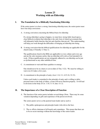## **Lesson 23 Working with an Eldership**

## **I. The Foundation for a Biblically Functioning Eldership**

If the senior pastor is to have a strong, functioning eldership team, the senior pastor must have four deep convictions:

A. A strong conviction concerning the biblical basis for eldership.

If a strong eldership is going to happen, we must have strong faith, based upon a clear biblical revelation that eldership is the only form of church government that will ultimately build churches that last and churches that prevail. This understanding will help you work through the difficulties of bringing an eldership into being.

B. A strong conviction that the biblical qualifications for eldership are applicable for the church today (I Timothy 3; Titus 1).

The qualifications listed in the Bible are applicable to every culture and every age and are the only insurance policy that an eldership will work as God intended it to work. If these qualifications are not stringently adhered to, an eldership can be just as dysfunctional as any other unbiblical form.

C. A commitment to wait until these qualities to emerge.

One should never be in a hurry to set in elders (I Tim. 5:22). We must be willing to wait even if it takes a few years.

D. A commitment to the principle of unity (Acts 1:14; 2:1; 4:23-24, 32-33).

Unless each leader is committed to the principle of unity and is willing to defer personal tastes to the body of elders, a team will never function properly. It will lead to divisions in the body (I Cor. 1:10; 3:1-4; Jam. 4:1-2).

## **II. The Importance of a Clear Description of Function**

A. The function of the senior pastor includes several things (Note: There may be some variation depending on gifts and experience of the person involved).

The senior pastor serves as the pastoral team leader and as such is:

- 1. The public spokesperson and principle leader (who drives the bus).
- 2. The ex officio chairman of all boards and committees. This means that there are to be no secret meetings without the knowledge of the senior leader.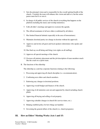- 3. Sets the principal vision and is responsible for the overall spiritual health of the church. Certainly the team will enhance this vision and add to it, but the senior pastor must feel it or own it.
- 4. In charge of all public services of the church (everything that happens on the platform including the music and worship ministries).
- 5. Calls all elder's meetings and approves (screens) the agenda.
- 6. The official nominator of all new elders (confirmed by all elders).
- 7. Has limited financial latitude (especially in the area of honorariums).
- 8. Maintains doctrinal purity (no change in doctrine without his approval).
- 9. Approves and invites all guest and local speakers (determines who speaks and when).
- 10. Has final say on all hiring and firing (veto rights on all staffing).
- 11. Approves all special meetings of the church.
- 12. Oversees all ministry placement and the job description of team members much like the coach on a sports team.
- B. The functions of the eldership

The eldership as a unit has corporate functions relating to the following:

- 1. Processing and approving all church discipline (i.e. excommunication).
- 2. Confirming new elders and church members.
- 3. Endorsing any changes in doctrinal positions.
- 4. Approving overall budget and finances of the church.
- 5. Approving of all ministries sent out and supported by church including church plants.
- 6. Approving all buying and selling of real property.
- 7. Approving schedule changes in church life (service times, etc.).
- 8. Helping establish policy for how things are handled.
- 9. Governing the general affairs of the church (i.e. church programs).

### **III. How an Elders' Meeting Works (Acts 1 and 15)**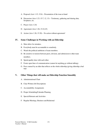- A. Proposal (Acts 1:15; 15:6) Presentation of the issue at hand
- B. Discussion (Acts 1:23; 15:7, 12, 13) Testimony, gathering and sharing data, Scriptures, etc.
- C. Prayer (Acts 1:24)
- D. Agreement (Acts 1:26; 15:22,25)
- E. Action (Acts 1:26; 15:30) No action without agreement!

#### **IV. Some Challenges in Working with an Eldership**

- A. Must allow for mistakes.
- B. Everybody must be accountable to somebody.
- C. Watch the political ambitions of team members.
- D. Be sensitive to tension between peers, division, and submission to other team members.
- E. Spend quality time with each other.
- F. Foster open lines of communication (cannot let anything go without talking).
- G. Poor counsel by an elder that reflects on the whole eldership (giving eldership a bad rap).

#### **V. Other Things that will make an Eldership Function Smoothly**

- A. Administrational Chart
- B. Clear Written Job Descriptions
- C. Accountability Assignments
- D. Proper Scheduling/Calendar Planning
- E. Special Retreats and Activities
- F. Regular Meetings, Business and Relational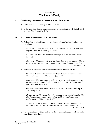## **Lesson 24 The Pastor's Family**

### **I. God is very interested in the restoration of the home.**

- A. God is restoring the church (Jer. 30:1-12, 18-20).
- B. At the same time He also wants the message of restoration to touch the individual families of the church (Jer. 31:1)

### **II. A leader's home must be a model home.**

- A. God rebuked or judged leaders whose ministry did not effectively begin on the home front.
	- 1. Moses was not allowed to lead Israel out of bondage until his own sons were in proper covenant relationship (Ex. 4:24).
	- 2. Eli lost his priesthood because he failed as a priest in his own home (I Sam. 3:11-13).

*For I have told him that I will judge his house forever for the iniquity which he knows, because his sons made themselves vile, and he did not restrain them.* I Samuel 3:13

- B. God chooses leaders on the basis of their faithfulness to their own family.
	- 1. God knew He could entrust Abraham with great covenant promises because He knew he would be faithful at home (Gen. 18:19).

*I have singled him out so that he will direct his sons and their families to keep the way of the LORD and do what is right and just. Then I will do for him all that I have promised.* –NLT

2. God made faithfulness at home a criterion for New Testament leadership (I Tim. 3:4-5; Tit. 1:6).

*He must manage his own family well, with children who respect and obey him. For if a man cannot manage his own household, how can he take care of God's church?* I Timothy 3:4-5, NLT

*An elder must be well thought of for his good life. He must be faithful to his wife, and his children must be believers who are not wild or rebellious.* Titus 1:6, NLT

C. The failure of many biblical leaders was due to a failure to impart godly values to their children after them.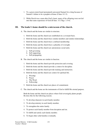- 1. To a great extent Israel prematurely pressured Samuel for a king because of Samuel's failure to be a prophet at home (I Sam. 8:1-5).
- 2. While David was a man after God's heart, many of his offspring were not led into that same experience of God (II Sam. 15; I Kgs. 1:5-6).

### **III. The leader's home should be a microcosm of the church.**

- A. The church and the home are similar in structure.
	- 1. Both the home and the church are established on a covenant basis.
	- 2. Both the home and the church have similar members and similar relationships.
	- 3. Both the home and the church have a defined membership.
	- 4. Both the home and the church have a plurality of oversight.
	- 5. Both the home and the church are autonomous social units.
		- a. Self-governing
		- b. Self-supporting
		- c. Self-propagating
- B. The church and the home are similar in function.
	- 1. Both the home and the church provide protection and covering.
	- 2. Both the home and the church provide a context for discipline.
	- 3. Both the home and the church provide training and instruction.
	- 4. Both the home and the church are centers for spiritual life.
		- a. Worship
		- b. Prayer
		- c. The Word
		- d. Fellowship
	- 5. Both the home and the church are places of commitment.
- C. The church and the home are the instruments of God to fulfill His eternal purpose.

Both the home and the church are places where God sovereignly plants people. He does this for the following reasons.

- 1. To develop character in each family member.
- 2. To develop ministry in each family member.
- 3. To strengthen the entire family.
- 4. To protect each family member from deception and sin.
- 5. To fulfill and satisfy each family member.
- 6. To begin other solid families eventually.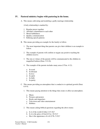### **IV. Pastoral ministry begins with pastoring in the home.**

A. This means cultivating and modeling a godly marriage relationship.

A holy relationship is marked by:

- 1. Regular prayer together
- 2. Absolute commitment to each other
- 3. Moral faithfulness
- 4. Quality communication
- 5. Edifying speech patterns
- B. This means providing an example for the family to follow.
	- 1. The most important thing that parents can give their children is an example to follow.
	- 2. The example of parents will confirm or negate any positive teaching the children receive.
	- 3. The sins or virtues of the parents will be communicated to the children in magnified fashion (Deut. 5:9-10).
	- 4. The example of the parents includes many areas (I Tim. 4:12).
		- a. In word
		- b. In lifestyle
		- c. In love
		- d. In spirit
		- e. In faith
		- f. In purity
- C. This means providing an atmosphere that is conducive to spiritual growth (Deut. 6:4-9).
	- 1. This means paying attention to the things that create or affect an atmosphere.
		- a. Music
		- b. Pictures and posters
		- c. Books and magazines
		- e. Television and video entertainment
		- f. Hobbies
	- 2. This means asking biblical questions regarding the above items:
		- a. Is it of the world (I John 2:15-16)?
		- b. Is it to the glory of God (I Cor. 10:31)?
		- c. Has it the appearance of evil (I Th. 5:22)?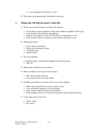- d. Is its atmosphere good (II Cor. 6:14)?
- D. This means providing spiritual leadership in the home.

### **V. Things that will help the pastor's home life.**

- A. Work to keep church business and home life separate.
	- 1. Do not discuss church problems in front of the children (regardless of their age).
	- 2. Control phone calls and other interruptions.
	- 3. Educate your people as to days off and when it is appropriate to call.
	- 4. Learn to know what an emergency is and what an emergency is not.
- B. Maintain the basics.
	- 1. Prayer and devotional life
	- 2. Dating and courtship of spouse
	- 3. Communication
	- 4. Mutual respect
- C. Get away regularly.
	- 1. Regular family vacations (See Supplement: Revivification)
	- 2. Days off
- D. Make being in ministry special and fun.
- E. Help your family to feel a part of the ministry.
	- 1. Have them minister with you
	- 2. Involve them in the life of the church
- F. Establish your family as a priority in the lives of your children.
	- 1. Make sure your priorities are spouse, parent, pastor.
	- 2. Use your flexible schedule to your advantage.
	- 3. Have a family night that cannot be interrupted.
	- 4. Limit mindless activity (TV), promote interaction and recreational activity.
- G. Learn cheap ways to have fun.
	- 1. Talk to others.
	- 2. Be creative.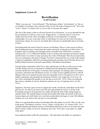## **Supplement, Lesson 24**

## **Revivification**  *by Bill Scheidler*

"What" you may ask, "is revivification?" The dictionary defines "revivification" as "the act of recalling or restoring to life; renewal of life; revival: the state of being revived." The word "revive" means "to return to life; to recover life; to become alive again."

The fact of the matter is that we all need seasons of revivifications. As we go through life and the circumstances of life it is easy to get "bogged down," to become stale or to lose our vitality and zest for life. This can happen on the job, in our family life or in human relationships. It is easy to become weary in well-doing. It is easy for our work to become a monotonous routine. It is easy for our family life to become too predictable and even boring at times.

God understands the need of man for seasons of refreshing. There is some reason to believe that God Himself enjoys a break from the routine and times of relaxation of effort (Gen. 2:2). It appears that even nature goes through seasons of productivity followed by a resting or relaxation (Ex. 31:17). When God did His work of creation and restoration in Genesis chapter one He chose to rest after six days and enjoy the works of His hands. This does not mean that God was exhausted to the point of fatigue. Nor does it mean that God was weak in His mental or physical capabilities. But God was demonstrating the principle of true life that allows for a healthy balance between work and responsibility, refreshment and pleasure.

God put forth a tremendous effort for six days and because of it He was able to rest on the seventh. People who are accustomed to working hard and taking their responsibilities seriously should never feel guilty or feel they must apologize for making a place for leisure, recreation, relaxation and refreshment. In fact, it is when we have applied ourselves with all diligence that our recreation becomes the most enjoyable. God is not against rest. He is not a ruthless taskmaster who demands the full quota of bricks every single day of our lives. In fact, God commanded His people to rest one day in seven (Ex. 34:21). God even indicated that a heavy schedule of activity should not stand in our way of enjoying such a rest (Ex. 34:21).

Napoleon, who had a great vision to conquer the worlds, felt that he could short-circuit God's plan for rest. In order to get more out of his men and animals he went to a 10 day week. Everything seemed to be going fine for a while and then the fruit of this change began to manifest itself. The animals began to break down under their loads, the morale of the men became depressed, strife broke out everywhere and productivity began to wane. His ultimate solution was to go back to the one day in seven principle.

There is no question that seasons of refreshing affect the quality of our life. They are the oasis in the desert. The Hebrew word for "revive" means "to keep alive" or "restore to life." It is carefully planned and utilized seasons of refreshment that keep us alive in our inner man and help to restore vitality to our lives. Someone once said, "If we don't come apart, we might come apart."

Jesus understood this in His life and ministry. The individual who thinks it is spiritual to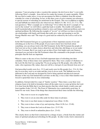announce "I am not going to take a vacation this summer; the devil never does" is not really following Christ's example. Jesus did not live under the tyranny of a panic mentality. When He was tired or under stress, it was not uncommon for Him to withdraw from His normal schedule for a time of refreshing. In fact, in His three years of active ministry ten references to special seasons of refreshing are mentioned in the Gospels. This was in addition to nightly rest and Sabbath rest which Jesus also observed (see: Mark 6:31; Mt. 14:13, 23; 17:1). The real question is "Who's example are we following?" If we follow the devil's example of "no rest for the wicked" we will follow a path that leads to trouble. The trouble will manifest itself in potential physical problems related to stress and fatigue, relational problems and even spiritual problems. By following the example of "no rest" we will have no time to develop our relationships with family and friends that really give value and meaning to our life. George Mueller once said "The stops of a good man are ordered by the Lord as well as his steps."

In the Old Testament God gave us a good picture of how important seasons of rest and refreshing are in the lives of His people. If you want to know how God feels about something, you can always look to the Old Testament. In the Old Testament the people of God were not as free to make choices about how and when they did things as we are under the New Covenant. But if you want to get an idea of how God might want your finances structured you can look to the Old Testament where His commands to the people reveal the principles that He feels are important.

When it comes to the area of rest, God built important times of refreshing into their schedules. None of those times were optional for them. They were a matter of obedience to the Lord. By this God was saying that "If you are going to be My people, who reflect My order, who experience My values, then rest will be a vital part of your lifestyle from now on".

God prescribed weekly rests (Lev. 23:3) and yearly rests for His people (Lev. 23:4, 8). One day in seven they were to set aside and they were to do no work. The Sabbath was to be dedicated to the Lord and was designed by God to bring spiritual and physical renewal. Because of the way God limited their activities on this day, it was a time when families were forced to spend their time in close relationship.

In addition, God provided for a type of "family vacation." Three times a year there were religious feasts to be held in Jerusalem where all the males were to come up before the Lord. It is clear from the Bible that it was their practice that they whole family would come and feast together (Luke 2:41-42). The Feast of Tabernacles was a particularly good time. It lasted for one week. Some of the things that characterized these times include the following:

- 1. They were to occur on a regular basis.
- 2. They were to set an extra tithe aside for these times in advance.
- 3. They were to use their money in impractical ways (Deut. 14:26).
- 4. They were to have a time of joy and rejoicing. (Deut.14:26; Lev. 23:40).
- 5. They were to honor the Lord at all times (Lev. 23:37-39).
- 6. They were to dwell in unfamiliar places (Lev. 23:42).

This clearly shows us that God is interested in a change of pace, a break from the routine and times of spiritual and physical refreshing for His people. In other words, God is interested in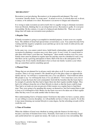#### "*RECREATION!*"

Recreation is not just playing. Recreation is to be purposeful and planned. The word 'recreation' literally means "to create anew". It means to revive, to refresh after toil, to divert, to amuse, to be animate or to cheer. Recreation is an answer to fatigue and exhaustion.

It is wrong to make recreation an end in itself, but it is equally wrong to eliminate recreation from our lifestyle, thinking that we are doing God service. Recreation is godly. It is not poor stewardship. On the contrary, it is part of a balanced and obedient life. There are several things that will make our recreation more productive.

### **A Regular Time**

If family recreation is going to accomplish its intended purpose, it must occur on a regular basis. The children of Israel had special times several times a year. You cannot become fit by waiting until the negative symptoms occur and then go out in one week of solid activity and hope to "get into shape."

In the same way, you cannot control stress, build family relationships, and have meaningful recreation by planning a vacation once every three years. It won't work. It is much better to take three short times a year than one "humongous," three-month vacation every five years. Family times must be planned at regular intervals and they must be scheduled in such a way that there can be a growing anticipation of them. Half of the fun is the anticipation of the coming event. Every family should plan to have at least one family vacation a year where they go somewhere and do something special.

#### **A Planned Time**

Things that are not planned for in advance rarely take place at all. It costs money to take a vacation. There is no way around it. We should not get to the place where we approach the family and say "we will have a vacation this year, *if* we can afford it." God would not allow His people to say "we will keep the feast, if we can afford it." Yet it must have cost a lot of money to keep the feasts the Lord commanded. God told the Israelites that the feasts had to be enough of a priority that they had to figure them into their regular monthly budget. They had to be willing to keep the rest of their lifestyle in check so that the feasts could be kept. They had to set aside an extra ten percent of their monies on a regular basis to fund these trips. They were going to be spending this money on themselves, but God wanted them to put it away as if it belonged to God. Money for the feasts was not to be taken out of their regular tithes but they were to set aside another tithe for these trips.

How understanding God is of human nature! God knows that unless we have a system, unless we are willing to exercise discipline, we will probably not have it when we need it. To do this it may mean trimming our normal lifestyle to some degree, but the refreshing rewards will be worth the cost.

#### **A Time of Freedom**

When the children of Israel were obedient in setting aside the finances for their trip, it became a real time of freedom from worry. Normally, God wants us to be extremely frugal and careful about how we spend our money. He wants us to exercise wise stewardship. But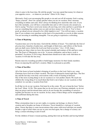when it came to the feast time, He told the people "you may spend that money for whatever your appetite craves… or whatever you desire" (Deut.14:26, Amp.).

Obviously, God is not encouraging His people to sin and cast off all restraint. God is saying, "Enjoy yourself". Don't be a penny pincher when you are on vacation. Don't measure everything in dollars and cents. Don't always be thinking how much this ride costs. If you have this mentality, you will have a miserable time and so will everyone else around you. God is saying "You have saved your money all year long, now relax and have a good time. If you see something that catches your eye and you have money for it, buy it. You've been good; go ahead you are released to be a little impulsive now". You will not enjoy a vacation time if you evaluate every purchase on the basis of its practicality as you do at other seasons. You are investing in something intangible. You are going to experience a refreshing.

#### **A Time of Rejoicing**

Vacation times are to be fun times. God told the children of Israel, "You shall take the fruit of *pleasing* trees, branches of palm trees, and boughs of thick trees, and willows of the brook; and you shall *rejoice* before the Lord your God seven days." (Lev. 23:40, Amp.). Vacations are times when we leave the normal schedule and routines of life and have some fun. The Feast of Tabernacles was to be "A joyous celebration, and no heavy work is permitted" (Leviticus 23:36 Living). Businessmen should never take work with them on vacation. It will take the fun away.

Parents must do everything possible to build happy memories for their family members. Focus on enjoying life and God's creation. Make it as pleasant as possible.

#### **A Time of Sacrifice**

All of the feasts in Israel included a bringing of sacrifices to the Lord. Sad to say, some Christians leave God out of their vacation. The feast of tabernacles lasted eight days. The first day and the last days were holy convocations with a week of feasting in between. One of the most exciting things to do on vacation is to visit another church. We teach our children the wrong thing if we teach them that God is out of place on our vacations or that somehow we can take a vacation from God.

In all that we do on our vacation, God must be at the center. We are to keep the feast "before the Lord" (Deut. 14:26). This means that we do not lower our Christian standards, we do not drop our prayer and devotional times and we do not forsake the assembling of ourselves together just because we are on vacation. In fact, many of these things can be strengthened and reaffirmed during this time.

### **A Time of Travel**

What a tremendous time to see new sights, to examine our heritage, to observe God's creation and to broaden our frame of reference. Travel should be a vital part of vacation plans. I know that there is some inconvenience that comes with travel and that you usually breathe a sigh of relief when you are in your own bed again, but a change of scenery can bring a certain refreshing in and of itself.

For the children of Israel, it meant packing, putting their tent up (booths) and leaving behind